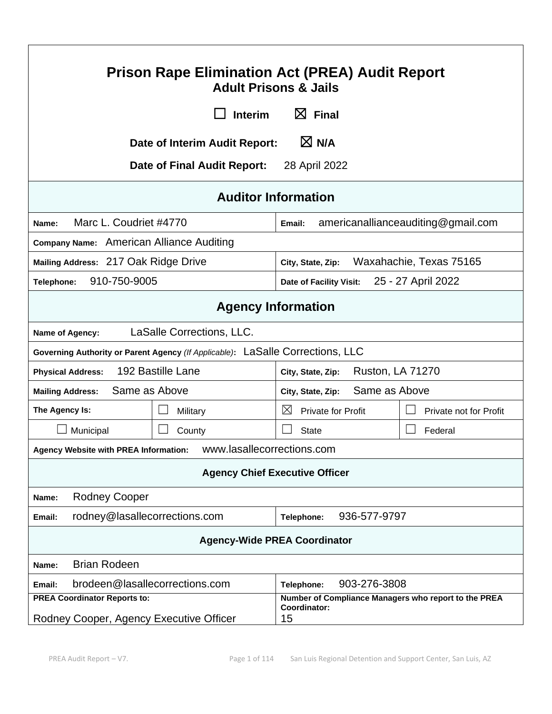| <b>Prison Rape Elimination Act (PREA) Audit Report</b><br><b>Adult Prisons &amp; Jails</b>                                                                   |                                              |                                    |  |
|--------------------------------------------------------------------------------------------------------------------------------------------------------------|----------------------------------------------|------------------------------------|--|
| <b>Interim</b>                                                                                                                                               | $\boxtimes$ Final                            |                                    |  |
| Date of Interim Audit Report:                                                                                                                                | $\boxtimes$ N/A                              |                                    |  |
| Date of Final Audit Report:                                                                                                                                  | 28 April 2022                                |                                    |  |
|                                                                                                                                                              | <b>Auditor Information</b>                   |                                    |  |
| Marc L. Coudriet #4770<br>Name:                                                                                                                              | Email:                                       | americanallianceauditing@gmail.com |  |
| Company Name: American Alliance Auditing                                                                                                                     |                                              |                                    |  |
| Mailing Address: 217 Oak Ridge Drive                                                                                                                         | Waxahachie, Texas 75165<br>City, State, Zip: |                                    |  |
| 910-750-9005<br>Telephone:                                                                                                                                   | Date of Facility Visit:                      | 25 - 27 April 2022                 |  |
| <b>Agency Information</b>                                                                                                                                    |                                              |                                    |  |
| LaSalle Corrections, LLC.<br>Name of Agency:                                                                                                                 |                                              |                                    |  |
| Governing Authority or Parent Agency (If Applicable): LaSalle Corrections, LLC                                                                               |                                              |                                    |  |
| 192 Bastille Lane<br><b>Ruston, LA 71270</b><br><b>Physical Address:</b><br>City, State, Zip:                                                                |                                              |                                    |  |
| Same as Above<br>Same as Above<br><b>Mailing Address:</b><br>City, State, Zip:                                                                               |                                              |                                    |  |
| The Agency Is:<br>Military                                                                                                                                   | $\boxtimes$<br><b>Private for Profit</b>     | <b>Private not for Profit</b>      |  |
| Municipal<br>County                                                                                                                                          | <b>State</b>                                 | Federal                            |  |
| Agency Website with PREA Information:    WWW.lasallecorrections.com                                                                                          |                                              |                                    |  |
| <b>Agency Chief Executive Officer</b>                                                                                                                        |                                              |                                    |  |
| <b>Rodney Cooper</b><br>Name:                                                                                                                                |                                              |                                    |  |
| 936-577-9797<br>rodney@lasallecorrections.com<br>Telephone:<br>Email:                                                                                        |                                              |                                    |  |
| <b>Agency-Wide PREA Coordinator</b>                                                                                                                          |                                              |                                    |  |
| <b>Brian Rodeen</b><br>Name:                                                                                                                                 |                                              |                                    |  |
| brodeen@lasallecorrections.com<br>Email:                                                                                                                     | 903-276-3808<br>Telephone:                   |                                    |  |
| <b>PREA Coordinator Reports to:</b><br>Number of Compliance Managers who report to the PREA<br>Coordinator:<br>Rodney Cooper, Agency Executive Officer<br>15 |                                              |                                    |  |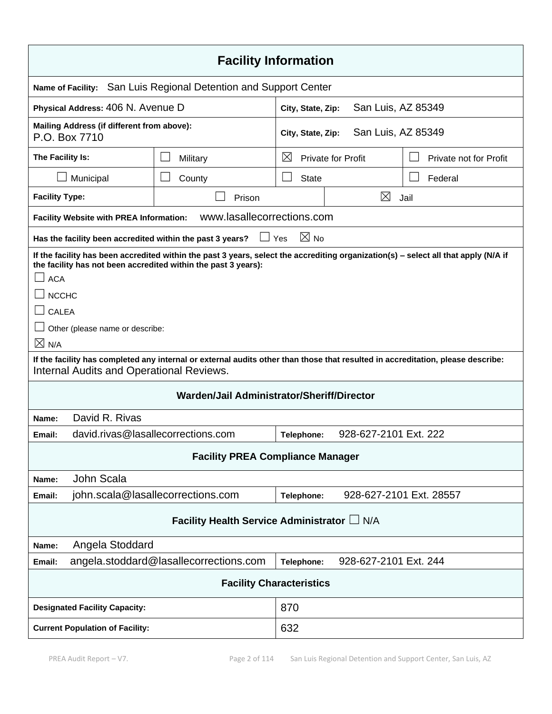| <b>Facility Information</b>                                                                                                                                                                                                                                                                     |                                                                              |                   |                           |                         |
|-------------------------------------------------------------------------------------------------------------------------------------------------------------------------------------------------------------------------------------------------------------------------------------------------|------------------------------------------------------------------------------|-------------------|---------------------------|-------------------------|
| <b>Name of Facility:</b>                                                                                                                                                                                                                                                                        | San Luis Regional Detention and Support Center                               |                   |                           |                         |
|                                                                                                                                                                                                                                                                                                 | Physical Address: 406 N. Avenue D<br>San Luis, AZ 85349<br>City, State, Zip: |                   |                           |                         |
| Mailing Address (if different from above):<br>P.O. Box 7710                                                                                                                                                                                                                                     |                                                                              | City, State, Zip: | San Luis, AZ 85349        |                         |
| The Facility Is:                                                                                                                                                                                                                                                                                | Military                                                                     | $\boxtimes$       | <b>Private for Profit</b> | Private not for Profit  |
| Municipal                                                                                                                                                                                                                                                                                       | County                                                                       | <b>State</b>      |                           | Federal                 |
| <b>Facility Type:</b>                                                                                                                                                                                                                                                                           | Prison                                                                       |                   | ⊠                         | Jail                    |
| <b>Facility Website with PREA Information:</b>                                                                                                                                                                                                                                                  | www.lasallecorrections.com                                                   |                   |                           |                         |
|                                                                                                                                                                                                                                                                                                 | $\Box$ Yes<br>Has the facility been accredited within the past 3 years?      | $\boxtimes$ No    |                           |                         |
| If the facility has been accredited within the past 3 years, select the accrediting organization(s) - select all that apply (N/A if<br>the facility has not been accredited within the past 3 years):<br><b>ACA</b><br><b>NCCHC</b><br>CALEA<br>Other (please name or describe:<br>$\times$ N/A |                                                                              |                   |                           |                         |
| If the facility has completed any internal or external audits other than those that resulted in accreditation, please describe:<br><b>Internal Audits and Operational Reviews.</b>                                                                                                              |                                                                              |                   |                           |                         |
| Warden/Jail Administrator/Sheriff/Director                                                                                                                                                                                                                                                      |                                                                              |                   |                           |                         |
| David R. Rivas<br>Name:                                                                                                                                                                                                                                                                         |                                                                              |                   |                           |                         |
| Email:                                                                                                                                                                                                                                                                                          | david.rivas@lasallecorrections.com                                           | Telephone:        | 928-627-2101 Ext. 222     |                         |
| <b>Facility PREA Compliance Manager</b>                                                                                                                                                                                                                                                         |                                                                              |                   |                           |                         |
| John Scala<br>Name:                                                                                                                                                                                                                                                                             |                                                                              |                   |                           |                         |
| Email:                                                                                                                                                                                                                                                                                          | john.scala@lasallecorrections.com                                            | Telephone:        |                           | 928-627-2101 Ext. 28557 |
| Facility Health Service Administrator L N/A                                                                                                                                                                                                                                                     |                                                                              |                   |                           |                         |
| Angela Stoddard<br>Name:                                                                                                                                                                                                                                                                        |                                                                              |                   |                           |                         |
| Email:                                                                                                                                                                                                                                                                                          | angela.stoddard@lasallecorrections.com                                       | Telephone:        | 928-627-2101 Ext. 244     |                         |
| <b>Facility Characteristics</b>                                                                                                                                                                                                                                                                 |                                                                              |                   |                           |                         |
| <b>Designated Facility Capacity:</b>                                                                                                                                                                                                                                                            |                                                                              | 870               |                           |                         |
| 632<br><b>Current Population of Facility:</b>                                                                                                                                                                                                                                                   |                                                                              |                   |                           |                         |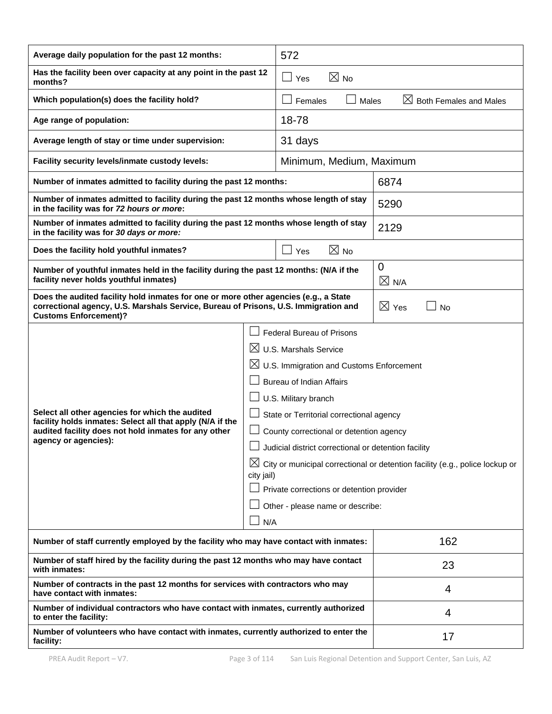| Average daily population for the past 12 months:                                                                                                                                                            |  | 572                                                                                                                                                                                                                                                                                                                                                                                                                                    |                 |                   |                                                                                          |
|-------------------------------------------------------------------------------------------------------------------------------------------------------------------------------------------------------------|--|----------------------------------------------------------------------------------------------------------------------------------------------------------------------------------------------------------------------------------------------------------------------------------------------------------------------------------------------------------------------------------------------------------------------------------------|-----------------|-------------------|------------------------------------------------------------------------------------------|
| Has the facility been over capacity at any point in the past 12<br>$\boxtimes$ No<br>$\square$ Yes<br>months?                                                                                               |  |                                                                                                                                                                                                                                                                                                                                                                                                                                        |                 |                   |                                                                                          |
| Which population(s) does the facility hold?                                                                                                                                                                 |  | Females                                                                                                                                                                                                                                                                                                                                                                                                                                | Males           |                   | $\boxtimes$ Both Females and Males                                                       |
| Age range of population:                                                                                                                                                                                    |  | 18-78                                                                                                                                                                                                                                                                                                                                                                                                                                  |                 |                   |                                                                                          |
| Average length of stay or time under supervision:                                                                                                                                                           |  | 31 days                                                                                                                                                                                                                                                                                                                                                                                                                                |                 |                   |                                                                                          |
| Facility security levels/inmate custody levels:                                                                                                                                                             |  | Minimum, Medium, Maximum                                                                                                                                                                                                                                                                                                                                                                                                               |                 |                   |                                                                                          |
| Number of inmates admitted to facility during the past 12 months:                                                                                                                                           |  |                                                                                                                                                                                                                                                                                                                                                                                                                                        |                 | 6874              |                                                                                          |
| Number of inmates admitted to facility during the past 12 months whose length of stay<br>in the facility was for 72 hours or more:                                                                          |  |                                                                                                                                                                                                                                                                                                                                                                                                                                        |                 | 5290              |                                                                                          |
| Number of inmates admitted to facility during the past 12 months whose length of stay<br>in the facility was for 30 days or more:                                                                           |  |                                                                                                                                                                                                                                                                                                                                                                                                                                        |                 | 2129              |                                                                                          |
| Does the facility hold youthful inmates?                                                                                                                                                                    |  | $\sqcup$ Yes                                                                                                                                                                                                                                                                                                                                                                                                                           | $\boxtimes$ No  |                   |                                                                                          |
| Number of youthful inmates held in the facility during the past 12 months: (N/A if the<br>facility never holds youthful inmates)                                                                            |  |                                                                                                                                                                                                                                                                                                                                                                                                                                        |                 | 0<br>$\times$ N/A |                                                                                          |
| Does the audited facility hold inmates for one or more other agencies (e.g., a State<br>correctional agency, U.S. Marshals Service, Bureau of Prisons, U.S. Immigration and<br><b>Customs Enforcement)?</b> |  |                                                                                                                                                                                                                                                                                                                                                                                                                                        | $\boxtimes$ Yes | <b>No</b>         |                                                                                          |
| Select all other agencies for which the audited<br>facility holds inmates: Select all that apply (N/A if the<br>audited facility does not hold inmates for any other<br>agency or agencies):<br>city jail)  |  | <b>Federal Bureau of Prisons</b><br>$\boxtimes$ U.S. Marshals Service<br>$\boxtimes$ U.S. Immigration and Customs Enforcement<br><b>Bureau of Indian Affairs</b><br>U.S. Military branch<br>State or Territorial correctional agency<br>County correctional or detention agency<br>$\Box$ Judicial district correctional or detention facility<br>Private corrections or detention provider<br>Other - please name or describe:<br>N/A |                 |                   | $\boxtimes$ City or municipal correctional or detention facility (e.g., police lockup or |
| Number of staff currently employed by the facility who may have contact with inmates:                                                                                                                       |  |                                                                                                                                                                                                                                                                                                                                                                                                                                        |                 | 162               |                                                                                          |
| Number of staff hired by the facility during the past 12 months who may have contact<br>with inmates:                                                                                                       |  |                                                                                                                                                                                                                                                                                                                                                                                                                                        |                 | 23                |                                                                                          |
| Number of contracts in the past 12 months for services with contractors who may<br>have contact with inmates:                                                                                               |  |                                                                                                                                                                                                                                                                                                                                                                                                                                        |                 | 4                 |                                                                                          |
| Number of individual contractors who have contact with inmates, currently authorized<br>to enter the facility:                                                                                              |  |                                                                                                                                                                                                                                                                                                                                                                                                                                        |                 | 4                 |                                                                                          |
| Number of volunteers who have contact with inmates, currently authorized to enter the<br>facility:                                                                                                          |  |                                                                                                                                                                                                                                                                                                                                                                                                                                        |                 | 17                |                                                                                          |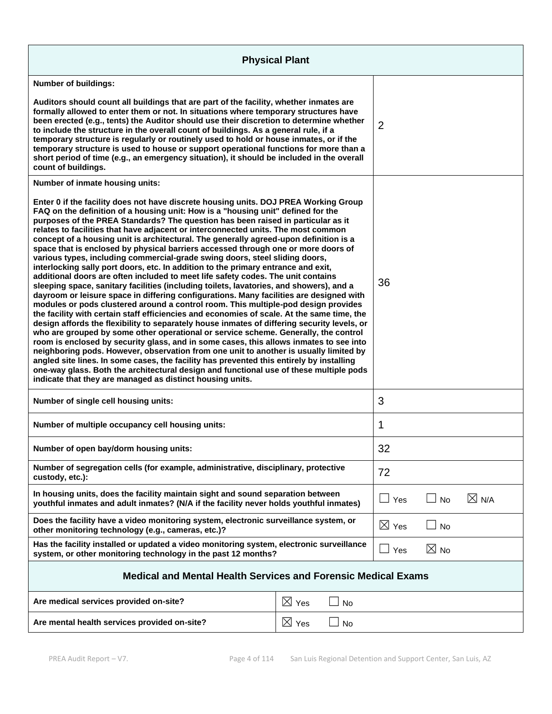| <b>Physical Plant</b>                                                                                                                                                                                                                                                                                                                                                                                                                                                                                                                                                                                                                                                                                                                                                                                                                                                                                                                                                                                                                                                                                                                                                                                                                                                                                                                                                                                                                                                                                                                                                                                                                                                                                                                                                                         |                 |           |                 |    |                 |
|-----------------------------------------------------------------------------------------------------------------------------------------------------------------------------------------------------------------------------------------------------------------------------------------------------------------------------------------------------------------------------------------------------------------------------------------------------------------------------------------------------------------------------------------------------------------------------------------------------------------------------------------------------------------------------------------------------------------------------------------------------------------------------------------------------------------------------------------------------------------------------------------------------------------------------------------------------------------------------------------------------------------------------------------------------------------------------------------------------------------------------------------------------------------------------------------------------------------------------------------------------------------------------------------------------------------------------------------------------------------------------------------------------------------------------------------------------------------------------------------------------------------------------------------------------------------------------------------------------------------------------------------------------------------------------------------------------------------------------------------------------------------------------------------------|-----------------|-----------|-----------------|----|-----------------|
| <b>Number of buildings:</b>                                                                                                                                                                                                                                                                                                                                                                                                                                                                                                                                                                                                                                                                                                                                                                                                                                                                                                                                                                                                                                                                                                                                                                                                                                                                                                                                                                                                                                                                                                                                                                                                                                                                                                                                                                   |                 |           |                 |    |                 |
| Auditors should count all buildings that are part of the facility, whether inmates are<br>formally allowed to enter them or not. In situations where temporary structures have<br>been erected (e.g., tents) the Auditor should use their discretion to determine whether<br>to include the structure in the overall count of buildings. As a general rule, if a<br>temporary structure is regularly or routinely used to hold or house inmates, or if the<br>temporary structure is used to house or support operational functions for more than a<br>short period of time (e.g., an emergency situation), it should be included in the overall<br>count of buildings.                                                                                                                                                                                                                                                                                                                                                                                                                                                                                                                                                                                                                                                                                                                                                                                                                                                                                                                                                                                                                                                                                                                       |                 |           | $\overline{2}$  |    |                 |
| Number of inmate housing units:                                                                                                                                                                                                                                                                                                                                                                                                                                                                                                                                                                                                                                                                                                                                                                                                                                                                                                                                                                                                                                                                                                                                                                                                                                                                                                                                                                                                                                                                                                                                                                                                                                                                                                                                                               |                 |           |                 |    |                 |
| Enter 0 if the facility does not have discrete housing units. DOJ PREA Working Group<br>FAQ on the definition of a housing unit: How is a "housing unit" defined for the<br>purposes of the PREA Standards? The question has been raised in particular as it<br>relates to facilities that have adjacent or interconnected units. The most common<br>concept of a housing unit is architectural. The generally agreed-upon definition is a<br>space that is enclosed by physical barriers accessed through one or more doors of<br>various types, including commercial-grade swing doors, steel sliding doors,<br>interlocking sally port doors, etc. In addition to the primary entrance and exit,<br>additional doors are often included to meet life safety codes. The unit contains<br>sleeping space, sanitary facilities (including toilets, lavatories, and showers), and a<br>dayroom or leisure space in differing configurations. Many facilities are designed with<br>modules or pods clustered around a control room. This multiple-pod design provides<br>the facility with certain staff efficiencies and economies of scale. At the same time, the<br>design affords the flexibility to separately house inmates of differing security levels, or<br>who are grouped by some other operational or service scheme. Generally, the control<br>room is enclosed by security glass, and in some cases, this allows inmates to see into<br>neighboring pods. However, observation from one unit to another is usually limited by<br>angled site lines. In some cases, the facility has prevented this entirely by installing<br>one-way glass. Both the architectural design and functional use of these multiple pods<br>indicate that they are managed as distinct housing units. |                 |           | 36              |    |                 |
| Number of single cell housing units:                                                                                                                                                                                                                                                                                                                                                                                                                                                                                                                                                                                                                                                                                                                                                                                                                                                                                                                                                                                                                                                                                                                                                                                                                                                                                                                                                                                                                                                                                                                                                                                                                                                                                                                                                          |                 | 3         |                 |    |                 |
| Number of multiple occupancy cell housing units:                                                                                                                                                                                                                                                                                                                                                                                                                                                                                                                                                                                                                                                                                                                                                                                                                                                                                                                                                                                                                                                                                                                                                                                                                                                                                                                                                                                                                                                                                                                                                                                                                                                                                                                                              |                 |           | 1               |    |                 |
| Number of open bay/dorm housing units:                                                                                                                                                                                                                                                                                                                                                                                                                                                                                                                                                                                                                                                                                                                                                                                                                                                                                                                                                                                                                                                                                                                                                                                                                                                                                                                                                                                                                                                                                                                                                                                                                                                                                                                                                        |                 |           | 32              |    |                 |
| Number of segregation cells (for example, administrative, disciplinary, protective<br>custody, etc.):                                                                                                                                                                                                                                                                                                                                                                                                                                                                                                                                                                                                                                                                                                                                                                                                                                                                                                                                                                                                                                                                                                                                                                                                                                                                                                                                                                                                                                                                                                                                                                                                                                                                                         |                 |           | 72              |    |                 |
| In housing units, does the facility maintain sight and sound separation between<br>youthful inmates and adult inmates? (N/A if the facility never holds youthful inmates)                                                                                                                                                                                                                                                                                                                                                                                                                                                                                                                                                                                                                                                                                                                                                                                                                                                                                                                                                                                                                                                                                                                                                                                                                                                                                                                                                                                                                                                                                                                                                                                                                     |                 |           | $\Box$ Yes      | No | $\boxtimes$ N/A |
| Does the facility have a video monitoring system, electronic surveillance system, or<br>other monitoring technology (e.g., cameras, etc.)?                                                                                                                                                                                                                                                                                                                                                                                                                                                                                                                                                                                                                                                                                                                                                                                                                                                                                                                                                                                                                                                                                                                                                                                                                                                                                                                                                                                                                                                                                                                                                                                                                                                    |                 |           | $\boxtimes$ Yes | No |                 |
| Has the facility installed or updated a video monitoring system, electronic surveillance<br>system, or other monitoring technology in the past 12 months?                                                                                                                                                                                                                                                                                                                                                                                                                                                                                                                                                                                                                                                                                                                                                                                                                                                                                                                                                                                                                                                                                                                                                                                                                                                                                                                                                                                                                                                                                                                                                                                                                                     |                 | Yes       | $\boxtimes$ No  |    |                 |
| <b>Medical and Mental Health Services and Forensic Medical Exams</b>                                                                                                                                                                                                                                                                                                                                                                                                                                                                                                                                                                                                                                                                                                                                                                                                                                                                                                                                                                                                                                                                                                                                                                                                                                                                                                                                                                                                                                                                                                                                                                                                                                                                                                                          |                 |           |                 |    |                 |
| Are medical services provided on-site?                                                                                                                                                                                                                                                                                                                                                                                                                                                                                                                                                                                                                                                                                                                                                                                                                                                                                                                                                                                                                                                                                                                                                                                                                                                                                                                                                                                                                                                                                                                                                                                                                                                                                                                                                        | $\boxtimes$ Yes | <b>No</b> |                 |    |                 |
| Are mental health services provided on-site?                                                                                                                                                                                                                                                                                                                                                                                                                                                                                                                                                                                                                                                                                                                                                                                                                                                                                                                                                                                                                                                                                                                                                                                                                                                                                                                                                                                                                                                                                                                                                                                                                                                                                                                                                  | $\boxtimes$ Yes | No        |                 |    |                 |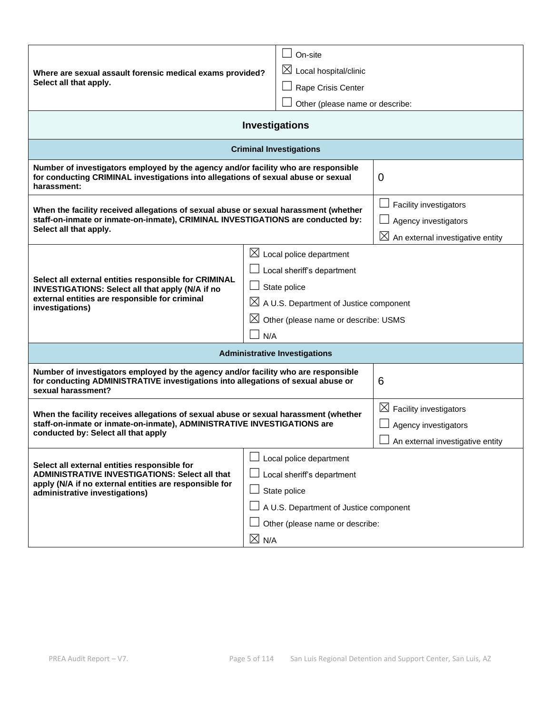|                                                                                                                                                                                              | On-site                                            |                                              |  |
|----------------------------------------------------------------------------------------------------------------------------------------------------------------------------------------------|----------------------------------------------------|----------------------------------------------|--|
| Where are sexual assault forensic medical exams provided?                                                                                                                                    | $\boxtimes$ Local hospital/clinic                  |                                              |  |
| Select all that apply.                                                                                                                                                                       | Rape Crisis Center                                 |                                              |  |
|                                                                                                                                                                                              | Other (please name or describe:                    |                                              |  |
|                                                                                                                                                                                              | <b>Investigations</b>                              |                                              |  |
|                                                                                                                                                                                              | <b>Criminal Investigations</b>                     |                                              |  |
| Number of investigators employed by the agency and/or facility who are responsible<br>for conducting CRIMINAL investigations into allegations of sexual abuse or sexual<br>harassment:       |                                                    | 0                                            |  |
| When the facility received allegations of sexual abuse or sexual harassment (whether                                                                                                         |                                                    | Facility investigators                       |  |
| staff-on-inmate or inmate-on-inmate), CRIMINAL INVESTIGATIONS are conducted by:                                                                                                              |                                                    | Agency investigators                         |  |
| Select all that apply.                                                                                                                                                                       |                                                    | $\boxtimes$ An external investigative entity |  |
|                                                                                                                                                                                              | $\boxtimes$ Local police department                |                                              |  |
|                                                                                                                                                                                              | $\Box$ Local sheriff's department                  |                                              |  |
| Select all external entities responsible for CRIMINAL<br>INVESTIGATIONS: Select all that apply (N/A if no                                                                                    | State police                                       |                                              |  |
| external entities are responsible for criminal<br>investigations)                                                                                                                            | $\boxtimes$ A U.S. Department of Justice component |                                              |  |
|                                                                                                                                                                                              | $\boxtimes$ Other (please name or describe: USMS   |                                              |  |
|                                                                                                                                                                                              | N/A                                                |                                              |  |
| <b>Administrative Investigations</b>                                                                                                                                                         |                                                    |                                              |  |
| Number of investigators employed by the agency and/or facility who are responsible<br>for conducting ADMINISTRATIVE investigations into allegations of sexual abuse or<br>sexual harassment? |                                                    | 6                                            |  |
|                                                                                                                                                                                              |                                                    | $\boxtimes$ Facility investigators           |  |
| When the facility receives allegations of sexual abuse or sexual harassment (whether<br>staff-on-inmate or inmate-on-inmate), ADMINISTRATIVE INVESTIGATIONS are                              |                                                    | Agency investigators                         |  |
| conducted by: Select all that apply                                                                                                                                                          |                                                    | An external investigative entity             |  |
|                                                                                                                                                                                              | Local police department                            |                                              |  |
| Select all external entities responsible for<br><b>ADMINISTRATIVE INVESTIGATIONS: Select all that</b>                                                                                        | Local sheriff's department                         |                                              |  |
| apply (N/A if no external entities are responsible for<br>administrative investigations)                                                                                                     | State police                                       |                                              |  |
|                                                                                                                                                                                              | A U.S. Department of Justice component             |                                              |  |
|                                                                                                                                                                                              | Other (please name or describe:                    |                                              |  |
|                                                                                                                                                                                              | $\boxtimes$ N/A                                    |                                              |  |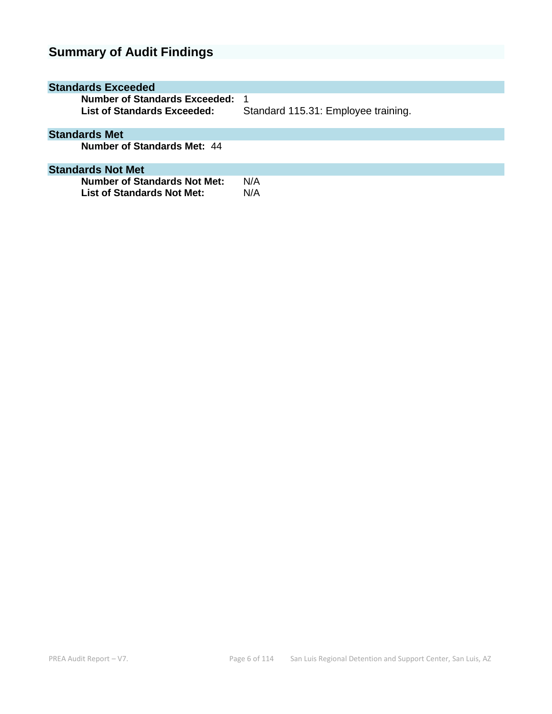# **Summary of Audit Findings**

| <b>Standards Exceeded</b>                                    |                                            |
|--------------------------------------------------------------|--------------------------------------------|
| Number of Standards Exceeded:<br>List of Standards Exceeded: | - 1<br>Standard 115.31: Employee training. |
| <b>Standards Met</b>                                         |                                            |
| Number of Standards Met: 44                                  |                                            |
| <b>Standards Not Met</b>                                     |                                            |
| Number of Standards Not Met:<br>List of Standards Not Met:   | N/A<br>N/A                                 |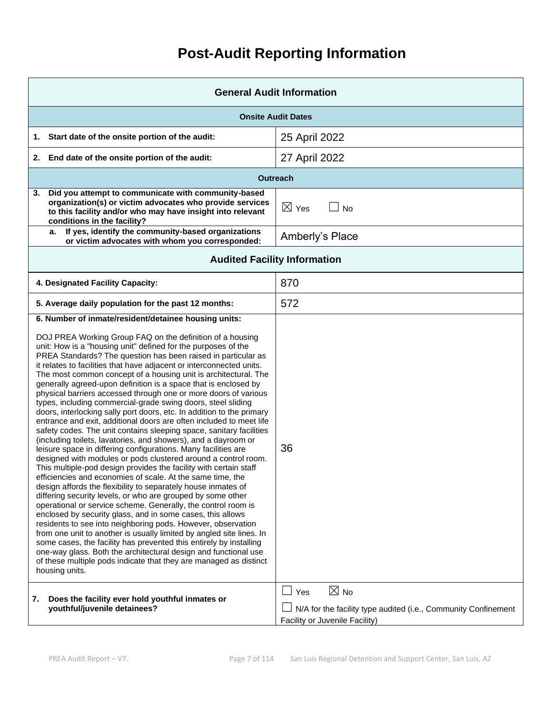# **Post-Audit Reporting Information**

| <b>General Audit Information</b>                                                                                                                                                                                                                                                                                                                                                                                                                                                                                                                                                                                                                                                                                                                                                                                                                                                                                                                                                                                                                                                                                                                                                                                                                                                                                                                                                                                                                                                                                                                                                                                                                                                                                                                                                                            |                                                                                                                                  |  |  |
|-------------------------------------------------------------------------------------------------------------------------------------------------------------------------------------------------------------------------------------------------------------------------------------------------------------------------------------------------------------------------------------------------------------------------------------------------------------------------------------------------------------------------------------------------------------------------------------------------------------------------------------------------------------------------------------------------------------------------------------------------------------------------------------------------------------------------------------------------------------------------------------------------------------------------------------------------------------------------------------------------------------------------------------------------------------------------------------------------------------------------------------------------------------------------------------------------------------------------------------------------------------------------------------------------------------------------------------------------------------------------------------------------------------------------------------------------------------------------------------------------------------------------------------------------------------------------------------------------------------------------------------------------------------------------------------------------------------------------------------------------------------------------------------------------------------|----------------------------------------------------------------------------------------------------------------------------------|--|--|
| <b>Onsite Audit Dates</b>                                                                                                                                                                                                                                                                                                                                                                                                                                                                                                                                                                                                                                                                                                                                                                                                                                                                                                                                                                                                                                                                                                                                                                                                                                                                                                                                                                                                                                                                                                                                                                                                                                                                                                                                                                                   |                                                                                                                                  |  |  |
| Start date of the onsite portion of the audit:<br>1.                                                                                                                                                                                                                                                                                                                                                                                                                                                                                                                                                                                                                                                                                                                                                                                                                                                                                                                                                                                                                                                                                                                                                                                                                                                                                                                                                                                                                                                                                                                                                                                                                                                                                                                                                        | 25 April 2022                                                                                                                    |  |  |
| End date of the onsite portion of the audit:<br>2.                                                                                                                                                                                                                                                                                                                                                                                                                                                                                                                                                                                                                                                                                                                                                                                                                                                                                                                                                                                                                                                                                                                                                                                                                                                                                                                                                                                                                                                                                                                                                                                                                                                                                                                                                          | 27 April 2022                                                                                                                    |  |  |
|                                                                                                                                                                                                                                                                                                                                                                                                                                                                                                                                                                                                                                                                                                                                                                                                                                                                                                                                                                                                                                                                                                                                                                                                                                                                                                                                                                                                                                                                                                                                                                                                                                                                                                                                                                                                             | <b>Outreach</b>                                                                                                                  |  |  |
| Did you attempt to communicate with community-based<br>3.<br>organization(s) or victim advocates who provide services<br>to this facility and/or who may have insight into relevant<br>conditions in the facility?                                                                                                                                                                                                                                                                                                                                                                                                                                                                                                                                                                                                                                                                                                                                                                                                                                                                                                                                                                                                                                                                                                                                                                                                                                                                                                                                                                                                                                                                                                                                                                                          | $\boxtimes$ Yes<br><b>No</b>                                                                                                     |  |  |
| If yes, identify the community-based organizations<br>a.<br>or victim advocates with whom you corresponded:                                                                                                                                                                                                                                                                                                                                                                                                                                                                                                                                                                                                                                                                                                                                                                                                                                                                                                                                                                                                                                                                                                                                                                                                                                                                                                                                                                                                                                                                                                                                                                                                                                                                                                 | Amberly's Place                                                                                                                  |  |  |
| <b>Audited Facility Information</b>                                                                                                                                                                                                                                                                                                                                                                                                                                                                                                                                                                                                                                                                                                                                                                                                                                                                                                                                                                                                                                                                                                                                                                                                                                                                                                                                                                                                                                                                                                                                                                                                                                                                                                                                                                         |                                                                                                                                  |  |  |
| 4. Designated Facility Capacity:                                                                                                                                                                                                                                                                                                                                                                                                                                                                                                                                                                                                                                                                                                                                                                                                                                                                                                                                                                                                                                                                                                                                                                                                                                                                                                                                                                                                                                                                                                                                                                                                                                                                                                                                                                            | 870                                                                                                                              |  |  |
| 5. Average daily population for the past 12 months:                                                                                                                                                                                                                                                                                                                                                                                                                                                                                                                                                                                                                                                                                                                                                                                                                                                                                                                                                                                                                                                                                                                                                                                                                                                                                                                                                                                                                                                                                                                                                                                                                                                                                                                                                         | 572                                                                                                                              |  |  |
| 6. Number of inmate/resident/detainee housing units:<br>DOJ PREA Working Group FAQ on the definition of a housing<br>unit: How is a "housing unit" defined for the purposes of the<br>PREA Standards? The question has been raised in particular as<br>it relates to facilities that have adjacent or interconnected units.<br>The most common concept of a housing unit is architectural. The<br>generally agreed-upon definition is a space that is enclosed by<br>physical barriers accessed through one or more doors of various<br>types, including commercial-grade swing doors, steel sliding<br>doors, interlocking sally port doors, etc. In addition to the primary<br>entrance and exit, additional doors are often included to meet life<br>safety codes. The unit contains sleeping space, sanitary facilities<br>(including toilets, lavatories, and showers), and a dayroom or<br>leisure space in differing configurations. Many facilities are<br>designed with modules or pods clustered around a control room.<br>This multiple-pod design provides the facility with certain staff<br>efficiencies and economies of scale. At the same time, the<br>design affords the flexibility to separately house inmates of<br>differing security levels, or who are grouped by some other<br>operational or service scheme. Generally, the control room is<br>enclosed by security glass, and in some cases, this allows<br>residents to see into neighboring pods. However, observation<br>from one unit to another is usually limited by angled site lines. In<br>some cases, the facility has prevented this entirely by installing<br>one-way glass. Both the architectural design and functional use<br>of these multiple pods indicate that they are managed as distinct<br>housing units. | 36                                                                                                                               |  |  |
| 7.<br>Does the facility ever hold youthful inmates or<br>youthful/juvenile detainees?                                                                                                                                                                                                                                                                                                                                                                                                                                                                                                                                                                                                                                                                                                                                                                                                                                                                                                                                                                                                                                                                                                                                                                                                                                                                                                                                                                                                                                                                                                                                                                                                                                                                                                                       | $\boxtimes$ No<br>$\Box$ Yes<br>N/A for the facility type audited (i.e., Community Confinement<br>Facility or Juvenile Facility) |  |  |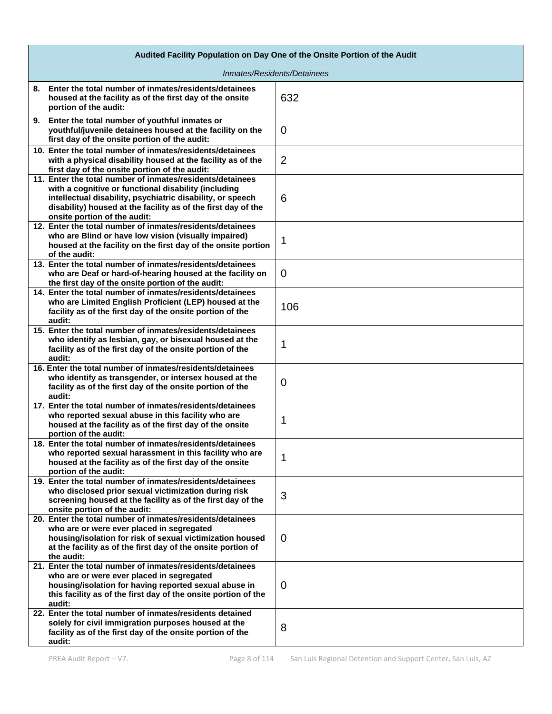| Audited Facility Population on Day One of the Onsite Portion of the Audit                                                                                                                                                                                                        |                |  |
|----------------------------------------------------------------------------------------------------------------------------------------------------------------------------------------------------------------------------------------------------------------------------------|----------------|--|
| Inmates/Residents/Detainees                                                                                                                                                                                                                                                      |                |  |
| 8. Enter the total number of inmates/residents/detainees<br>housed at the facility as of the first day of the onsite<br>portion of the audit:                                                                                                                                    | 632            |  |
| 9. Enter the total number of youthful inmates or<br>youthful/juvenile detainees housed at the facility on the<br>first day of the onsite portion of the audit:                                                                                                                   | $\overline{0}$ |  |
| 10. Enter the total number of inmates/residents/detainees<br>with a physical disability housed at the facility as of the<br>first day of the onsite portion of the audit:                                                                                                        | $\overline{2}$ |  |
| 11. Enter the total number of inmates/residents/detainees<br>with a cognitive or functional disability (including<br>intellectual disability, psychiatric disability, or speech<br>disability) housed at the facility as of the first day of the<br>onsite portion of the audit: | 6              |  |
| 12. Enter the total number of inmates/residents/detainees<br>who are Blind or have low vision (visually impaired)<br>housed at the facility on the first day of the onsite portion<br>of the audit:                                                                              | 1              |  |
| 13. Enter the total number of inmates/residents/detainees<br>who are Deaf or hard-of-hearing housed at the facility on<br>the first day of the onsite portion of the audit:                                                                                                      | $\mathbf 0$    |  |
| 14. Enter the total number of inmates/residents/detainees<br>who are Limited English Proficient (LEP) housed at the<br>facility as of the first day of the onsite portion of the<br>audit:                                                                                       | 106            |  |
| 15. Enter the total number of inmates/residents/detainees<br>who identify as lesbian, gay, or bisexual housed at the<br>facility as of the first day of the onsite portion of the<br>audit:                                                                                      | 1              |  |
| 16. Enter the total number of inmates/residents/detainees<br>who identify as transgender, or intersex housed at the<br>facility as of the first day of the onsite portion of the<br>audit:                                                                                       | 0              |  |
| 17. Enter the total number of inmates/residents/detainees<br>who reported sexual abuse in this facility who are<br>housed at the facility as of the first day of the onsite<br>portion of the audit:                                                                             | 1              |  |
| 18. Enter the total number of inmates/residents/detainees<br>who reported sexual harassment in this facility who are<br>housed at the facility as of the first day of the onsite<br>portion of the audit:                                                                        | 1              |  |
| 19. Enter the total number of inmates/residents/detainees<br>who disclosed prior sexual victimization during risk<br>screening housed at the facility as of the first day of the<br>onsite portion of the audit:                                                                 | 3              |  |
| 20. Enter the total number of inmates/residents/detainees<br>who are or were ever placed in segregated<br>housing/isolation for risk of sexual victimization housed<br>at the facility as of the first day of the onsite portion of<br>the audit:                                | $\mathbf 0$    |  |
| 21. Enter the total number of inmates/residents/detainees<br>who are or were ever placed in segregated<br>housing/isolation for having reported sexual abuse in<br>this facility as of the first day of the onsite portion of the<br>audit:                                      | $\Omega$       |  |
| 22. Enter the total number of inmates/residents detained<br>solely for civil immigration purposes housed at the<br>facility as of the first day of the onsite portion of the<br>audit:                                                                                           | 8              |  |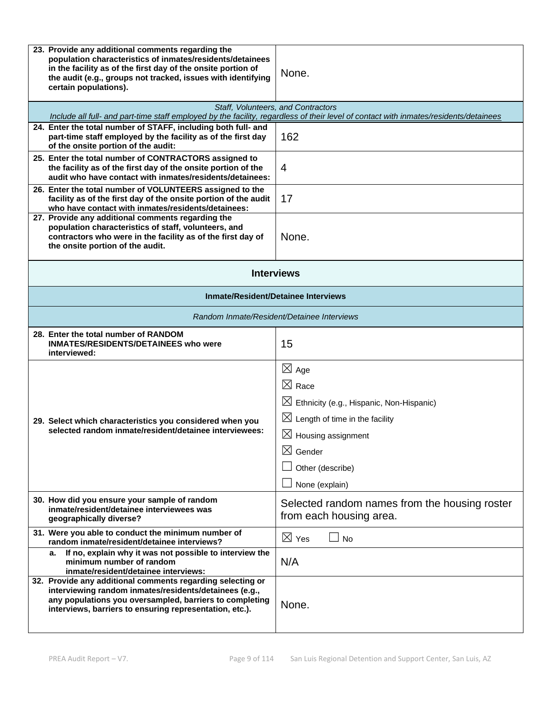| 23. Provide any additional comments regarding the<br>population characteristics of inmates/residents/detainees<br>in the facility as of the first day of the onsite portion of<br>the audit (e.g., groups not tracked, issues with identifying<br>certain populations). | None.                                                                                                                                                                                                                                   |  |  |
|-------------------------------------------------------------------------------------------------------------------------------------------------------------------------------------------------------------------------------------------------------------------------|-----------------------------------------------------------------------------------------------------------------------------------------------------------------------------------------------------------------------------------------|--|--|
|                                                                                                                                                                                                                                                                         | Staff, Volunteers, and Contractors<br>Include all full- and part-time staff employed by the facility, regardless of their level of contact with inmates/residents/detainees                                                             |  |  |
| 24. Enter the total number of STAFF, including both full- and<br>part-time staff employed by the facility as of the first day<br>of the onsite portion of the audit:                                                                                                    | 162                                                                                                                                                                                                                                     |  |  |
| 25. Enter the total number of CONTRACTORS assigned to<br>the facility as of the first day of the onsite portion of the<br>audit who have contact with inmates/residents/detainees:                                                                                      | 4                                                                                                                                                                                                                                       |  |  |
| 26. Enter the total number of VOLUNTEERS assigned to the<br>facility as of the first day of the onsite portion of the audit<br>who have contact with inmates/residents/detainees:                                                                                       | 17                                                                                                                                                                                                                                      |  |  |
| 27. Provide any additional comments regarding the<br>population characteristics of staff, volunteers, and<br>contractors who were in the facility as of the first day of<br>the onsite portion of the audit.                                                            | None.                                                                                                                                                                                                                                   |  |  |
| <b>Interviews</b>                                                                                                                                                                                                                                                       |                                                                                                                                                                                                                                         |  |  |
| <b>Inmate/Resident/Detainee Interviews</b>                                                                                                                                                                                                                              |                                                                                                                                                                                                                                         |  |  |
| Random Inmate/Resident/Detainee Interviews                                                                                                                                                                                                                              |                                                                                                                                                                                                                                         |  |  |
| 28. Enter the total number of RANDOM<br><b>INMATES/RESIDENTS/DETAINEES who were</b><br>interviewed:                                                                                                                                                                     | 15                                                                                                                                                                                                                                      |  |  |
| 29. Select which characteristics you considered when you<br>selected random inmate/resident/detainee interviewees:                                                                                                                                                      | $\boxtimes$ Age<br>$\boxtimes$ Race<br>$\boxtimes$ Ethnicity (e.g., Hispanic, Non-Hispanic)<br>$\boxtimes$ Length of time in the facility<br>$\boxtimes$ Housing assignment<br>$\boxtimes$ Gender<br>Other (describe)<br>None (explain) |  |  |
| 30. How did you ensure your sample of random<br>inmate/resident/detainee interviewees was<br>geographically diverse?                                                                                                                                                    | Selected random names from the housing roster<br>from each housing area.                                                                                                                                                                |  |  |
| 31. Were you able to conduct the minimum number of<br>random inmate/resident/detainee interviews?                                                                                                                                                                       | $\boxtimes$ Yes<br><b>No</b>                                                                                                                                                                                                            |  |  |
| If no, explain why it was not possible to interview the<br>а.<br>minimum number of random<br>inmate/resident/detainee interviews:                                                                                                                                       | N/A                                                                                                                                                                                                                                     |  |  |
| 32. Provide any additional comments regarding selecting or<br>interviewing random inmates/residents/detainees (e.g.,<br>any populations you oversampled, barriers to completing<br>interviews, barriers to ensuring representation, etc.).                              | None.                                                                                                                                                                                                                                   |  |  |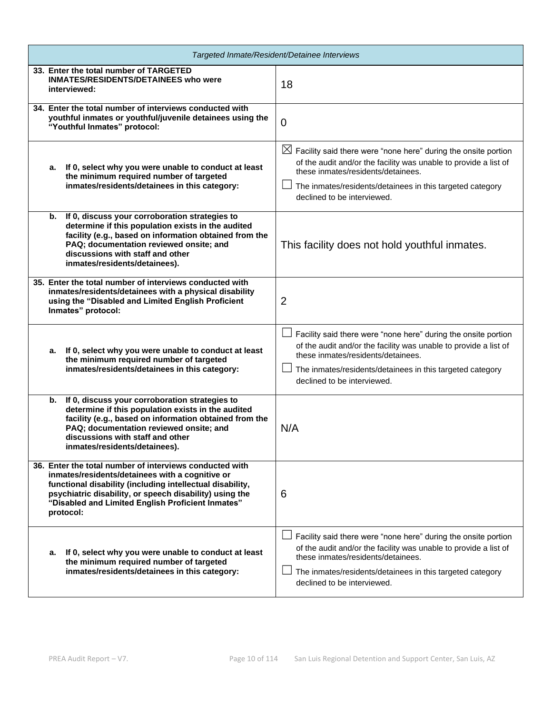| Targeted Inmate/Resident/Detainee Interviews                                                                                                                                                                                                                                                         |                                                                                                                                                                                                                                                                                  |  |  |
|------------------------------------------------------------------------------------------------------------------------------------------------------------------------------------------------------------------------------------------------------------------------------------------------------|----------------------------------------------------------------------------------------------------------------------------------------------------------------------------------------------------------------------------------------------------------------------------------|--|--|
| 33. Enter the total number of TARGETED<br><b>INMATES/RESIDENTS/DETAINEES who were</b><br>interviewed:                                                                                                                                                                                                | 18                                                                                                                                                                                                                                                                               |  |  |
| 34. Enter the total number of interviews conducted with<br>youthful inmates or youthful/juvenile detainees using the<br>"Youthful Inmates" protocol:                                                                                                                                                 | $\overline{0}$                                                                                                                                                                                                                                                                   |  |  |
| a. If 0, select why you were unable to conduct at least<br>the minimum required number of targeted<br>inmates/residents/detainees in this category:                                                                                                                                                  | $\boxtimes$ Facility said there were "none here" during the onsite portion<br>of the audit and/or the facility was unable to provide a list of<br>these inmates/residents/detainees.<br>The inmates/residents/detainees in this targeted category<br>declined to be interviewed. |  |  |
| If 0, discuss your corroboration strategies to<br>b.<br>determine if this population exists in the audited<br>facility (e.g., based on information obtained from the<br>PAQ; documentation reviewed onsite; and<br>discussions with staff and other<br>inmates/residents/detainees).                 | This facility does not hold youthful inmates.                                                                                                                                                                                                                                    |  |  |
| 35. Enter the total number of interviews conducted with<br>inmates/residents/detainees with a physical disability<br>using the "Disabled and Limited English Proficient<br>Inmates" protocol:                                                                                                        | $\overline{2}$                                                                                                                                                                                                                                                                   |  |  |
| If 0, select why you were unable to conduct at least<br>а.<br>the minimum required number of targeted<br>inmates/residents/detainees in this category:                                                                                                                                               | Facility said there were "none here" during the onsite portion<br>of the audit and/or the facility was unable to provide a list of<br>these inmates/residents/detainees.<br>The inmates/residents/detainees in this targeted category<br>declined to be interviewed.             |  |  |
| b. If 0, discuss your corroboration strategies to<br>determine if this population exists in the audited<br>facility (e.g., based on information obtained from the<br>PAQ; documentation reviewed onsite; and<br>discussions with staff and other<br>inmates/residents/detainees).                    | N/A                                                                                                                                                                                                                                                                              |  |  |
| 36. Enter the total number of interviews conducted with<br>inmates/residents/detainees with a cognitive or<br>functional disability (including intellectual disability,<br>psychiatric disability, or speech disability) using the<br>"Disabled and Limited English Proficient Inmates"<br>protocol: | 6                                                                                                                                                                                                                                                                                |  |  |
| If 0, select why you were unable to conduct at least<br>а.<br>the minimum required number of targeted<br>inmates/residents/detainees in this category:                                                                                                                                               | Facility said there were "none here" during the onsite portion<br>of the audit and/or the facility was unable to provide a list of<br>these inmates/residents/detainees.<br>The inmates/residents/detainees in this targeted category<br>declined to be interviewed.             |  |  |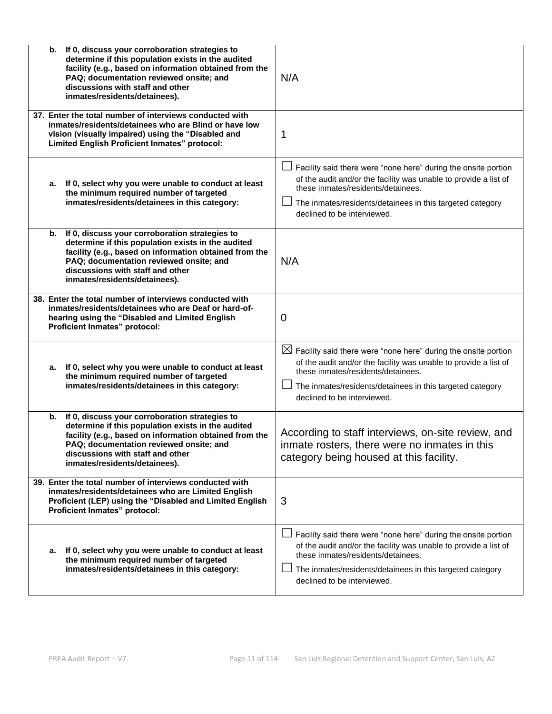| If 0, discuss your corroboration strategies to<br>b.<br>determine if this population exists in the audited<br>facility (e.g., based on information obtained from the<br>PAQ; documentation reviewed onsite; and<br>discussions with staff and other<br>inmates/residents/detainees). | N/A                                                                                                                                                                                                                                                                              |
|--------------------------------------------------------------------------------------------------------------------------------------------------------------------------------------------------------------------------------------------------------------------------------------|----------------------------------------------------------------------------------------------------------------------------------------------------------------------------------------------------------------------------------------------------------------------------------|
| 37. Enter the total number of interviews conducted with<br>inmates/residents/detainees who are Blind or have low<br>vision (visually impaired) using the "Disabled and<br>Limited English Proficient Inmates" protocol:                                                              | 1                                                                                                                                                                                                                                                                                |
| a. If 0, select why you were unable to conduct at least<br>the minimum required number of targeted<br>inmates/residents/detainees in this category:                                                                                                                                  | Facility said there were "none here" during the onsite portion<br>of the audit and/or the facility was unable to provide a list of<br>these inmates/residents/detainees.<br>The inmates/residents/detainees in this targeted category<br>declined to be interviewed.             |
| If 0, discuss your corroboration strategies to<br>b.<br>determine if this population exists in the audited<br>facility (e.g., based on information obtained from the<br>PAQ; documentation reviewed onsite; and<br>discussions with staff and other<br>inmates/residents/detainees). | N/A                                                                                                                                                                                                                                                                              |
| 38. Enter the total number of interviews conducted with<br>inmates/residents/detainees who are Deaf or hard-of-<br>hearing using the "Disabled and Limited English<br>Proficient Inmates" protocol:                                                                                  | 0                                                                                                                                                                                                                                                                                |
| If 0, select why you were unable to conduct at least<br>а.<br>the minimum required number of targeted<br>inmates/residents/detainees in this category:                                                                                                                               | $\boxtimes$ Facility said there were "none here" during the onsite portion<br>of the audit and/or the facility was unable to provide a list of<br>these inmates/residents/detainees.<br>The inmates/residents/detainees in this targeted category<br>declined to be interviewed. |
| If 0, discuss your corroboration strategies to<br>b.<br>determine if this population exists in the audited<br>facility (e.g., based on information obtained from the<br>PAQ: documentation reviewed onsite: and<br>discussions with staff and other<br>inmates/residents/detainees). | According to staff interviews, on-site review, and<br>inmate rosters, there were no inmates in this<br>category being housed at this facility.                                                                                                                                   |
| 39. Enter the total number of interviews conducted with<br>inmates/residents/detainees who are Limited English<br>Proficient (LEP) using the "Disabled and Limited English<br>Proficient Inmates" protocol:                                                                          | 3                                                                                                                                                                                                                                                                                |
| If 0, select why you were unable to conduct at least<br>а.<br>the minimum required number of targeted<br>inmates/residents/detainees in this category:                                                                                                                               | Facility said there were "none here" during the onsite portion<br>of the audit and/or the facility was unable to provide a list of<br>these inmates/residents/detainees.<br>The inmates/residents/detainees in this targeted category<br>declined to be interviewed.             |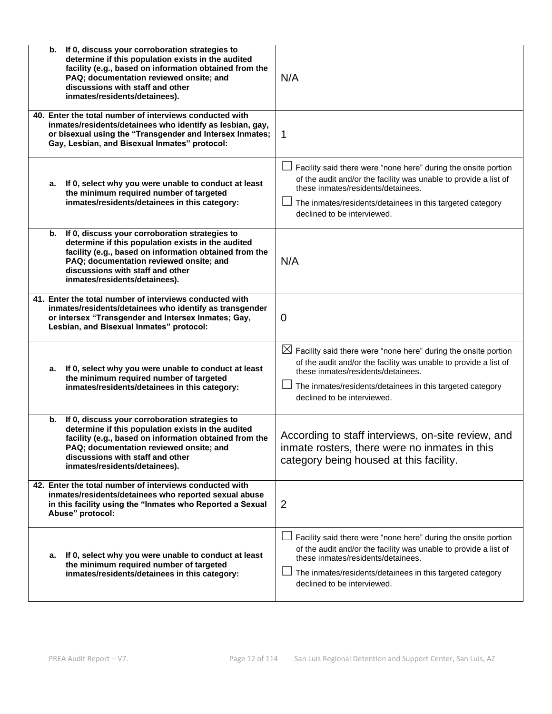| If 0, discuss your corroboration strategies to<br>b.<br>determine if this population exists in the audited<br>facility (e.g., based on information obtained from the<br>PAQ; documentation reviewed onsite; and<br>discussions with staff and other<br>inmates/residents/detainees). | N/A                                                                                                                                                                                                                                                                              |
|--------------------------------------------------------------------------------------------------------------------------------------------------------------------------------------------------------------------------------------------------------------------------------------|----------------------------------------------------------------------------------------------------------------------------------------------------------------------------------------------------------------------------------------------------------------------------------|
| 40. Enter the total number of interviews conducted with<br>inmates/residents/detainees who identify as lesbian, gay,<br>or bisexual using the "Transgender and Intersex Inmates;<br>Gay, Lesbian, and Bisexual Inmates" protocol:                                                    | 1                                                                                                                                                                                                                                                                                |
| If 0, select why you were unable to conduct at least<br>а.<br>the minimum required number of targeted<br>inmates/residents/detainees in this category:                                                                                                                               | Facility said there were "none here" during the onsite portion<br>of the audit and/or the facility was unable to provide a list of<br>these inmates/residents/detainees.<br>The inmates/residents/detainees in this targeted category<br>declined to be interviewed.             |
| If 0, discuss your corroboration strategies to<br>b.<br>determine if this population exists in the audited<br>facility (e.g., based on information obtained from the<br>PAQ; documentation reviewed onsite; and<br>discussions with staff and other<br>inmates/residents/detainees). | N/A                                                                                                                                                                                                                                                                              |
| 41. Enter the total number of interviews conducted with<br>inmates/residents/detainees who identify as transgender<br>or intersex "Transgender and Intersex Inmates; Gay,<br>Lesbian, and Bisexual Inmates" protocol:                                                                | $\mathbf 0$                                                                                                                                                                                                                                                                      |
| If 0, select why you were unable to conduct at least<br>а.<br>the minimum required number of targeted<br>inmates/residents/detainees in this category:                                                                                                                               | $\boxtimes$ Facility said there were "none here" during the onsite portion<br>of the audit and/or the facility was unable to provide a list of<br>these inmates/residents/detainees.<br>The inmates/residents/detainees in this targeted category<br>declined to be interviewed. |
| If 0, discuss your corroboration strategies to<br>b.<br>determine if this population exists in the audited<br>facility (e.g., based on information obtained from the<br>PAQ; documentation reviewed onsite; and<br>discussions with staff and other<br>inmates/residents/detainees). | According to staff interviews, on-site review, and<br>inmate rosters, there were no inmates in this<br>category being housed at this facility.                                                                                                                                   |
| 42. Enter the total number of interviews conducted with<br>inmates/residents/detainees who reported sexual abuse<br>in this facility using the "Inmates who Reported a Sexual<br>Abuse" protocol:                                                                                    | 2                                                                                                                                                                                                                                                                                |
| If 0, select why you were unable to conduct at least<br>а.<br>the minimum required number of targeted<br>inmates/residents/detainees in this category:                                                                                                                               | Facility said there were "none here" during the onsite portion<br>of the audit and/or the facility was unable to provide a list of<br>these inmates/residents/detainees.<br>The inmates/residents/detainees in this targeted category<br>declined to be interviewed.             |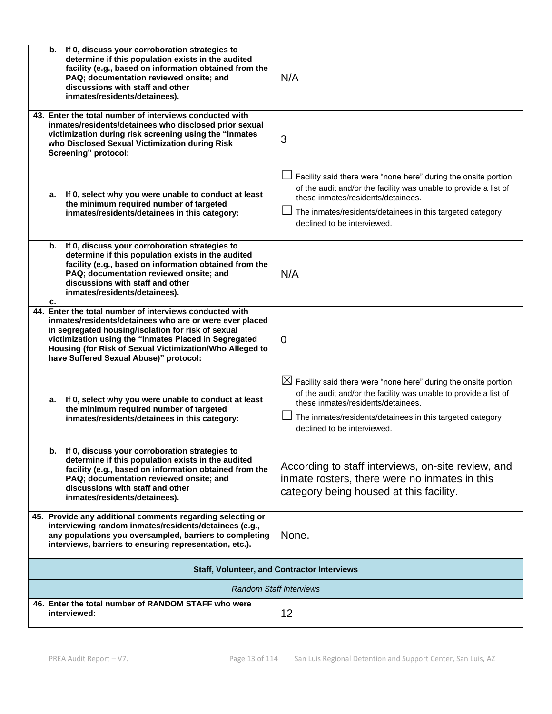| If 0, discuss your corroboration strategies to<br>b.<br>determine if this population exists in the audited<br>facility (e.g., based on information obtained from the<br>PAQ; documentation reviewed onsite; and<br>discussions with staff and other<br>inmates/residents/detainees).                                                    | N/A                                                                                                                                                                                                                                                                              |  |  |  |
|-----------------------------------------------------------------------------------------------------------------------------------------------------------------------------------------------------------------------------------------------------------------------------------------------------------------------------------------|----------------------------------------------------------------------------------------------------------------------------------------------------------------------------------------------------------------------------------------------------------------------------------|--|--|--|
| 43. Enter the total number of interviews conducted with<br>inmates/residents/detainees who disclosed prior sexual<br>victimization during risk screening using the "Inmates<br>who Disclosed Sexual Victimization during Risk<br>Screening" protocol:                                                                                   | 3                                                                                                                                                                                                                                                                                |  |  |  |
| a. If 0, select why you were unable to conduct at least<br>the minimum required number of targeted<br>inmates/residents/detainees in this category:                                                                                                                                                                                     | Facility said there were "none here" during the onsite portion<br>of the audit and/or the facility was unable to provide a list of<br>these inmates/residents/detainees.<br>The inmates/residents/detainees in this targeted category<br>declined to be interviewed.             |  |  |  |
| If 0, discuss your corroboration strategies to<br>b.<br>determine if this population exists in the audited<br>facility (e.g., based on information obtained from the<br>PAQ; documentation reviewed onsite; and<br>discussions with staff and other<br>inmates/residents/detainees).<br>c.                                              | N/A                                                                                                                                                                                                                                                                              |  |  |  |
| 44. Enter the total number of interviews conducted with<br>inmates/residents/detainees who are or were ever placed<br>in segregated housing/isolation for risk of sexual<br>victimization using the "Inmates Placed in Segregated<br>Housing (for Risk of Sexual Victimization/Who Alleged to<br>have Suffered Sexual Abuse)" protocol: | $\Omega$                                                                                                                                                                                                                                                                         |  |  |  |
| If 0, select why you were unable to conduct at least<br>а.<br>the minimum required number of targeted<br>inmates/residents/detainees in this category:                                                                                                                                                                                  | $\boxtimes$ Facility said there were "none here" during the onsite portion<br>of the audit and/or the facility was unable to provide a list of<br>these inmates/residents/detainees.<br>The inmates/residents/detainees in this targeted category<br>declined to be interviewed. |  |  |  |
| b. If 0, discuss your corroboration strategies to<br>determine if this population exists in the audited<br>facility (e.g., based on information obtained from the<br>PAQ; documentation reviewed onsite; and<br>discussions with staff and other<br>inmates/residents/detainees).                                                       | According to staff interviews, on-site review, and<br>inmate rosters, there were no inmates in this<br>category being housed at this facility.                                                                                                                                   |  |  |  |
| 45. Provide any additional comments regarding selecting or<br>interviewing random inmates/residents/detainees (e.g.,<br>any populations you oversampled, barriers to completing<br>interviews, barriers to ensuring representation, etc.).                                                                                              | None.                                                                                                                                                                                                                                                                            |  |  |  |
| <b>Staff, Volunteer, and Contractor Interviews</b>                                                                                                                                                                                                                                                                                      |                                                                                                                                                                                                                                                                                  |  |  |  |
|                                                                                                                                                                                                                                                                                                                                         | <b>Random Staff Interviews</b>                                                                                                                                                                                                                                                   |  |  |  |
| 46. Enter the total number of RANDOM STAFF who were<br>interviewed:                                                                                                                                                                                                                                                                     | 12                                                                                                                                                                                                                                                                               |  |  |  |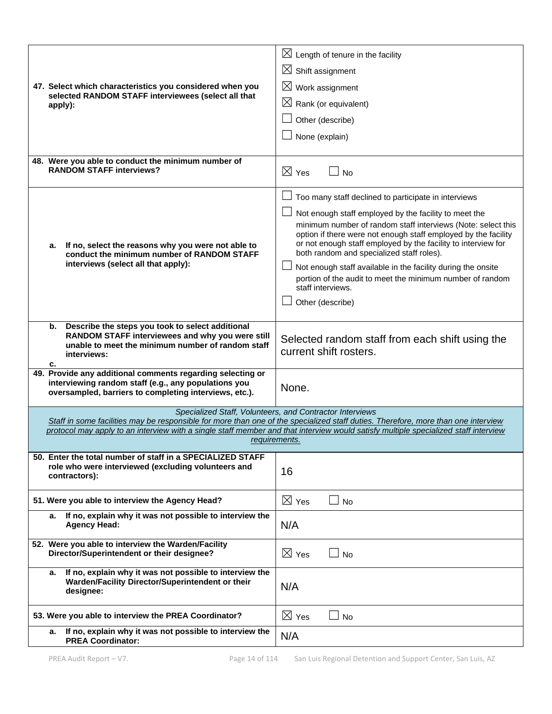| 47. Select which characteristics you considered when you<br>selected RANDOM STAFF interviewees (select all that<br>apply):                                                           | $\boxtimes$ Length of tenure in the facility<br>$\boxtimes$ Shift assignment<br>$\boxtimes$ Work assignment<br>$\boxtimes$ Rank (or equivalent)<br>Other (describe)<br>None (explain)                                                                                                                                                                                                                                                                                                                                               |
|--------------------------------------------------------------------------------------------------------------------------------------------------------------------------------------|-------------------------------------------------------------------------------------------------------------------------------------------------------------------------------------------------------------------------------------------------------------------------------------------------------------------------------------------------------------------------------------------------------------------------------------------------------------------------------------------------------------------------------------|
| 48. Were you able to conduct the minimum number of<br><b>RANDOM STAFF interviews?</b>                                                                                                | $\boxtimes$ Yes<br><b>No</b>                                                                                                                                                                                                                                                                                                                                                                                                                                                                                                        |
| If no, select the reasons why you were not able to<br>а.<br>conduct the minimum number of RANDOM STAFF<br>interviews (select all that apply):                                        | Too many staff declined to participate in interviews<br>Not enough staff employed by the facility to meet the<br>minimum number of random staff interviews (Note: select this<br>option if there were not enough staff employed by the facility<br>or not enough staff employed by the facility to interview for<br>both random and specialized staff roles).<br>Not enough staff available in the facility during the onsite<br>portion of the audit to meet the minimum number of random<br>staff interviews.<br>Other (describe) |
| Describe the steps you took to select additional<br>b.<br>RANDOM STAFF interviewees and why you were still<br>unable to meet the minimum number of random staff<br>interviews:<br>с. | Selected random staff from each shift using the<br>current shift rosters.                                                                                                                                                                                                                                                                                                                                                                                                                                                           |
| 49. Provide any additional comments regarding selecting or<br>interviewing random staff (e.g., any populations you<br>oversampled, barriers to completing interviews, etc.).         | None.                                                                                                                                                                                                                                                                                                                                                                                                                                                                                                                               |
|                                                                                                                                                                                      | Specialized Staff, Volunteers, and Contractor Interviews<br>Staff in some facilities may be responsible for more than one of the specialized staff duties. Therefore, more than one interview<br>protocol may apply to an interview with a single staff member and that interview would satisfy multiple specialized staff interview<br>requirements.                                                                                                                                                                               |
| 50. Enter the total number of staff in a SPECIALIZED STAFF<br>role who were interviewed (excluding volunteers and<br>contractors):                                                   | 16                                                                                                                                                                                                                                                                                                                                                                                                                                                                                                                                  |
| 51. Were you able to interview the Agency Head?                                                                                                                                      | $\boxtimes$ Yes<br><b>No</b>                                                                                                                                                                                                                                                                                                                                                                                                                                                                                                        |
| If no, explain why it was not possible to interview the<br>а.<br><b>Agency Head:</b>                                                                                                 | N/A                                                                                                                                                                                                                                                                                                                                                                                                                                                                                                                                 |
| 52. Were you able to interview the Warden/Facility<br>Director/Superintendent or their designee?                                                                                     | $\boxtimes$ Yes<br><b>No</b>                                                                                                                                                                                                                                                                                                                                                                                                                                                                                                        |
| If no, explain why it was not possible to interview the<br>а.<br>Warden/Facility Director/Superintendent or their<br>designee:                                                       | N/A                                                                                                                                                                                                                                                                                                                                                                                                                                                                                                                                 |
| 53. Were you able to interview the PREA Coordinator?                                                                                                                                 | $\boxtimes$ Yes<br><b>No</b>                                                                                                                                                                                                                                                                                                                                                                                                                                                                                                        |
| If no, explain why it was not possible to interview the<br>а.<br><b>PREA Coordinator:</b>                                                                                            | N/A                                                                                                                                                                                                                                                                                                                                                                                                                                                                                                                                 |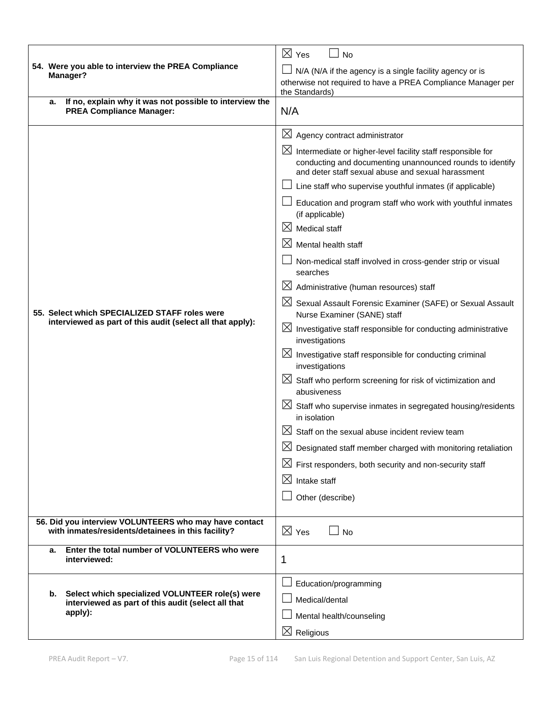|                                                                                                             | $\boxtimes$ Yes<br><b>No</b>                                                                                                                                                                  |  |  |  |
|-------------------------------------------------------------------------------------------------------------|-----------------------------------------------------------------------------------------------------------------------------------------------------------------------------------------------|--|--|--|
| 54. Were you able to interview the PREA Compliance                                                          | N/A (N/A if the agency is a single facility agency or is                                                                                                                                      |  |  |  |
| Manager?                                                                                                    | otherwise not required to have a PREA Compliance Manager per                                                                                                                                  |  |  |  |
| If no, explain why it was not possible to interview the<br>a.                                               | the Standards)                                                                                                                                                                                |  |  |  |
| <b>PREA Compliance Manager:</b>                                                                             | N/A                                                                                                                                                                                           |  |  |  |
|                                                                                                             | $\boxtimes$<br>Agency contract administrator                                                                                                                                                  |  |  |  |
|                                                                                                             | $\boxtimes$<br>Intermediate or higher-level facility staff responsible for<br>conducting and documenting unannounced rounds to identify<br>and deter staff sexual abuse and sexual harassment |  |  |  |
|                                                                                                             | Line staff who supervise youthful inmates (if applicable)                                                                                                                                     |  |  |  |
|                                                                                                             | Education and program staff who work with youthful inmates<br>(if applicable)                                                                                                                 |  |  |  |
|                                                                                                             | $\boxtimes$<br>Medical staff                                                                                                                                                                  |  |  |  |
|                                                                                                             | $\boxtimes$<br>Mental health staff                                                                                                                                                            |  |  |  |
|                                                                                                             | Non-medical staff involved in cross-gender strip or visual<br>searches                                                                                                                        |  |  |  |
|                                                                                                             | $\boxtimes$<br>Administrative (human resources) staff                                                                                                                                         |  |  |  |
| 55. Select which SPECIALIZED STAFF roles were<br>interviewed as part of this audit (select all that apply): | $\boxtimes$<br>Sexual Assault Forensic Examiner (SAFE) or Sexual Assault<br>Nurse Examiner (SANE) staff                                                                                       |  |  |  |
|                                                                                                             | $\boxtimes$ Investigative staff responsible for conducting administrative<br>investigations                                                                                                   |  |  |  |
|                                                                                                             | $\boxtimes$ Investigative staff responsible for conducting criminal<br>investigations                                                                                                         |  |  |  |
|                                                                                                             | $\boxtimes$ Staff who perform screening for risk of victimization and<br>abusiveness                                                                                                          |  |  |  |
|                                                                                                             | $\boxtimes$ Staff who supervise inmates in segregated housing/residents<br>in isolation                                                                                                       |  |  |  |
|                                                                                                             | IХI<br>Staff on the sexual abuse incident review team                                                                                                                                         |  |  |  |
|                                                                                                             | Designated staff member charged with monitoring retaliation                                                                                                                                   |  |  |  |
|                                                                                                             | $\boxtimes$ First responders, both security and non-security staff                                                                                                                            |  |  |  |
|                                                                                                             | $\boxtimes$<br>Intake staff                                                                                                                                                                   |  |  |  |
|                                                                                                             | Other (describe)                                                                                                                                                                              |  |  |  |
| 56. Did you interview VOLUNTEERS who may have contact<br>with inmates/residents/detainees in this facility? | $\boxtimes$ Yes<br><b>No</b>                                                                                                                                                                  |  |  |  |
| Enter the total number of VOLUNTEERS who were<br>а.<br>interviewed:                                         | 1                                                                                                                                                                                             |  |  |  |
|                                                                                                             | Education/programming                                                                                                                                                                         |  |  |  |
| Select which specialized VOLUNTEER role(s) were<br>b.<br>interviewed as part of this audit (select all that | Medical/dental                                                                                                                                                                                |  |  |  |
| apply):                                                                                                     | Mental health/counseling                                                                                                                                                                      |  |  |  |
|                                                                                                             | $\boxtimes$ Religious                                                                                                                                                                         |  |  |  |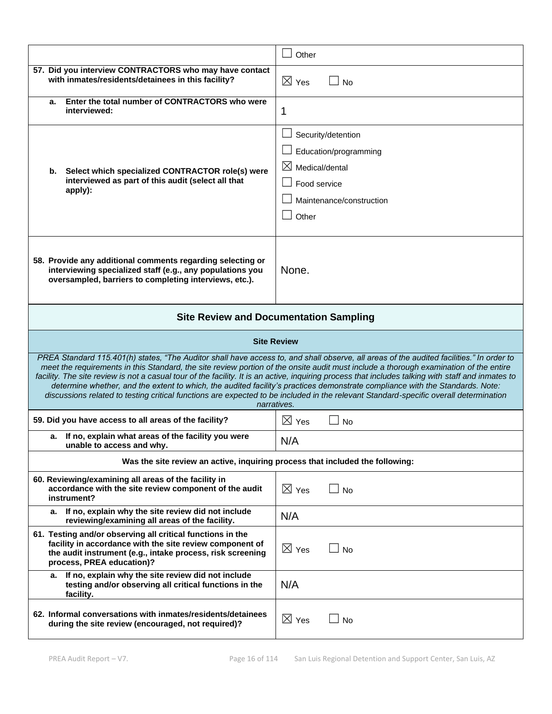|                                                                                                                                                                                                                                                                                                                                                                                                                                                                                                                                                                                                                                                                                                                   | Other                                                                                                                          |  |  |  |
|-------------------------------------------------------------------------------------------------------------------------------------------------------------------------------------------------------------------------------------------------------------------------------------------------------------------------------------------------------------------------------------------------------------------------------------------------------------------------------------------------------------------------------------------------------------------------------------------------------------------------------------------------------------------------------------------------------------------|--------------------------------------------------------------------------------------------------------------------------------|--|--|--|
| 57. Did you interview CONTRACTORS who may have contact<br>with inmates/residents/detainees in this facility?                                                                                                                                                                                                                                                                                                                                                                                                                                                                                                                                                                                                      | $\boxtimes$ Yes<br><b>No</b>                                                                                                   |  |  |  |
| Enter the total number of CONTRACTORS who were<br>а.<br>interviewed:                                                                                                                                                                                                                                                                                                                                                                                                                                                                                                                                                                                                                                              | 1                                                                                                                              |  |  |  |
| Select which specialized CONTRACTOR role(s) were<br>b.<br>interviewed as part of this audit (select all that<br>apply):                                                                                                                                                                                                                                                                                                                                                                                                                                                                                                                                                                                           | Security/detention<br>Education/programming<br>$\boxtimes$ Medical/dental<br>Food service<br>Maintenance/construction<br>Other |  |  |  |
| 58. Provide any additional comments regarding selecting or<br>interviewing specialized staff (e.g., any populations you<br>oversampled, barriers to completing interviews, etc.).                                                                                                                                                                                                                                                                                                                                                                                                                                                                                                                                 | None.                                                                                                                          |  |  |  |
| <b>Site Review and Documentation Sampling</b>                                                                                                                                                                                                                                                                                                                                                                                                                                                                                                                                                                                                                                                                     |                                                                                                                                |  |  |  |
| <b>Site Review</b>                                                                                                                                                                                                                                                                                                                                                                                                                                                                                                                                                                                                                                                                                                |                                                                                                                                |  |  |  |
| PREA Standard 115.401(h) states, "The Auditor shall have access to, and shall observe, all areas of the audited facilities." In order to<br>meet the requirements in this Standard, the site review portion of the onsite audit must include a thorough examination of the entire<br>facility. The site review is not a casual tour of the facility. It is an active, inquiring process that includes talking with staff and inmates to<br>determine whether, and the extent to which, the audited facility's practices demonstrate compliance with the Standards. Note:<br>discussions related to testing critical functions are expected to be included in the relevant Standard-specific overall determination |                                                                                                                                |  |  |  |
|                                                                                                                                                                                                                                                                                                                                                                                                                                                                                                                                                                                                                                                                                                                   | narratives.                                                                                                                    |  |  |  |
| 59. Did you have access to all areas of the facility?                                                                                                                                                                                                                                                                                                                                                                                                                                                                                                                                                                                                                                                             | $\boxtimes$ Yes<br><b>No</b>                                                                                                   |  |  |  |
| a. If no, explain what areas of the facility you were<br>unable to access and why.                                                                                                                                                                                                                                                                                                                                                                                                                                                                                                                                                                                                                                | N/A                                                                                                                            |  |  |  |
| Was the site review an active, inquiring process that included the following:                                                                                                                                                                                                                                                                                                                                                                                                                                                                                                                                                                                                                                     |                                                                                                                                |  |  |  |
| 60. Reviewing/examining all areas of the facility in<br>accordance with the site review component of the audit<br>instrument?                                                                                                                                                                                                                                                                                                                                                                                                                                                                                                                                                                                     | $\boxtimes$ Yes<br><b>No</b>                                                                                                   |  |  |  |
| a. If no, explain why the site review did not include<br>reviewing/examining all areas of the facility.                                                                                                                                                                                                                                                                                                                                                                                                                                                                                                                                                                                                           | N/A                                                                                                                            |  |  |  |
| 61. Testing and/or observing all critical functions in the<br>facility in accordance with the site review component of<br>the audit instrument (e.g., intake process, risk screening<br>process, PREA education)?                                                                                                                                                                                                                                                                                                                                                                                                                                                                                                 | $\boxtimes$ Yes<br><b>No</b>                                                                                                   |  |  |  |
| If no, explain why the site review did not include<br>а.<br>testing and/or observing all critical functions in the<br>facility.                                                                                                                                                                                                                                                                                                                                                                                                                                                                                                                                                                                   | N/A                                                                                                                            |  |  |  |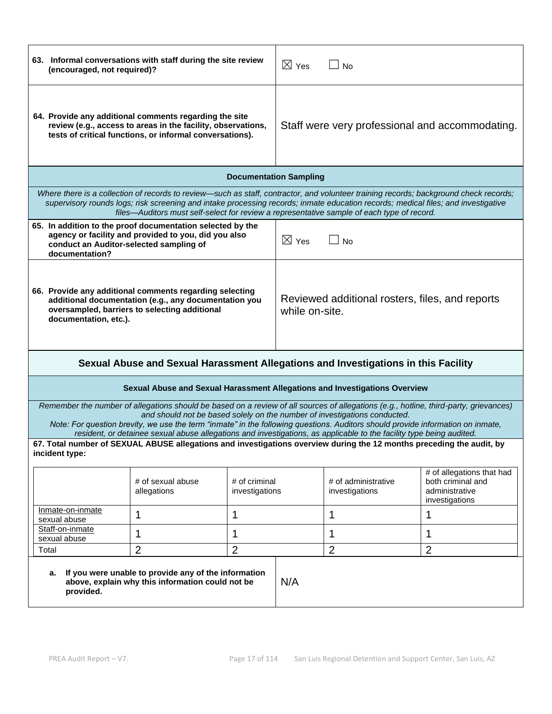| 63. Informal conversations with staff during the site review<br>(encouraged, not required)?                                                                                                                                                                                                                                                                                                                                                                                   | $\boxtimes$ Yes                 | <b>No</b>                                                         |                                                                                    |  |  |
|-------------------------------------------------------------------------------------------------------------------------------------------------------------------------------------------------------------------------------------------------------------------------------------------------------------------------------------------------------------------------------------------------------------------------------------------------------------------------------|---------------------------------|-------------------------------------------------------------------|------------------------------------------------------------------------------------|--|--|
| 64. Provide any additional comments regarding the site<br>review (e.g., access to areas in the facility, observations,<br>tests of critical functions, or informal conversations).                                                                                                                                                                                                                                                                                            |                                 | Staff were very professional and accommodating.                   |                                                                                    |  |  |
|                                                                                                                                                                                                                                                                                                                                                                                                                                                                               | <b>Documentation Sampling</b>   |                                                                   |                                                                                    |  |  |
| Where there is a collection of records to review—such as staff, contractor, and volunteer training records; background check records;<br>supervisory rounds logs; risk screening and intake processing records; inmate education records; medical files; and investigative<br>files—Auditors must self-select for review a representative sample of each type of record.                                                                                                      |                                 |                                                                   |                                                                                    |  |  |
| 65. In addition to the proof documentation selected by the<br>agency or facility and provided to you, did you also<br>conduct an Auditor-selected sampling of<br>documentation?                                                                                                                                                                                                                                                                                               | $\boxtimes$ Yes                 | <b>No</b>                                                         |                                                                                    |  |  |
| 66. Provide any additional comments regarding selecting<br>additional documentation (e.g., any documentation you<br>oversampled, barriers to selecting additional<br>documentation, etc.).                                                                                                                                                                                                                                                                                    |                                 | Reviewed additional rosters, files, and reports<br>while on-site. |                                                                                    |  |  |
| Sexual Abuse and Sexual Harassment Allegations and Investigations in this Facility                                                                                                                                                                                                                                                                                                                                                                                            |                                 |                                                                   |                                                                                    |  |  |
| Sexual Abuse and Sexual Harassment Allegations and Investigations Overview                                                                                                                                                                                                                                                                                                                                                                                                    |                                 |                                                                   |                                                                                    |  |  |
| Remember the number of allegations should be based on a review of all sources of allegations (e.g., hotline, third-party, grievances)<br>and should not be based solely on the number of investigations conducted.<br>Note: For question brevity, we use the term "inmate" in the following questions. Auditors should provide information on inmate,<br>resident, or detainee sexual abuse allegations and investigations, as applicable to the facility type being audited. |                                 |                                                                   |                                                                                    |  |  |
| 67. Total number of SEXUAL ABUSE allegations and investigations overview during the 12 months preceding the audit, by<br>incident type:                                                                                                                                                                                                                                                                                                                                       |                                 |                                                                   |                                                                                    |  |  |
| # of sexual abuse<br>allegations                                                                                                                                                                                                                                                                                                                                                                                                                                              | # of criminal<br>investigations | # of administrative<br>investigations                             | # of allegations that had<br>both criminal and<br>administrative<br>investigations |  |  |
| Inmate-on-inmate<br>1<br>1<br>sexual abuse                                                                                                                                                                                                                                                                                                                                                                                                                                    |                                 | 1                                                                 | 1                                                                                  |  |  |
| Staff-on-inmate<br>1<br>1<br>sexual abuse                                                                                                                                                                                                                                                                                                                                                                                                                                     |                                 | 1                                                                 | 1                                                                                  |  |  |
| $\overline{2}$<br>$\overline{2}$<br>Total                                                                                                                                                                                                                                                                                                                                                                                                                                     |                                 | $\overline{2}$                                                    | $\overline{2}$                                                                     |  |  |
| If you were unable to provide any of the information<br>а.<br>N/A<br>above, explain why this information could not be<br>provided.                                                                                                                                                                                                                                                                                                                                            |                                 |                                                                   |                                                                                    |  |  |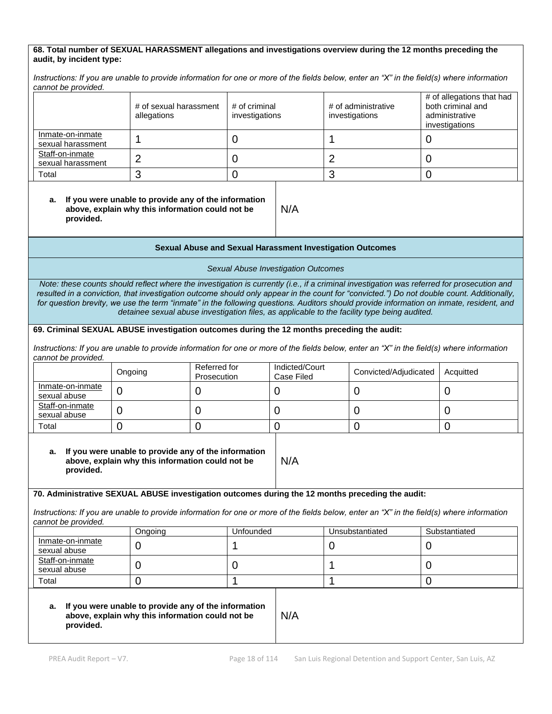#### **68. Total number of SEXUAL HARASSMENT allegations and investigations overview during the 12 months preceding the audit, by incident type:**

*Instructions: If you are unable to provide information for one or more of the fields below, enter an "X" in the field(s) where information cannot be provided.*

|                                       | # of sexual harassment<br>allegations | # of criminal<br>investigations | # of administrative<br>investigations | # of allegations that had<br>both criminal and<br>administrative<br>investigations |
|---------------------------------------|---------------------------------------|---------------------------------|---------------------------------------|------------------------------------------------------------------------------------|
| Inmate-on-inmate<br>sexual harassment |                                       |                                 |                                       |                                                                                    |
| Staff-on-inmate<br>sexual harassment  |                                       |                                 |                                       |                                                                                    |
| Total                                 |                                       |                                 |                                       |                                                                                    |

#### **a. If you were unable to provide any of the information above, explain why this information could not be provided.**

#### **Sexual Abuse and Sexual Harassment Investigation Outcomes**

N/A

*Sexual Abuse Investigation Outcomes* 

*Note: these counts should reflect where the investigation is currently (i.e., if a criminal investigation was referred for prosecution and resulted in a conviction, that investigation outcome should only appear in the count for "convicted.") Do not double count. Additionally, for question brevity, we use the term "inmate" in the following questions. Auditors should provide information on inmate, resident, and detainee sexual abuse investigation files, as applicable to the facility type being audited.*

#### **69. Criminal SEXUAL ABUSE investigation outcomes during the 12 months preceding the audit:**

*Instructions: If you are unable to provide information for one or more of the fields below, enter an "X" in the field(s) where information cannot be provided.*

|                                  | Ongoing | Referred for<br>Prosecution | Indicted/Court<br>Case Filed | Convicted/Adjudicated | Acquitted |
|----------------------------------|---------|-----------------------------|------------------------------|-----------------------|-----------|
| Inmate-on-inmate<br>sexual abuse |         |                             |                              |                       |           |
| Staff-on-inmate<br>sexual abuse  |         |                             |                              |                       |           |
| Total                            |         |                             |                              |                       |           |

N/A

#### **a. If you were unable to provide any of the information above, explain why this information could not be provided.**

#### **70. Administrative SEXUAL ABUSE investigation outcomes during the 12 months preceding the audit:**

*Instructions: If you are unable to provide information for one or more of the fields below, enter an "X" in the field(s) where information cannot be provided.*

|                                  | Ongoing | Unfounded | Unsubstantiated | Substantiated |
|----------------------------------|---------|-----------|-----------------|---------------|
| Inmate-on-inmate<br>sexual abuse | ີ       |           |                 |               |
| Staff-on-inmate<br>sexual abuse  | ີ       |           |                 |               |
| Total                            |         |           |                 |               |

#### **a. If you were unable to provide any of the information above, explain why this information could not be provided.**

N/A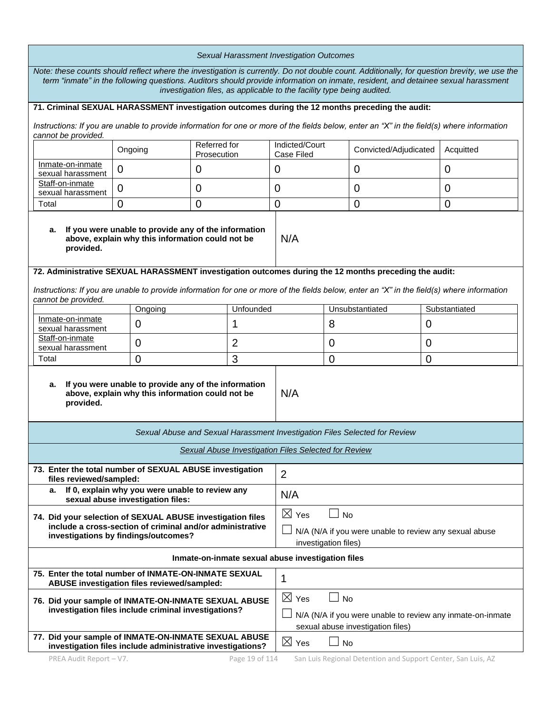| Sexual Harassment Investigation Outcomes                                                                                                                                                                                                                                                                                                                   |                                                                                                          |                                                                                                                |                                                                                                                                 |                                                             |                      |                                                                            |                                                                                                                                            |
|------------------------------------------------------------------------------------------------------------------------------------------------------------------------------------------------------------------------------------------------------------------------------------------------------------------------------------------------------------|----------------------------------------------------------------------------------------------------------|----------------------------------------------------------------------------------------------------------------|---------------------------------------------------------------------------------------------------------------------------------|-------------------------------------------------------------|----------------------|----------------------------------------------------------------------------|--------------------------------------------------------------------------------------------------------------------------------------------|
| Note: these counts should reflect where the investigation is currently. Do not double count. Additionally, for question brevity, we use the<br>term "inmate" in the following questions. Auditors should provide information on inmate, resident, and detainee sexual harassment<br>investigation files, as applicable to the facility type being audited. |                                                                                                          |                                                                                                                |                                                                                                                                 |                                                             |                      |                                                                            |                                                                                                                                            |
| 71. Criminal SEXUAL HARASSMENT investigation outcomes during the 12 months preceding the audit:                                                                                                                                                                                                                                                            |                                                                                                          |                                                                                                                |                                                                                                                                 |                                                             |                      |                                                                            |                                                                                                                                            |
| cannot be provided.                                                                                                                                                                                                                                                                                                                                        |                                                                                                          |                                                                                                                |                                                                                                                                 |                                                             |                      |                                                                            | Instructions: If you are unable to provide information for one or more of the fields below, enter an "X" in the field(s) where information |
|                                                                                                                                                                                                                                                                                                                                                            | Ongoing                                                                                                  | Referred for<br>Prosecution                                                                                    |                                                                                                                                 | Indicted/Court<br>Case Filed                                |                      | Convicted/Adjudicated                                                      | Acquitted                                                                                                                                  |
| Inmate-on-inmate<br>sexual harassment                                                                                                                                                                                                                                                                                                                      | $\overline{0}$                                                                                           | $\overline{0}$                                                                                                 |                                                                                                                                 | 0                                                           |                      | $\mathbf 0$                                                                | $\overline{0}$                                                                                                                             |
| Staff-on-inmate<br>sexual harassment                                                                                                                                                                                                                                                                                                                       | $\overline{0}$                                                                                           | 0                                                                                                              |                                                                                                                                 | 0                                                           |                      | 0                                                                          | 0                                                                                                                                          |
| Total                                                                                                                                                                                                                                                                                                                                                      | $\overline{0}$                                                                                           | $\overline{0}$                                                                                                 |                                                                                                                                 | $\mathbf 0$                                                 |                      | $\overline{0}$                                                             | $\overline{0}$                                                                                                                             |
| а.<br>provided.                                                                                                                                                                                                                                                                                                                                            | If you were unable to provide any of the information<br>above, explain why this information could not be |                                                                                                                |                                                                                                                                 | N/A                                                         |                      |                                                                            |                                                                                                                                            |
| 72. Administrative SEXUAL HARASSMENT investigation outcomes during the 12 months preceding the audit:                                                                                                                                                                                                                                                      |                                                                                                          |                                                                                                                |                                                                                                                                 |                                                             |                      |                                                                            |                                                                                                                                            |
| cannot be provided.                                                                                                                                                                                                                                                                                                                                        |                                                                                                          |                                                                                                                |                                                                                                                                 |                                                             |                      |                                                                            | Instructions: If you are unable to provide information for one or more of the fields below, enter an "X" in the field(s) where information |
|                                                                                                                                                                                                                                                                                                                                                            | Ongoing                                                                                                  |                                                                                                                | Unfounded                                                                                                                       |                                                             |                      | Unsubstantiated                                                            | Substantiated                                                                                                                              |
| Inmate-on-inmate<br>sexual harassment                                                                                                                                                                                                                                                                                                                      | $\mathbf 0$                                                                                              |                                                                                                                | 1                                                                                                                               |                                                             | 8                    |                                                                            | 0                                                                                                                                          |
| Staff-on-inmate<br>sexual harassment                                                                                                                                                                                                                                                                                                                       | 0                                                                                                        |                                                                                                                | 2                                                                                                                               |                                                             | 0<br>0               |                                                                            |                                                                                                                                            |
| Total                                                                                                                                                                                                                                                                                                                                                      | $\Omega$                                                                                                 | 3                                                                                                              |                                                                                                                                 |                                                             | $\Omega$<br>$\Omega$ |                                                                            |                                                                                                                                            |
| If you were unable to provide any of the information<br>а.<br>above, explain why this information could not be<br>provided.                                                                                                                                                                                                                                |                                                                                                          |                                                                                                                | N/A                                                                                                                             |                                                             |                      |                                                                            |                                                                                                                                            |
|                                                                                                                                                                                                                                                                                                                                                            |                                                                                                          |                                                                                                                |                                                                                                                                 |                                                             |                      | Sexual Abuse and Sexual Harassment Investigation Files Selected for Review |                                                                                                                                            |
|                                                                                                                                                                                                                                                                                                                                                            |                                                                                                          |                                                                                                                |                                                                                                                                 | <b>Sexual Abuse Investigation Files Selected for Review</b> |                      |                                                                            |                                                                                                                                            |
| 73. Enter the total number of SEXUAL ABUSE investigation                                                                                                                                                                                                                                                                                                   |                                                                                                          |                                                                                                                |                                                                                                                                 | 2                                                           |                      |                                                                            |                                                                                                                                            |
| files reviewed/sampled:<br>If 0, explain why you were unable to review any<br>а.<br>sexual abuse investigation files:                                                                                                                                                                                                                                      |                                                                                                          |                                                                                                                | N/A                                                                                                                             |                                                             |                      |                                                                            |                                                                                                                                            |
| 74. Did your selection of SEXUAL ABUSE investigation files<br>include a cross-section of criminal and/or administrative<br>investigations by findings/outcomes?                                                                                                                                                                                            |                                                                                                          | $\boxtimes$ Yes<br><b>No</b><br>N/A (N/A if you were unable to review any sexual abuse<br>investigation files) |                                                                                                                                 |                                                             |                      |                                                                            |                                                                                                                                            |
| Inmate-on-inmate sexual abuse investigation files                                                                                                                                                                                                                                                                                                          |                                                                                                          |                                                                                                                |                                                                                                                                 |                                                             |                      |                                                                            |                                                                                                                                            |
| 75. Enter the total number of INMATE-ON-INMATE SEXUAL                                                                                                                                                                                                                                                                                                      | ABUSE investigation files reviewed/sampled:                                                              |                                                                                                                |                                                                                                                                 | 1                                                           |                      |                                                                            |                                                                                                                                            |
| 76. Did your sample of INMATE-ON-INMATE SEXUAL ABUSE<br>investigation files include criminal investigations?                                                                                                                                                                                                                                               |                                                                                                          |                                                                                                                | $\boxtimes$ Yes<br><b>No</b><br>N/A (N/A if you were unable to review any inmate-on-inmate<br>sexual abuse investigation files) |                                                             |                      |                                                                            |                                                                                                                                            |
| 77. Did your sample of INMATE-ON-INMATE SEXUAL ABUSE<br>investigation files include administrative investigations?                                                                                                                                                                                                                                         |                                                                                                          |                                                                                                                |                                                                                                                                 | $\boxtimes$ Yes                                             | <b>No</b>            |                                                                            |                                                                                                                                            |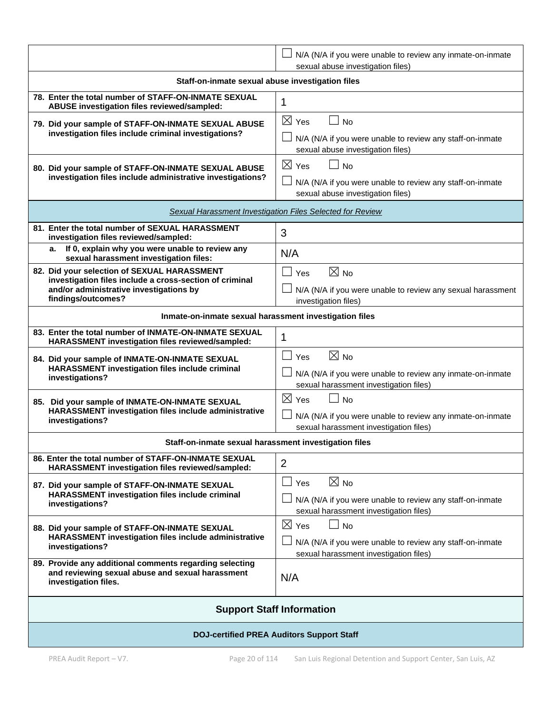|                                                                                                                                                                         | N/A (N/A if you were unable to review any inmate-on-inmate<br>sexual abuse investigation files)                                                                 |  |  |  |
|-------------------------------------------------------------------------------------------------------------------------------------------------------------------------|-----------------------------------------------------------------------------------------------------------------------------------------------------------------|--|--|--|
| Staff-on-inmate sexual abuse investigation files                                                                                                                        |                                                                                                                                                                 |  |  |  |
| 78. Enter the total number of STAFF-ON-INMATE SEXUAL<br>ABUSE investigation files reviewed/sampled:                                                                     | 1                                                                                                                                                               |  |  |  |
| 79. Did your sample of STAFF-ON-INMATE SEXUAL ABUSE<br>investigation files include criminal investigations?                                                             | $\boxtimes$ Yes<br>$\Box$<br><b>No</b><br>$\Box$ N/A (N/A if you were unable to review any staff-on-inmate<br>sexual abuse investigation files)                 |  |  |  |
| 80. Did your sample of STAFF-ON-INMATE SEXUAL ABUSE<br>investigation files include administrative investigations?                                                       | $\boxtimes$ Yes<br>$\Box$ No<br>N/A (N/A if you were unable to review any staff-on-inmate<br>sexual abuse investigation files)                                  |  |  |  |
|                                                                                                                                                                         | Sexual Harassment Investigation Files Selected for Review                                                                                                       |  |  |  |
| 81. Enter the total number of SEXUAL HARASSMENT<br>investigation files reviewed/sampled:                                                                                | 3                                                                                                                                                               |  |  |  |
| If 0, explain why you were unable to review any<br>а.<br>sexual harassment investigation files:                                                                         | N/A                                                                                                                                                             |  |  |  |
| 82. Did your selection of SEXUAL HARASSMENT<br>investigation files include a cross-section of criminal<br>and/or administrative investigations by<br>findings/outcomes? | $\boxtimes$ No<br>$\perp$<br>Yes<br>$\perp$ N/A (N/A if you were unable to review any sexual harassment<br>investigation files)                                 |  |  |  |
| Inmate-on-inmate sexual harassment investigation files                                                                                                                  |                                                                                                                                                                 |  |  |  |
| 83. Enter the total number of INMATE-ON-INMATE SEXUAL<br>HARASSMENT investigation files reviewed/sampled:                                                               | 1                                                                                                                                                               |  |  |  |
| 84. Did your sample of INMATE-ON-INMATE SEXUAL<br>HARASSMENT investigation files include criminal<br>investigations?                                                    | $\boxtimes$ No<br>$\blacksquare$<br>Yes<br>N/A (N/A if you were unable to review any inmate-on-inmate<br>sexual harassment investigation files)                 |  |  |  |
| 85. Did your sample of INMATE-ON-INMATE SEXUAL<br>HARASSMENT investigation files include administrative<br>investigations?                                              | $\boxtimes$ Yes<br><b>No</b><br>N/A (N/A if you were unable to review any inmate-on-inmate<br>sexual harassment investigation files)                            |  |  |  |
| Staff-on-inmate sexual harassment investigation files                                                                                                                   |                                                                                                                                                                 |  |  |  |
| 86. Enter the total number of STAFF-ON-INMATE SEXUAL<br>HARASSMENT investigation files reviewed/sampled:                                                                | $\overline{2}$                                                                                                                                                  |  |  |  |
| 87. Did your sample of STAFF-ON-INMATE SEXUAL<br><b>HARASSMENT investigation files include criminal</b><br>investigations?                                              | $\boxtimes$ No<br>$\mathbf{I}$<br>Yes<br>N/A (N/A if you were unable to review any staff-on-inmate<br>sexual harassment investigation files)                    |  |  |  |
| 88. Did your sample of STAFF-ON-INMATE SEXUAL<br>HARASSMENT investigation files include administrative<br>investigations?                                               | $\boxtimes$ Yes<br>$\overline{\phantom{a}}$<br><b>No</b><br>N/A (N/A if you were unable to review any staff-on-inmate<br>sexual harassment investigation files) |  |  |  |
| 89. Provide any additional comments regarding selecting<br>and reviewing sexual abuse and sexual harassment<br>investigation files.                                     | N/A                                                                                                                                                             |  |  |  |
| <b>Support Staff Information</b>                                                                                                                                        |                                                                                                                                                                 |  |  |  |
| <b>DOJ-certified PREA Auditors Support Staff</b>                                                                                                                        |                                                                                                                                                                 |  |  |  |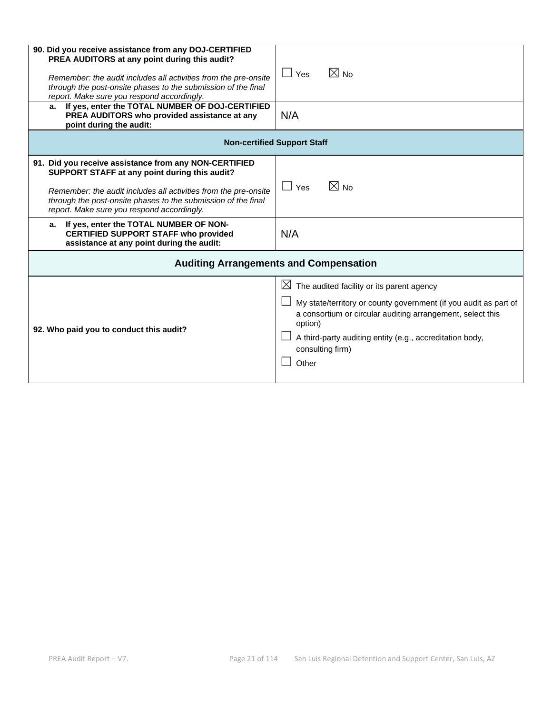| 90. Did you receive assistance from any DOJ-CERTIFIED<br>PREA AUDITORS at any point during this audit?<br>Remember: the audit includes all activities from the pre-onsite<br>through the post-onsite phases to the submission of the final<br>report. Make sure you respond accordingly.<br>a. If yes, enter the TOTAL NUMBER OF DOJ-CERTIFIED<br>PREA AUDITORS who provided assistance at any<br>point during the audit: | $\boxtimes$ No<br>$\Box$ Yes<br>N/A                                                                                                                                                                                                                                                             |  |  |  |  |
|---------------------------------------------------------------------------------------------------------------------------------------------------------------------------------------------------------------------------------------------------------------------------------------------------------------------------------------------------------------------------------------------------------------------------|-------------------------------------------------------------------------------------------------------------------------------------------------------------------------------------------------------------------------------------------------------------------------------------------------|--|--|--|--|
|                                                                                                                                                                                                                                                                                                                                                                                                                           | <b>Non-certified Support Staff</b>                                                                                                                                                                                                                                                              |  |  |  |  |
| 91. Did you receive assistance from any NON-CERTIFIED<br>SUPPORT STAFF at any point during this audit?<br>Remember: the audit includes all activities from the pre-onsite<br>through the post-onsite phases to the submission of the final<br>report. Make sure you respond accordingly.                                                                                                                                  | $\boxtimes$ No<br>$\Box$ Yes                                                                                                                                                                                                                                                                    |  |  |  |  |
| If yes, enter the TOTAL NUMBER OF NON-<br>а.<br><b>CERTIFIED SUPPORT STAFF who provided</b><br>assistance at any point during the audit:                                                                                                                                                                                                                                                                                  | N/A                                                                                                                                                                                                                                                                                             |  |  |  |  |
| <b>Auditing Arrangements and Compensation</b>                                                                                                                                                                                                                                                                                                                                                                             |                                                                                                                                                                                                                                                                                                 |  |  |  |  |
| 92. Who paid you to conduct this audit?                                                                                                                                                                                                                                                                                                                                                                                   | The audited facility or its parent agency<br>$\mathbb{X}$<br>My state/territory or county government (if you audit as part of<br>a consortium or circular auditing arrangement, select this<br>option)<br>A third-party auditing entity (e.g., accreditation body,<br>consulting firm)<br>Other |  |  |  |  |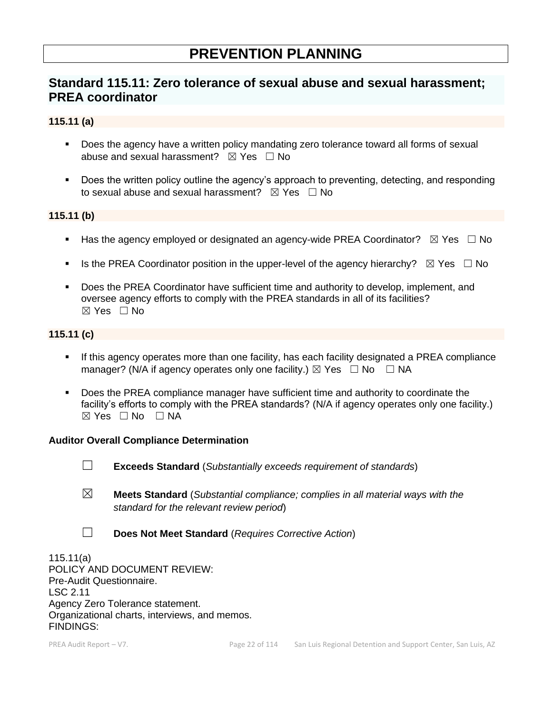# **PREVENTION PLANNING**

# **Standard 115.11: Zero tolerance of sexual abuse and sexual harassment; PREA coordinator**

#### **115.11 (a)**

- Does the agency have a written policy mandating zero tolerance toward all forms of sexual abuse and sexual harassment?  $\boxtimes$  Yes  $\Box$  No
- Does the written policy outline the agency's approach to preventing, detecting, and responding to sexual abuse and sexual harassment?  $\boxtimes$  Yes  $\Box$  No

#### **115.11 (b)**

- **■** Has the agency employed or designated an agency-wide PREA Coordinator?  $\boxtimes$  Yes  $\Box$  No
- **■** Is the PREA Coordinator position in the upper-level of the agency hierarchy?  $\boxtimes$  Yes  $\Box$  No
- Does the PREA Coordinator have sufficient time and authority to develop, implement, and oversee agency efforts to comply with the PREA standards in all of its facilities? ☒ Yes ☐ No

### **115.11 (c)**

- If this agency operates more than one facility, has each facility designated a PREA compliance manager? (N/A if agency operates only one facility.)  $\boxtimes$  Yes  $\Box$  No  $\Box$  NA
- **Does the PREA compliance manager have sufficient time and authority to coordinate the** facility's efforts to comply with the PREA standards? (N/A if agency operates only one facility.)  $\boxtimes$  Yes  $\Box$  No  $\Box$  NA

#### **Auditor Overall Compliance Determination**

- ☐ **Exceeds Standard** (*Substantially exceeds requirement of standards*)
- ☒ **Meets Standard** (*Substantial compliance; complies in all material ways with the standard for the relevant review period*)
- ☐ **Does Not Meet Standard** (*Requires Corrective Action*)

115.11(a) POLICY AND DOCUMENT REVIEW: Pre-Audit Questionnaire. LSC 2.11 Agency Zero Tolerance statement. Organizational charts, interviews, and memos. FINDINGS: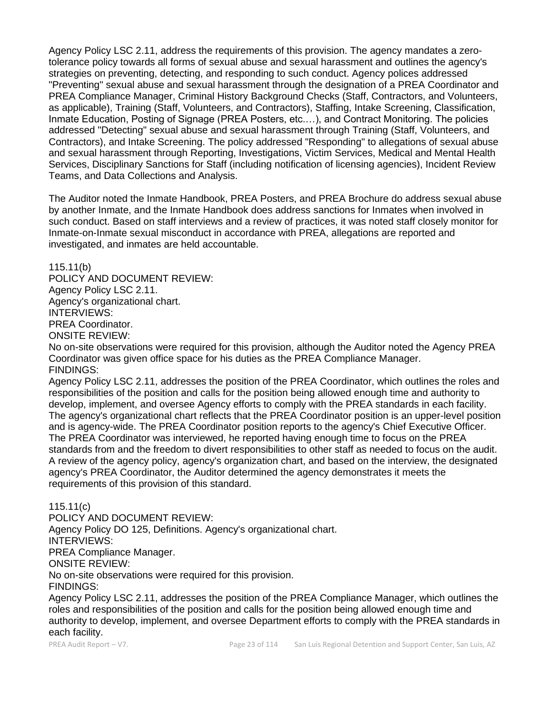Agency Policy LSC 2.11, address the requirements of this provision. The agency mandates a zerotolerance policy towards all forms of sexual abuse and sexual harassment and outlines the agency's strategies on preventing, detecting, and responding to such conduct. Agency polices addressed "Preventing" sexual abuse and sexual harassment through the designation of a PREA Coordinator and PREA Compliance Manager, Criminal History Background Checks (Staff, Contractors, and Volunteers, as applicable), Training (Staff, Volunteers, and Contractors), Staffing, Intake Screening, Classification, Inmate Education, Posting of Signage (PREA Posters, etc.…), and Contract Monitoring. The policies addressed "Detecting" sexual abuse and sexual harassment through Training (Staff, Volunteers, and Contractors), and Intake Screening. The policy addressed "Responding" to allegations of sexual abuse and sexual harassment through Reporting, Investigations, Victim Services, Medical and Mental Health Services, Disciplinary Sanctions for Staff (including notification of licensing agencies), Incident Review Teams, and Data Collections and Analysis.

The Auditor noted the Inmate Handbook, PREA Posters, and PREA Brochure do address sexual abuse by another Inmate, and the Inmate Handbook does address sanctions for Inmates when involved in such conduct. Based on staff interviews and a review of practices, it was noted staff closely monitor for Inmate-on-Inmate sexual misconduct in accordance with PREA, allegations are reported and investigated, and inmates are held accountable.

115.11(b)

POLICY AND DOCUMENT REVIEW: Agency Policy LSC 2.11. Agency's organizational chart. INTERVIEWS: PREA Coordinator. ONSITE REVIEW:

No on-site observations were required for this provision, although the Auditor noted the Agency PREA Coordinator was given office space for his duties as the PREA Compliance Manager. FINDINGS:

Agency Policy LSC 2.11, addresses the position of the PREA Coordinator, which outlines the roles and responsibilities of the position and calls for the position being allowed enough time and authority to develop, implement, and oversee Agency efforts to comply with the PREA standards in each facility. The agency's organizational chart reflects that the PREA Coordinator position is an upper-level position and is agency-wide. The PREA Coordinator position reports to the agency's Chief Executive Officer. The PREA Coordinator was interviewed, he reported having enough time to focus on the PREA standards from and the freedom to divert responsibilities to other staff as needed to focus on the audit. A review of the agency policy, agency's organization chart, and based on the interview, the designated agency's PREA Coordinator, the Auditor determined the agency demonstrates it meets the requirements of this provision of this standard.

115.11(c)

POLICY AND DOCUMENT REVIEW: Agency Policy DO 125, Definitions. Agency's organizational chart. INTERVIEWS: PREA Compliance Manager. ONSITE REVIEW: No on-site observations were required for this provision. FINDINGS:

Agency Policy LSC 2.11, addresses the position of the PREA Compliance Manager, which outlines the roles and responsibilities of the position and calls for the position being allowed enough time and authority to develop, implement, and oversee Department efforts to comply with the PREA standards in each facility.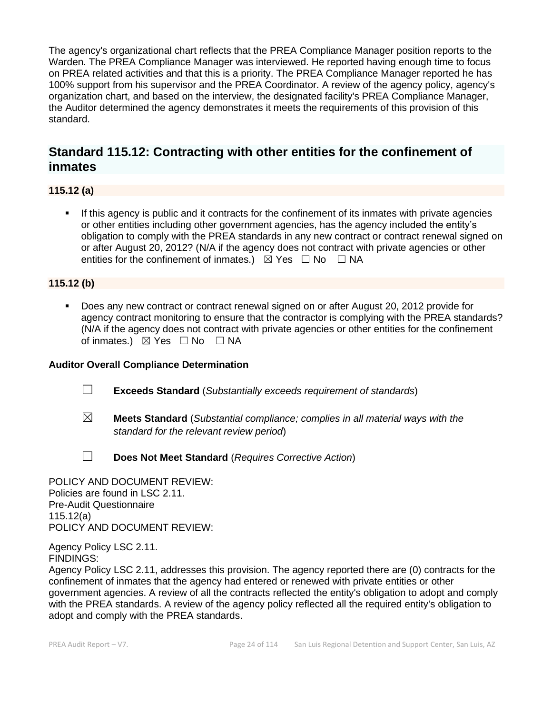The agency's organizational chart reflects that the PREA Compliance Manager position reports to the Warden. The PREA Compliance Manager was interviewed. He reported having enough time to focus on PREA related activities and that this is a priority. The PREA Compliance Manager reported he has 100% support from his supervisor and the PREA Coordinator. A review of the agency policy, agency's organization chart, and based on the interview, the designated facility's PREA Compliance Manager, the Auditor determined the agency demonstrates it meets the requirements of this provision of this standard.

# **Standard 115.12: Contracting with other entities for the confinement of inmates**

**115.12 (a)**

**.** If this agency is public and it contracts for the confinement of its inmates with private agencies or other entities including other government agencies, has the agency included the entity's obligation to comply with the PREA standards in any new contract or contract renewal signed on or after August 20, 2012? (N/A if the agency does not contract with private agencies or other entities for the confinement of inmates.)  $\boxtimes$  Yes  $\Box$  No  $\Box$  NA

## **115.12 (b)**

■ Does any new contract or contract renewal signed on or after August 20, 2012 provide for agency contract monitoring to ensure that the contractor is complying with the PREA standards? (N/A if the agency does not contract with private agencies or other entities for the confinement of inmates.)  $\boxtimes$  Yes  $\Box$  No  $\Box$  NA

#### **Auditor Overall Compliance Determination**

- ☐ **Exceeds Standard** (*Substantially exceeds requirement of standards*)
- ☒ **Meets Standard** (*Substantial compliance; complies in all material ways with the standard for the relevant review period*)
- ☐ **Does Not Meet Standard** (*Requires Corrective Action*)

POLICY AND DOCUMENT REVIEW: Policies are found in LSC 2.11. Pre-Audit Questionnaire 115.12(a) POLICY AND DOCUMENT REVIEW:

Agency Policy LSC 2.11. FINDINGS:

Agency Policy LSC 2.11, addresses this provision. The agency reported there are (0) contracts for the confinement of inmates that the agency had entered or renewed with private entities or other government agencies. A review of all the contracts reflected the entity's obligation to adopt and comply with the PREA standards. A review of the agency policy reflected all the required entity's obligation to adopt and comply with the PREA standards.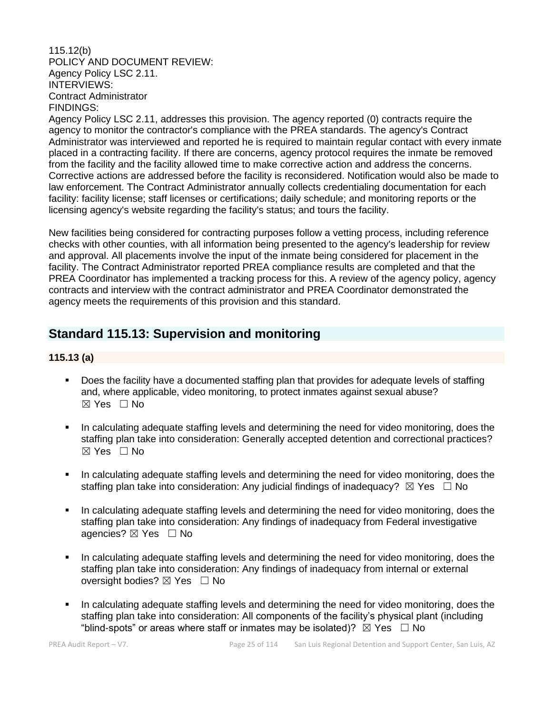#### 115.12(b) POLICY AND DOCUMENT REVIEW: Agency Policy LSC 2.11. INTERVIEWS: Contract Administrator FINDINGS:

Agency Policy LSC 2.11, addresses this provision. The agency reported (0) contracts require the agency to monitor the contractor's compliance with the PREA standards. The agency's Contract Administrator was interviewed and reported he is required to maintain regular contact with every inmate placed in a contracting facility. If there are concerns, agency protocol requires the inmate be removed from the facility and the facility allowed time to make corrective action and address the concerns. Corrective actions are addressed before the facility is reconsidered. Notification would also be made to law enforcement. The Contract Administrator annually collects credentialing documentation for each facility: facility license; staff licenses or certifications; daily schedule; and monitoring reports or the licensing agency's website regarding the facility's status; and tours the facility.

New facilities being considered for contracting purposes follow a vetting process, including reference checks with other counties, with all information being presented to the agency's leadership for review and approval. All placements involve the input of the inmate being considered for placement in the facility. The Contract Administrator reported PREA compliance results are completed and that the PREA Coordinator has implemented a tracking process for this. A review of the agency policy, agency contracts and interview with the contract administrator and PREA Coordinator demonstrated the agency meets the requirements of this provision and this standard.

# **Standard 115.13: Supervision and monitoring**

## **115.13 (a)**

- Does the facility have a documented staffing plan that provides for adequate levels of staffing and, where applicable, video monitoring, to protect inmates against sexual abuse?  $\boxtimes$  Yes  $\Box$  No
- In calculating adequate staffing levels and determining the need for video monitoring, does the staffing plan take into consideration: Generally accepted detention and correctional practices?  $\boxtimes$  Yes  $\Box$  No
- In calculating adequate staffing levels and determining the need for video monitoring, does the staffing plan take into consideration: Any judicial findings of inadequacy?  $\boxtimes$  Yes  $\Box$  No
- In calculating adequate staffing levels and determining the need for video monitoring, does the staffing plan take into consideration: Any findings of inadequacy from Federal investigative agencies?  $\boxtimes$  Yes  $\Box$  No
- In calculating adequate staffing levels and determining the need for video monitoring, does the staffing plan take into consideration: Any findings of inadequacy from internal or external oversight bodies? ⊠ Yes □ No
- In calculating adequate staffing levels and determining the need for video monitoring, does the staffing plan take into consideration: All components of the facility's physical plant (including "blind-spots" or areas where staff or inmates may be isolated)?  $\boxtimes$  Yes  $\Box$  No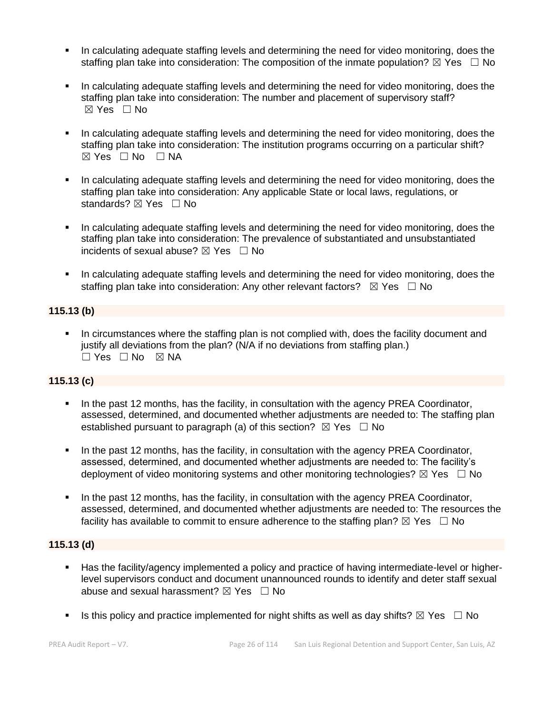- In calculating adequate staffing levels and determining the need for video monitoring, does the staffing plan take into consideration: The composition of the inmate population?  $\boxtimes$  Yes  $\Box$  No
- In calculating adequate staffing levels and determining the need for video monitoring, does the staffing plan take into consideration: The number and placement of supervisory staff? ☒ Yes ☐ No
- In calculating adequate staffing levels and determining the need for video monitoring, does the staffing plan take into consideration: The institution programs occurring on a particular shift?  $⊠ Yes ⊡ No ⊡ NA$
- In calculating adequate staffing levels and determining the need for video monitoring, does the staffing plan take into consideration: Any applicable State or local laws, regulations, or standards? ⊠ Yes □ No
- In calculating adequate staffing levels and determining the need for video monitoring, does the staffing plan take into consideration: The prevalence of substantiated and unsubstantiated incidents of sexual abuse?  $\boxtimes$  Yes  $\Box$  No
- **•** In calculating adequate staffing levels and determining the need for video monitoring, does the staffing plan take into consideration: Any other relevant factors?  $\boxtimes$  Yes  $\Box$  No

### **115.13 (b)**

In circumstances where the staffing plan is not complied with, does the facility document and justify all deviations from the plan? (N/A if no deviations from staffing plan.) ☐ Yes ☐ No ☒ NA

#### **115.13 (c)**

- In the past 12 months, has the facility, in consultation with the agency PREA Coordinator, assessed, determined, and documented whether adjustments are needed to: The staffing plan established pursuant to paragraph (a) of this section?  $\boxtimes$  Yes  $\Box$  No
- In the past 12 months, has the facility, in consultation with the agency PREA Coordinator, assessed, determined, and documented whether adjustments are needed to: The facility's deployment of video monitoring systems and other monitoring technologies?  $\boxtimes$  Yes  $\Box$  No
- In the past 12 months, has the facility, in consultation with the agency PREA Coordinator, assessed, determined, and documented whether adjustments are needed to: The resources the facility has available to commit to ensure adherence to the staffing plan?  $\boxtimes$  Yes  $\Box$  No

#### **115.13 (d)**

- Has the facility/agency implemented a policy and practice of having intermediate-level or higherlevel supervisors conduct and document unannounced rounds to identify and deter staff sexual abuse and sexual harassment?  $\boxtimes$  Yes  $\Box$  No
- Is this policy and practice implemented for night shifts as well as day shifts?  $\boxtimes$  Yes  $\Box$  No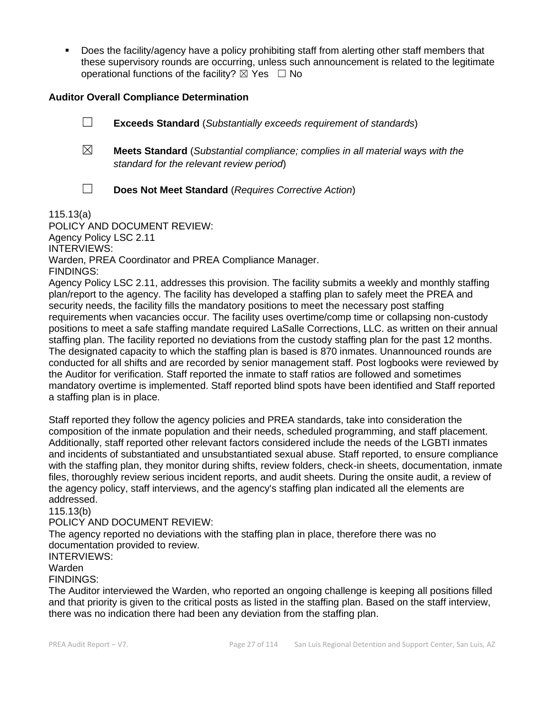▪ Does the facility/agency have a policy prohibiting staff from alerting other staff members that these supervisory rounds are occurring, unless such announcement is related to the legitimate operational functions of the facility?  $\boxtimes$  Yes  $\Box$  No

#### **Auditor Overall Compliance Determination**

- ☐ **Exceeds Standard** (*Substantially exceeds requirement of standards*)
- ☒ **Meets Standard** (*Substantial compliance; complies in all material ways with the standard for the relevant review period*)
- 
- ☐ **Does Not Meet Standard** (*Requires Corrective Action*)

115.13(a)

POLICY AND DOCUMENT REVIEW: Agency Policy LSC 2.11 INTERVIEWS: Warden, PREA Coordinator and PREA Compliance Manager. FINDINGS:

Agency Policy LSC 2.11, addresses this provision. The facility submits a weekly and monthly staffing plan/report to the agency. The facility has developed a staffing plan to safely meet the PREA and security needs, the facility fills the mandatory positions to meet the necessary post staffing requirements when vacancies occur. The facility uses overtime/comp time or collapsing non-custody positions to meet a safe staffing mandate required LaSalle Corrections, LLC. as written on their annual staffing plan. The facility reported no deviations from the custody staffing plan for the past 12 months. The designated capacity to which the staffing plan is based is 870 inmates. Unannounced rounds are conducted for all shifts and are recorded by senior management staff. Post logbooks were reviewed by the Auditor for verification. Staff reported the inmate to staff ratios are followed and sometimes mandatory overtime is implemented. Staff reported blind spots have been identified and Staff reported a staffing plan is in place.

Staff reported they follow the agency policies and PREA standards, take into consideration the composition of the inmate population and their needs, scheduled programming, and staff placement. Additionally, staff reported other relevant factors considered include the needs of the LGBTI inmates and incidents of substantiated and unsubstantiated sexual abuse. Staff reported, to ensure compliance with the staffing plan, they monitor during shifts, review folders, check-in sheets, documentation, inmate files, thoroughly review serious incident reports, and audit sheets. During the onsite audit, a review of the agency policy, staff interviews, and the agency's staffing plan indicated all the elements are addressed.

115.13(b)

#### POLICY AND DOCUMENT REVIEW:

The agency reported no deviations with the staffing plan in place, therefore there was no documentation provided to review.

## INTERVIEWS:

#### Warden

#### FINDINGS:

The Auditor interviewed the Warden, who reported an ongoing challenge is keeping all positions filled and that priority is given to the critical posts as listed in the staffing plan. Based on the staff interview, there was no indication there had been any deviation from the staffing plan.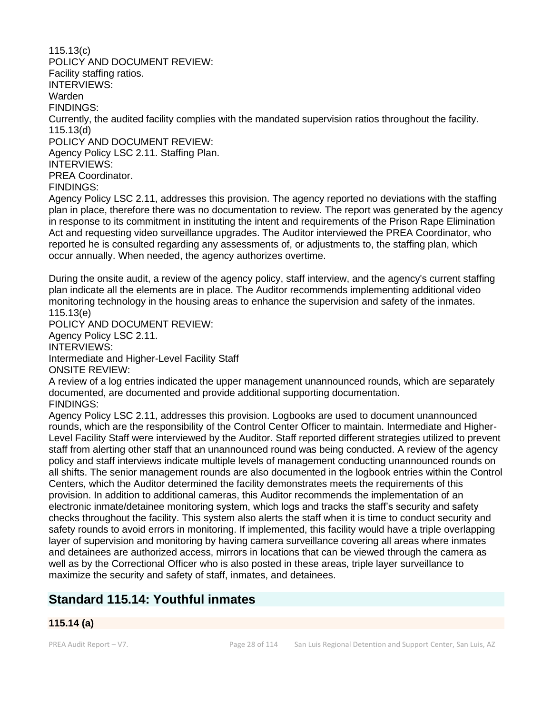115.13(c) POLICY AND DOCUMENT REVIEW: Facility staffing ratios. INTERVIEWS: Warden FINDINGS: Currently, the audited facility complies with the mandated supervision ratios throughout the facility. 115.13(d) POLICY AND DOCUMENT REVIEW: Agency Policy LSC 2.11. Staffing Plan. INTERVIEWS: PREA Coordinator. FINDINGS: Agency Policy LSC 2.11, addresses this provision. The agency reported no deviations with the staffing plan in place, therefore there was no documentation to review. The report was generated by the agency in response to its commitment in instituting the intent and requirements of the Prison Rape Elimination Act and requesting video surveillance upgrades. The Auditor interviewed the PREA Coordinator, who reported he is consulted regarding any assessments of, or adjustments to, the staffing plan, which occur annually. When needed, the agency authorizes overtime. During the onsite audit, a review of the agency policy, staff interview, and the agency's current staffing plan indicate all the elements are in place. The Auditor recommends implementing additional video monitoring technology in the housing areas to enhance the supervision and safety of the inmates. 115.13(e) POLICY AND DOCUMENT REVIEW: Agency Policy LSC 2.11. INTERVIEWS:

Intermediate and Higher-Level Facility Staff

ONSITE REVIEW:

A review of a log entries indicated the upper management unannounced rounds, which are separately documented, are documented and provide additional supporting documentation. FINDINGS:

Agency Policy LSC 2.11, addresses this provision. Logbooks are used to document unannounced rounds, which are the responsibility of the Control Center Officer to maintain. Intermediate and Higher-Level Facility Staff were interviewed by the Auditor. Staff reported different strategies utilized to prevent staff from alerting other staff that an unannounced round was being conducted. A review of the agency policy and staff interviews indicate multiple levels of management conducting unannounced rounds on all shifts. The senior management rounds are also documented in the logbook entries within the Control Centers, which the Auditor determined the facility demonstrates meets the requirements of this provision. In addition to additional cameras, this Auditor recommends the implementation of an electronic inmate/detainee monitoring system, which logs and tracks the staff's security and safety checks throughout the facility. This system also alerts the staff when it is time to conduct security and safety rounds to avoid errors in monitoring. If implemented, this facility would have a triple overlapping layer of supervision and monitoring by having camera surveillance covering all areas where inmates and detainees are authorized access, mirrors in locations that can be viewed through the camera as well as by the Correctional Officer who is also posted in these areas, triple layer surveillance to maximize the security and safety of staff, inmates, and detainees.

# **Standard 115.14: Youthful inmates**

## **115.14 (a)**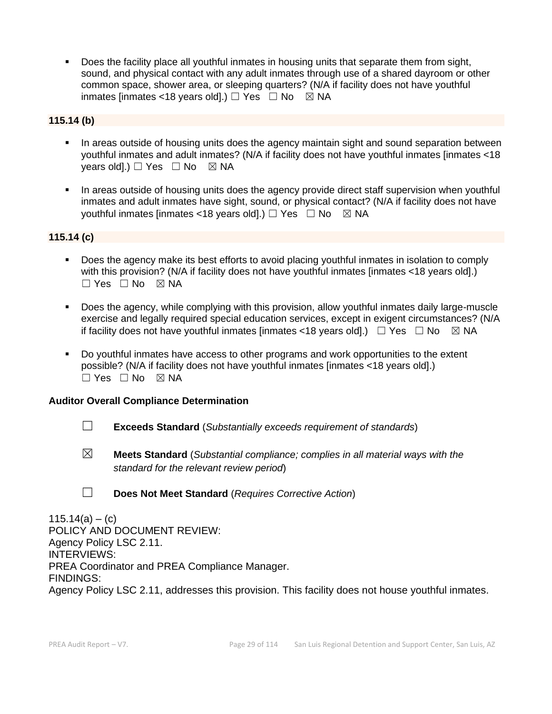Does the facility place all youthful inmates in housing units that separate them from sight, sound, and physical contact with any adult inmates through use of a shared dayroom or other common space, shower area, or sleeping quarters? (N/A if facility does not have youthful inmates [inmates <18 years old].)  $\Box$  Yes  $\Box$  No  $\boxtimes$  NA

#### **115.14 (b)**

- In areas outside of housing units does the agency maintain sight and sound separation between youthful inmates and adult inmates? (N/A if facility does not have youthful inmates [inmates <18 years old].)  $\Box$  Yes  $\Box$  No  $\boxtimes$  NA
- In areas outside of housing units does the agency provide direct staff supervision when youthful inmates and adult inmates have sight, sound, or physical contact? (N/A if facility does not have youthful inmates [inmates <18 years old].)  $\Box$  Yes  $\Box$  No  $\boxtimes$  NA

### **115.14 (c)**

- Does the agency make its best efforts to avoid placing youthful inmates in isolation to comply with this provision? (N/A if facility does not have youthful inmates [inmates <18 years old].)  $\Box$  Yes  $\Box$  No  $\boxtimes$  NA
- Does the agency, while complying with this provision, allow youthful inmates daily large-muscle exercise and legally required special education services, except in exigent circumstances? (N/A if facility does not have youthful inmates [inmates <18 years old].)  $\Box$  Yes  $\Box$  No  $\boxtimes$  NA
- Do youthful inmates have access to other programs and work opportunities to the extent possible? (N/A if facility does not have youthful inmates [inmates <18 years old].) ☐ Yes ☐ No ☒ NA

#### **Auditor Overall Compliance Determination**

- ☐ **Exceeds Standard** (*Substantially exceeds requirement of standards*)
- ☒ **Meets Standard** (*Substantial compliance; complies in all material ways with the standard for the relevant review period*)
- ☐ **Does Not Meet Standard** (*Requires Corrective Action*)

 $115.14(a) - (c)$ POLICY AND DOCUMENT REVIEW: Agency Policy LSC 2.11. INTERVIEWS: PREA Coordinator and PREA Compliance Manager. FINDINGS: Agency Policy LSC 2.11, addresses this provision. This facility does not house youthful inmates.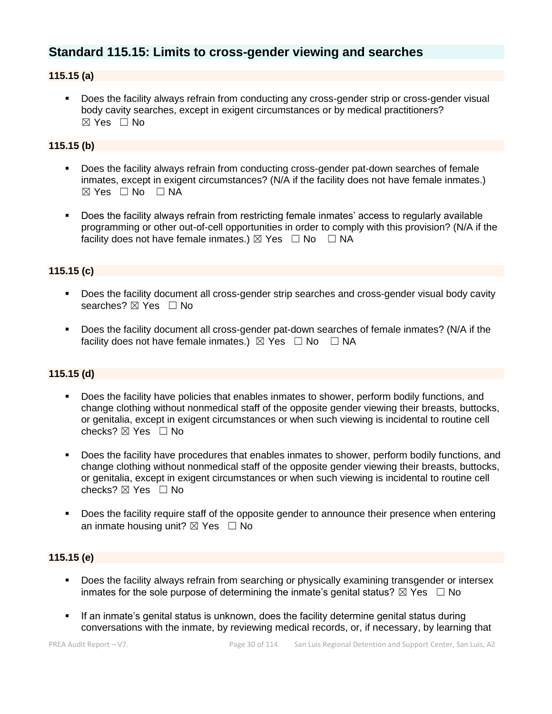## **Standard 115.15: Limits to cross-gender viewing and searches**

### **115.15 (a)**

**•** Does the facility always refrain from conducting any cross-gender strip or cross-gender visual body cavity searches, except in exigent circumstances or by medical practitioners? ☒ Yes ☐ No

#### **115.15 (b)**

- Does the facility always refrain from conducting cross-gender pat-down searches of female inmates, except in exigent circumstances? (N/A if the facility does not have female inmates.)  $\boxtimes$  Yes  $\Box$  No  $\Box$  NA
- Does the facility always refrain from restricting female inmates' access to regularly available programming or other out-of-cell opportunities in order to comply with this provision? (N/A if the facility does not have female inmates.)  $\boxtimes$  Yes  $\Box$  No  $\Box$  NA

### **115.15 (c)**

- Does the facility document all cross-gender strip searches and cross-gender visual body cavity searches? ⊠ Yes □ No
- Does the facility document all cross-gender pat-down searches of female inmates? (N/A if the facility does not have female inmates.)  $\boxtimes$  Yes  $\Box$  No  $\Box$  NA

#### **115.15 (d)**

- Does the facility have policies that enables inmates to shower, perform bodily functions, and change clothing without nonmedical staff of the opposite gender viewing their breasts, buttocks, or genitalia, except in exigent circumstances or when such viewing is incidental to routine cell checks?  $\boxtimes$  Yes  $\Box$  No
- Does the facility have procedures that enables inmates to shower, perform bodily functions, and change clothing without nonmedical staff of the opposite gender viewing their breasts, buttocks, or genitalia, except in exigent circumstances or when such viewing is incidental to routine cell checks? ☒ Yes ☐ No
- Does the facility require staff of the opposite gender to announce their presence when entering an inmate housing unit?  $\boxtimes$  Yes  $\Box$  No

#### **115.15 (e)**

- **•** Does the facility always refrain from searching or physically examining transgender or intersex inmates for the sole purpose of determining the inmate's genital status?  $\boxtimes$  Yes  $\Box$  No
- If an inmate's genital status is unknown, does the facility determine genital status during conversations with the inmate, by reviewing medical records, or, if necessary, by learning that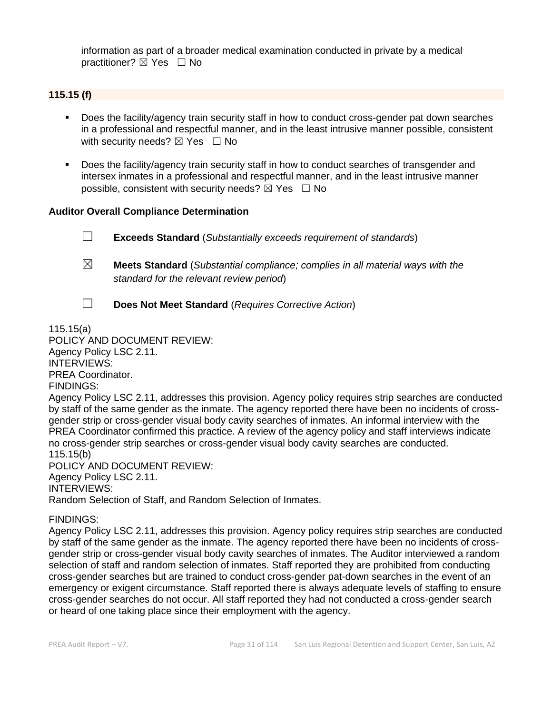information as part of a broader medical examination conducted in private by a medical practitioner? ⊠ Yes □ No

#### **115.15 (f)**

- Does the facility/agency train security staff in how to conduct cross-gender pat down searches in a professional and respectful manner, and in the least intrusive manner possible, consistent with security needs?  $\boxtimes$  Yes  $\Box$  No
- Does the facility/agency train security staff in how to conduct searches of transgender and intersex inmates in a professional and respectful manner, and in the least intrusive manner possible, consistent with security needs?  $\boxtimes$  Yes  $\Box$  No

#### **Auditor Overall Compliance Determination**

☐ **Exceeds Standard** (*Substantially exceeds requirement of standards*)

- ☒ **Meets Standard** (*Substantial compliance; complies in all material ways with the standard for the relevant review period*)
- 
- ☐ **Does Not Meet Standard** (*Requires Corrective Action*)

115.15(a)

POLICY AND DOCUMENT REVIEW: Agency Policy LSC 2.11. INTERVIEWS: PREA Coordinator.

FINDINGS:

Agency Policy LSC 2.11, addresses this provision. Agency policy requires strip searches are conducted by staff of the same gender as the inmate. The agency reported there have been no incidents of crossgender strip or cross-gender visual body cavity searches of inmates. An informal interview with the PREA Coordinator confirmed this practice. A review of the agency policy and staff interviews indicate no cross-gender strip searches or cross-gender visual body cavity searches are conducted. 115.15(b)

POLICY AND DOCUMENT REVIEW: Agency Policy LSC 2.11. INTERVIEWS: Random Selection of Staff, and Random Selection of Inmates.

#### FINDINGS:

Agency Policy LSC 2.11, addresses this provision. Agency policy requires strip searches are conducted by staff of the same gender as the inmate. The agency reported there have been no incidents of crossgender strip or cross-gender visual body cavity searches of inmates. The Auditor interviewed a random selection of staff and random selection of inmates. Staff reported they are prohibited from conducting cross-gender searches but are trained to conduct cross-gender pat-down searches in the event of an emergency or exigent circumstance. Staff reported there is always adequate levels of staffing to ensure cross-gender searches do not occur. All staff reported they had not conducted a cross-gender search or heard of one taking place since their employment with the agency.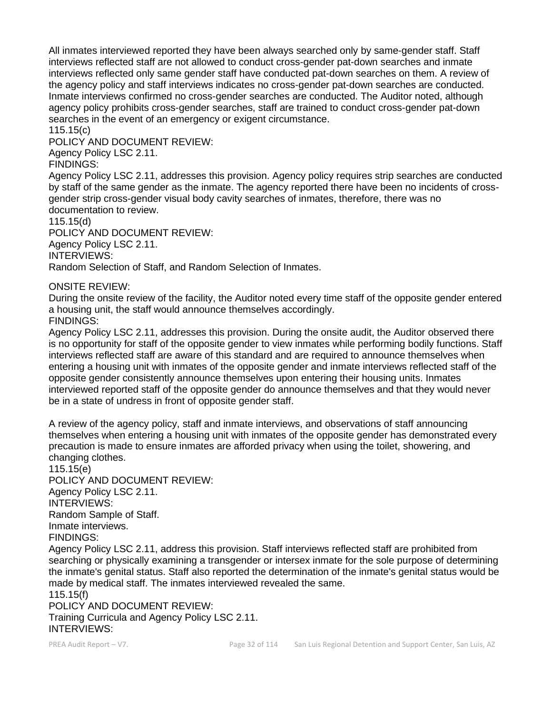All inmates interviewed reported they have been always searched only by same-gender staff. Staff interviews reflected staff are not allowed to conduct cross-gender pat-down searches and inmate interviews reflected only same gender staff have conducted pat-down searches on them. A review of the agency policy and staff interviews indicates no cross-gender pat-down searches are conducted. Inmate interviews confirmed no cross-gender searches are conducted. The Auditor noted, although agency policy prohibits cross-gender searches, staff are trained to conduct cross-gender pat-down searches in the event of an emergency or exigent circumstance.

115.15(c)

POLICY AND DOCUMENT REVIEW:

Agency Policy LSC 2.11.

FINDINGS:

Agency Policy LSC 2.11, addresses this provision. Agency policy requires strip searches are conducted by staff of the same gender as the inmate. The agency reported there have been no incidents of crossgender strip cross-gender visual body cavity searches of inmates, therefore, there was no documentation to review.

115.15(d)

POLICY AND DOCUMENT REVIEW: Agency Policy LSC 2.11. INTERVIEWS: Random Selection of Staff, and Random Selection of Inmates.

ONSITE REVIEW:

During the onsite review of the facility, the Auditor noted every time staff of the opposite gender entered a housing unit, the staff would announce themselves accordingly. FINDINGS:

Agency Policy LSC 2.11, addresses this provision. During the onsite audit, the Auditor observed there is no opportunity for staff of the opposite gender to view inmates while performing bodily functions. Staff interviews reflected staff are aware of this standard and are required to announce themselves when entering a housing unit with inmates of the opposite gender and inmate interviews reflected staff of the opposite gender consistently announce themselves upon entering their housing units. Inmates interviewed reported staff of the opposite gender do announce themselves and that they would never be in a state of undress in front of opposite gender staff.

A review of the agency policy, staff and inmate interviews, and observations of staff announcing themselves when entering a housing unit with inmates of the opposite gender has demonstrated every precaution is made to ensure inmates are afforded privacy when using the toilet, showering, and changing clothes.

115.15(e) POLICY AND DOCUMENT REVIEW: Agency Policy LSC 2.11. INTERVIEWS: Random Sample of Staff. Inmate interviews. FINDINGS:

Agency Policy LSC 2.11, address this provision. Staff interviews reflected staff are prohibited from searching or physically examining a transgender or intersex inmate for the sole purpose of determining the inmate's genital status. Staff also reported the determination of the inmate's genital status would be made by medical staff. The inmates interviewed revealed the same.

115.15(f) POLICY AND DOCUMENT REVIEW: Training Curricula and Agency Policy LSC 2.11. INTERVIEWS: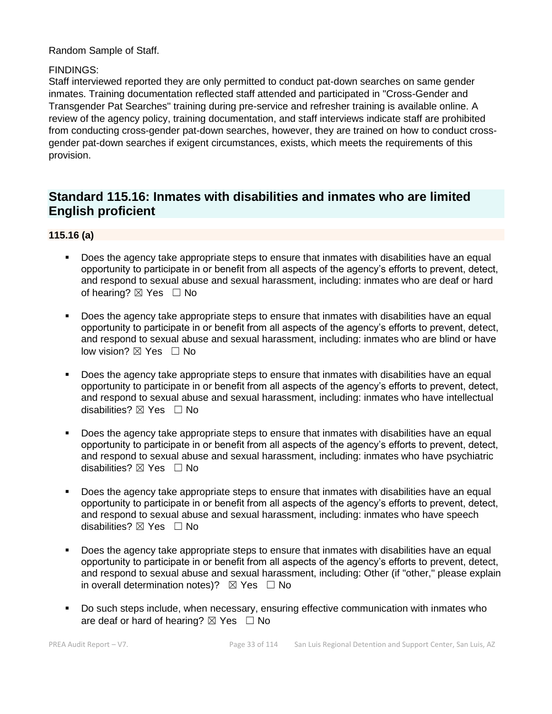Random Sample of Staff.

#### FINDINGS:

Staff interviewed reported they are only permitted to conduct pat-down searches on same gender inmates. Training documentation reflected staff attended and participated in "Cross-Gender and Transgender Pat Searches" training during pre-service and refresher training is available online. A review of the agency policy, training documentation, and staff interviews indicate staff are prohibited from conducting cross-gender pat-down searches, however, they are trained on how to conduct crossgender pat-down searches if exigent circumstances, exists, which meets the requirements of this provision.

## **Standard 115.16: Inmates with disabilities and inmates who are limited English proficient**

#### **115.16 (a)**

- Does the agency take appropriate steps to ensure that inmates with disabilities have an equal opportunity to participate in or benefit from all aspects of the agency's efforts to prevent, detect, and respond to sexual abuse and sexual harassment, including: inmates who are deaf or hard of hearing? ⊠ Yes □ No
- Does the agency take appropriate steps to ensure that inmates with disabilities have an equal opportunity to participate in or benefit from all aspects of the agency's efforts to prevent, detect, and respond to sexual abuse and sexual harassment, including: inmates who are blind or have low vision? ⊠ Yes □ No
- Does the agency take appropriate steps to ensure that inmates with disabilities have an equal opportunity to participate in or benefit from all aspects of the agency's efforts to prevent, detect, and respond to sexual abuse and sexual harassment, including: inmates who have intellectual disabilities?  $\boxtimes$  Yes  $\Box$  No
- Does the agency take appropriate steps to ensure that inmates with disabilities have an equal opportunity to participate in or benefit from all aspects of the agency's efforts to prevent, detect, and respond to sexual abuse and sexual harassment, including: inmates who have psychiatric disabilities? ⊠ Yes □ No
- Does the agency take appropriate steps to ensure that inmates with disabilities have an equal opportunity to participate in or benefit from all aspects of the agency's efforts to prevent, detect, and respond to sexual abuse and sexual harassment, including: inmates who have speech disabilities?  $\boxtimes$  Yes  $\Box$  No
- Does the agency take appropriate steps to ensure that inmates with disabilities have an equal opportunity to participate in or benefit from all aspects of the agency's efforts to prevent, detect, and respond to sexual abuse and sexual harassment, including: Other (if "other," please explain in overall determination notes)?  $\boxtimes$  Yes  $\Box$  No
- Do such steps include, when necessary, ensuring effective communication with inmates who are deaf or hard of hearing?  $\boxtimes$  Yes  $\Box$  No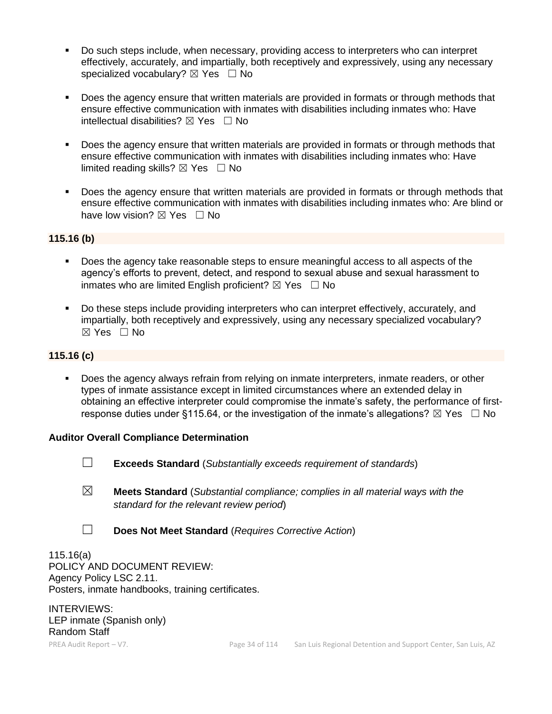- Do such steps include, when necessary, providing access to interpreters who can interpret effectively, accurately, and impartially, both receptively and expressively, using any necessary specialized vocabulary?  $\boxtimes$  Yes  $\Box$  No
- Does the agency ensure that written materials are provided in formats or through methods that ensure effective communication with inmates with disabilities including inmates who: Have intellectual disabilities?  $\boxtimes$  Yes  $\Box$  No
- Does the agency ensure that written materials are provided in formats or through methods that ensure effective communication with inmates with disabilities including inmates who: Have limited reading skills?  $\boxtimes$  Yes  $\Box$  No
- **•** Does the agency ensure that written materials are provided in formats or through methods that ensure effective communication with inmates with disabilities including inmates who: Are blind or have low vision?  $\boxtimes$  Yes  $\Box$  No

#### **115.16 (b)**

- Does the agency take reasonable steps to ensure meaningful access to all aspects of the agency's efforts to prevent, detect, and respond to sexual abuse and sexual harassment to inmates who are limited English proficient?  $\boxtimes$  Yes  $\Box$  No
- Do these steps include providing interpreters who can interpret effectively, accurately, and impartially, both receptively and expressively, using any necessary specialized vocabulary? ☒ Yes ☐ No

#### **115.16 (c)**

Does the agency always refrain from relying on inmate interpreters, inmate readers, or other types of inmate assistance except in limited circumstances where an extended delay in obtaining an effective interpreter could compromise the inmate's safety, the performance of firstresponse duties under §115.64, or the investigation of the inmate's allegations?  $\boxtimes$  Yes  $\Box$  No

#### **Auditor Overall Compliance Determination**

- ☐ **Exceeds Standard** (*Substantially exceeds requirement of standards*)
- ☒ **Meets Standard** (*Substantial compliance; complies in all material ways with the standard for the relevant review period*)
- ☐ **Does Not Meet Standard** (*Requires Corrective Action*)

115.16(a) POLICY AND DOCUMENT REVIEW: Agency Policy LSC 2.11. Posters, inmate handbooks, training certificates.

INTERVIEWS: LEP inmate (Spanish only) Random Staff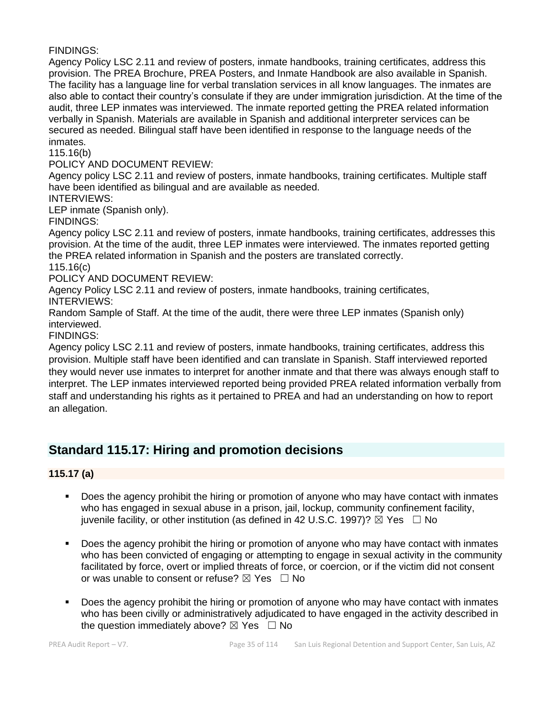FINDINGS:

Agency Policy LSC 2.11 and review of posters, inmate handbooks, training certificates, address this provision. The PREA Brochure, PREA Posters, and Inmate Handbook are also available in Spanish. The facility has a language line for verbal translation services in all know languages. The inmates are also able to contact their country's consulate if they are under immigration jurisdiction. At the time of the audit, three LEP inmates was interviewed. The inmate reported getting the PREA related information verbally in Spanish. Materials are available in Spanish and additional interpreter services can be secured as needed. Bilingual staff have been identified in response to the language needs of the inmates.

115.16(b)

POLICY AND DOCUMENT REVIEW:

Agency policy LSC 2.11 and review of posters, inmate handbooks, training certificates. Multiple staff have been identified as bilingual and are available as needed.

INTERVIEWS:

LEP inmate (Spanish only).

FINDINGS:

Agency policy LSC 2.11 and review of posters, inmate handbooks, training certificates, addresses this provision. At the time of the audit, three LEP inmates were interviewed. The inmates reported getting the PREA related information in Spanish and the posters are translated correctly.

115.16(c)

POLICY AND DOCUMENT REVIEW:

Agency Policy LSC 2.11 and review of posters, inmate handbooks, training certificates, INTERVIEWS:

Random Sample of Staff. At the time of the audit, there were three LEP inmates (Spanish only) interviewed.

FINDINGS:

Agency policy LSC 2.11 and review of posters, inmate handbooks, training certificates, address this provision. Multiple staff have been identified and can translate in Spanish. Staff interviewed reported they would never use inmates to interpret for another inmate and that there was always enough staff to interpret. The LEP inmates interviewed reported being provided PREA related information verbally from staff and understanding his rights as it pertained to PREA and had an understanding on how to report an allegation.

## **Standard 115.17: Hiring and promotion decisions**

**115.17 (a)**

- Does the agency prohibit the hiring or promotion of anyone who may have contact with inmates who has engaged in sexual abuse in a prison, jail, lockup, community confinement facility, juvenile facility, or other institution (as defined in 42 U.S.C. 1997)?  $\boxtimes$  Yes  $\Box$  No
- **•** Does the agency prohibit the hiring or promotion of anyone who may have contact with inmates who has been convicted of engaging or attempting to engage in sexual activity in the community facilitated by force, overt or implied threats of force, or coercion, or if the victim did not consent or was unable to consent or refuse?  $\boxtimes$  Yes  $\Box$  No
- Does the agency prohibit the hiring or promotion of anyone who may have contact with inmates who has been civilly or administratively adjudicated to have engaged in the activity described in the question immediately above?  $\boxtimes$  Yes  $\Box$  No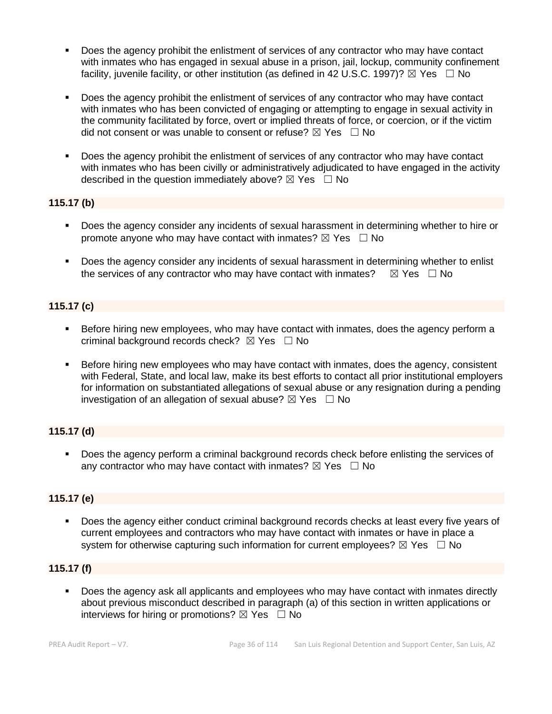- Does the agency prohibit the enlistment of services of any contractor who may have contact with inmates who has engaged in sexual abuse in a prison, jail, lockup, community confinement facility, juvenile facility, or other institution (as defined in 42 U.S.C. 1997)?  $\boxtimes$  Yes  $\Box$  No
- Does the agency prohibit the enlistment of services of any contractor who may have contact with inmates who has been convicted of engaging or attempting to engage in sexual activity in the community facilitated by force, overt or implied threats of force, or coercion, or if the victim did not consent or was unable to consent or refuse?  $\boxtimes$  Yes  $\Box$  No
- Does the agency prohibit the enlistment of services of any contractor who may have contact with inmates who has been civilly or administratively adjudicated to have engaged in the activity described in the question immediately above?  $\boxtimes$  Yes  $\Box$  No

#### **115.17 (b)**

- Does the agency consider any incidents of sexual harassment in determining whether to hire or promote anyone who may have contact with inmates?  $\boxtimes$  Yes  $\Box$  No
- **•** Does the agency consider any incidents of sexual harassment in determining whether to enlist the services of any contractor who may have contact with inmates?  $\boxtimes$  Yes  $\Box$  No

#### **115.17 (c)**

- **EXEL Before hiring new employees, who may have contact with inmates, does the agency perform a** criminal background records check?  $\boxtimes$  Yes  $\Box$  No
- Before hiring new employees who may have contact with inmates, does the agency, consistent with Federal, State, and local law, make its best efforts to contact all prior institutional employers for information on substantiated allegations of sexual abuse or any resignation during a pending investigation of an allegation of sexual abuse?  $\boxtimes$  Yes  $\Box$  No

#### **115.17 (d)**

■ Does the agency perform a criminal background records check before enlisting the services of any contractor who may have contact with inmates?  $\boxtimes$  Yes  $\Box$  No

#### **115.17 (e)**

Does the agency either conduct criminal background records checks at least every five years of current employees and contractors who may have contact with inmates or have in place a system for otherwise capturing such information for current employees?  $\boxtimes$  Yes  $\Box$  No

#### **115.17 (f)**

▪ Does the agency ask all applicants and employees who may have contact with inmates directly about previous misconduct described in paragraph (a) of this section in written applications or interviews for hiring or promotions?  $\boxtimes$  Yes  $\Box$  No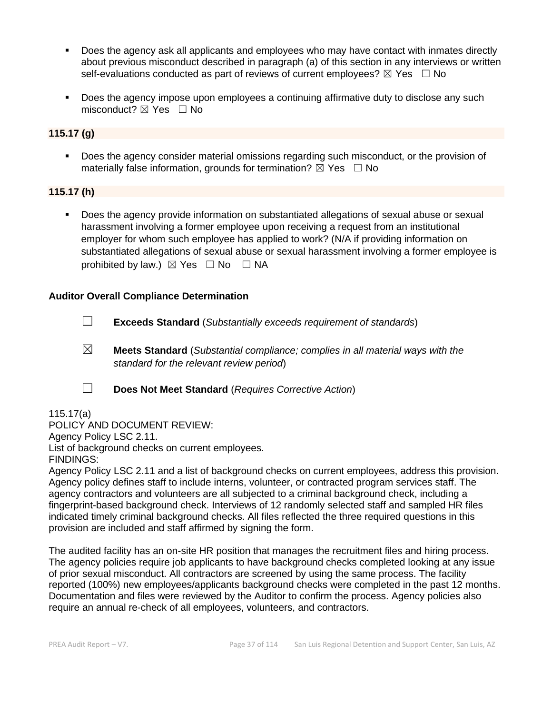- Does the agency ask all applicants and employees who may have contact with inmates directly about previous misconduct described in paragraph (a) of this section in any interviews or written self-evaluations conducted as part of reviews of current employees?  $\boxtimes$  Yes  $\Box$  No
- Does the agency impose upon employees a continuing affirmative duty to disclose any such misconduct?  $\boxtimes$  Yes  $\Box$  No

# **115.17 (g)**

▪ Does the agency consider material omissions regarding such misconduct, or the provision of materially false information, grounds for termination?  $\boxtimes$  Yes  $\Box$  No

# **115.17 (h)**

■ Does the agency provide information on substantiated allegations of sexual abuse or sexual harassment involving a former employee upon receiving a request from an institutional employer for whom such employee has applied to work? (N/A if providing information on substantiated allegations of sexual abuse or sexual harassment involving a former employee is prohibited by law.)  $\boxtimes$  Yes  $\Box$  No  $\Box$  NA

# **Auditor Overall Compliance Determination**

- ☐ **Exceeds Standard** (*Substantially exceeds requirement of standards*)
- ☒ **Meets Standard** (*Substantial compliance; complies in all material ways with the standard for the relevant review period*)
- ☐ **Does Not Meet Standard** (*Requires Corrective Action*)

# 115.17(a)

POLICY AND DOCUMENT REVIEW: Agency Policy LSC 2.11. List of background checks on current employees.

FINDINGS:

Agency Policy LSC 2.11 and a list of background checks on current employees, address this provision. Agency policy defines staff to include interns, volunteer, or contracted program services staff. The agency contractors and volunteers are all subjected to a criminal background check, including a fingerprint-based background check. Interviews of 12 randomly selected staff and sampled HR files indicated timely criminal background checks. All files reflected the three required questions in this provision are included and staff affirmed by signing the form.

The audited facility has an on-site HR position that manages the recruitment files and hiring process. The agency policies require job applicants to have background checks completed looking at any issue of prior sexual misconduct. All contractors are screened by using the same process. The facility reported (100%) new employees/applicants background checks were completed in the past 12 months. Documentation and files were reviewed by the Auditor to confirm the process. Agency policies also require an annual re-check of all employees, volunteers, and contractors.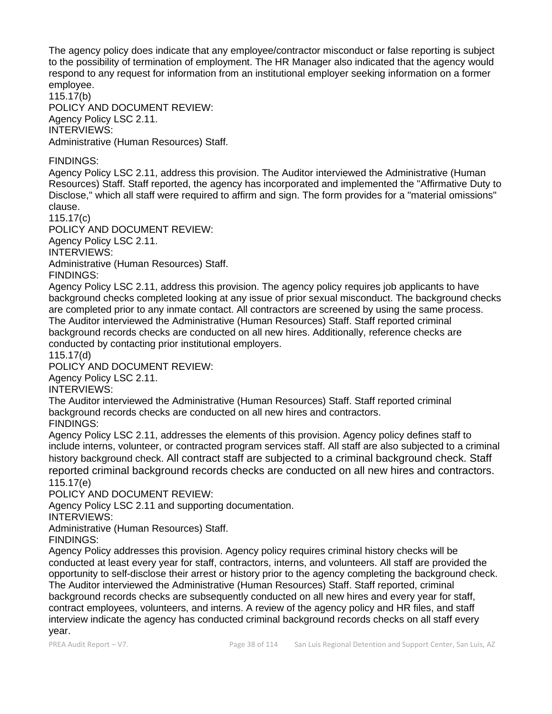The agency policy does indicate that any employee/contractor misconduct or false reporting is subject to the possibility of termination of employment. The HR Manager also indicated that the agency would respond to any request for information from an institutional employer seeking information on a former employee.

115.17(b) POLICY AND DOCUMENT REVIEW: Agency Policy LSC 2.11. INTERVIEWS: Administrative (Human Resources) Staff.

# FINDINGS:

Agency Policy LSC 2.11, address this provision. The Auditor interviewed the Administrative (Human Resources) Staff. Staff reported, the agency has incorporated and implemented the "Affirmative Duty to Disclose," which all staff were required to affirm and sign. The form provides for a "material omissions" clause.

115.17(c)

POLICY AND DOCUMENT REVIEW: Agency Policy LSC 2.11. INTERVIEWS: Administrative (Human Resources) Staff.

FINDINGS:

Agency Policy LSC 2.11, address this provision. The agency policy requires job applicants to have background checks completed looking at any issue of prior sexual misconduct. The background checks are completed prior to any inmate contact. All contractors are screened by using the same process. The Auditor interviewed the Administrative (Human Resources) Staff. Staff reported criminal background records checks are conducted on all new hires. Additionally, reference checks are conducted by contacting prior institutional employers.

115.17(d)

POLICY AND DOCUMENT REVIEW:

Agency Policy LSC 2.11.

INTERVIEWS:

The Auditor interviewed the Administrative (Human Resources) Staff. Staff reported criminal background records checks are conducted on all new hires and contractors.

FINDINGS:

Agency Policy LSC 2.11, addresses the elements of this provision. Agency policy defines staff to include interns, volunteer, or contracted program services staff. All staff are also subjected to a criminal history background check. All contract staff are subjected to a criminal background check. Staff reported criminal background records checks are conducted on all new hires and contractors. 115.17(e)

POLICY AND DOCUMENT REVIEW:

Agency Policy LSC 2.11 and supporting documentation.

INTERVIEWS:

Administrative (Human Resources) Staff.

FINDINGS:

Agency Policy addresses this provision. Agency policy requires criminal history checks will be conducted at least every year for staff, contractors, interns, and volunteers. All staff are provided the opportunity to self-disclose their arrest or history prior to the agency completing the background check. The Auditor interviewed the Administrative (Human Resources) Staff. Staff reported, criminal background records checks are subsequently conducted on all new hires and every year for staff, contract employees, volunteers, and interns. A review of the agency policy and HR files, and staff interview indicate the agency has conducted criminal background records checks on all staff every year.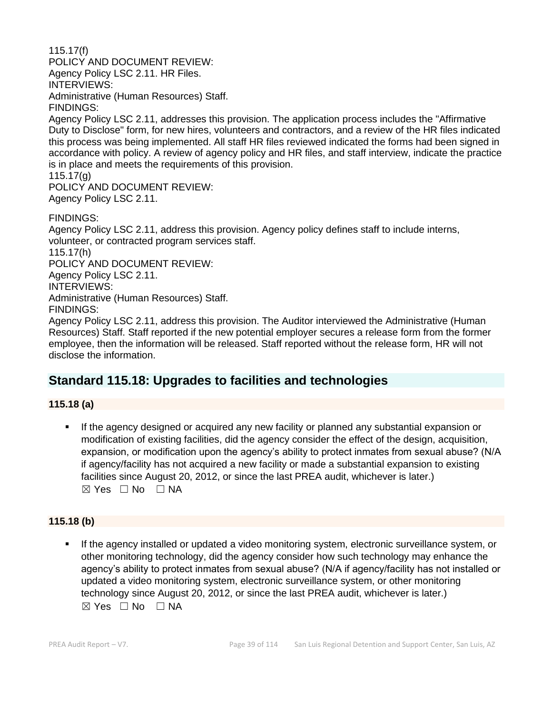115.17(f) POLICY AND DOCUMENT REVIEW: Agency Policy LSC 2.11. HR Files. INTERVIEWS: Administrative (Human Resources) Staff. FINDINGS:

Agency Policy LSC 2.11, addresses this provision. The application process includes the "Affirmative Duty to Disclose" form, for new hires, volunteers and contractors, and a review of the HR files indicated this process was being implemented. All staff HR files reviewed indicated the forms had been signed in accordance with policy. A review of agency policy and HR files, and staff interview, indicate the practice is in place and meets the requirements of this provision.

115.17(g)

POLICY AND DOCUMENT REVIEW: Agency Policy LSC 2.11.

FINDINGS:

Agency Policy LSC 2.11, address this provision. Agency policy defines staff to include interns, volunteer, or contracted program services staff. 115.17(h) POLICY AND DOCUMENT REVIEW: Agency Policy LSC 2.11. INTERVIEWS: Administrative (Human Resources) Staff. FINDINGS:

Agency Policy LSC 2.11, address this provision. The Auditor interviewed the Administrative (Human Resources) Staff. Staff reported if the new potential employer secures a release form from the former employee, then the information will be released. Staff reported without the release form, HR will not disclose the information.

# **Standard 115.18: Upgrades to facilities and technologies**

**115.18 (a)**

If the agency designed or acquired any new facility or planned any substantial expansion or modification of existing facilities, did the agency consider the effect of the design, acquisition, expansion, or modification upon the agency's ability to protect inmates from sexual abuse? (N/A if agency/facility has not acquired a new facility or made a substantial expansion to existing facilities since August 20, 2012, or since the last PREA audit, whichever is later.)  $\boxtimes$  Yes  $\Box$  No  $\Box$  NA

# **115.18 (b)**

If the agency installed or updated a video monitoring system, electronic surveillance system, or other monitoring technology, did the agency consider how such technology may enhance the agency's ability to protect inmates from sexual abuse? (N/A if agency/facility has not installed or updated a video monitoring system, electronic surveillance system, or other monitoring technology since August 20, 2012, or since the last PREA audit, whichever is later.) ☒ Yes ☐ No ☐ NA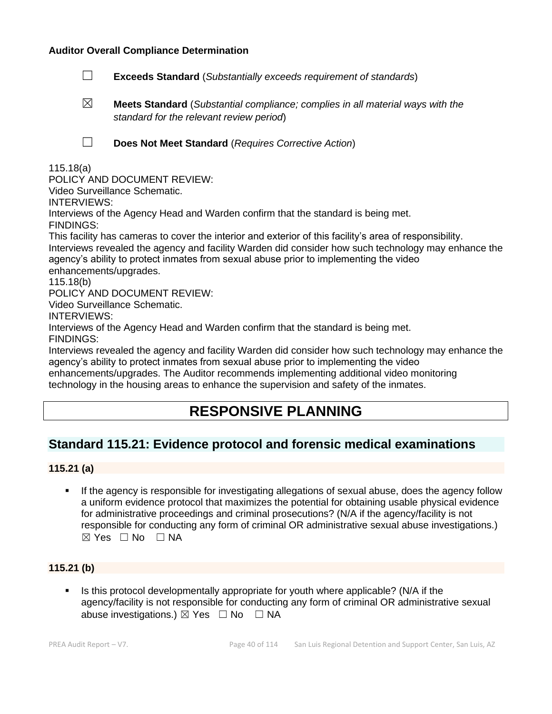#### **Auditor Overall Compliance Determination**

- ☐ **Exceeds Standard** (*Substantially exceeds requirement of standards*)
- ☒ **Meets Standard** (*Substantial compliance; complies in all material ways with the standard for the relevant review period*)

☐ **Does Not Meet Standard** (*Requires Corrective Action*)

115.18(a)

POLICY AND DOCUMENT REVIEW:

Video Surveillance Schematic.

INTERVIEWS:

Interviews of the Agency Head and Warden confirm that the standard is being met.

FINDINGS:

This facility has cameras to cover the interior and exterior of this facility's area of responsibility. Interviews revealed the agency and facility Warden did consider how such technology may enhance the agency's ability to protect inmates from sexual abuse prior to implementing the video enhancements/upgrades.

115.18(b)

POLICY AND DOCUMENT REVIEW:

Video Surveillance Schematic.

INTERVIEWS:

Interviews of the Agency Head and Warden confirm that the standard is being met. FINDINGS:

Interviews revealed the agency and facility Warden did consider how such technology may enhance the agency's ability to protect inmates from sexual abuse prior to implementing the video enhancements/upgrades. The Auditor recommends implementing additional video monitoring

technology in the housing areas to enhance the supervision and safety of the inmates.

# **RESPONSIVE PLANNING**

# **Standard 115.21: Evidence protocol and forensic medical examinations**

# **115.21 (a)**

**EXECT If the agency is responsible for investigating allegations of sexual abuse, does the agency follow** a uniform evidence protocol that maximizes the potential for obtaining usable physical evidence for administrative proceedings and criminal prosecutions? (N/A if the agency/facility is not responsible for conducting any form of criminal OR administrative sexual abuse investigations.)  $\boxtimes$  Yes  $\Box$  No  $\Box$  NA

# **115.21 (b)**

**E** Is this protocol developmentally appropriate for youth where applicable? (N/A if the agency/facility is not responsible for conducting any form of criminal OR administrative sexual abuse investigations.)  $\boxtimes$  Yes  $\Box$  No  $\Box$  NA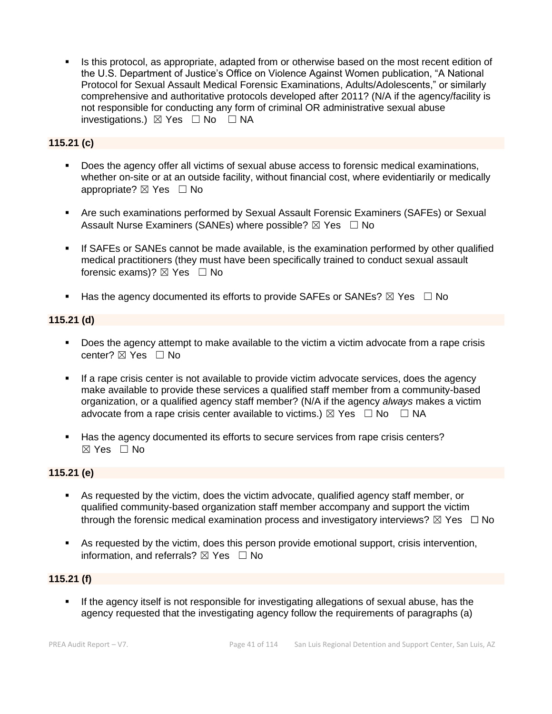Is this protocol, as appropriate, adapted from or otherwise based on the most recent edition of the U.S. Department of Justice's Office on Violence Against Women publication, "A National Protocol for Sexual Assault Medical Forensic Examinations, Adults/Adolescents," or similarly comprehensive and authoritative protocols developed after 2011? (N/A if the agency/facility is not responsible for conducting any form of criminal OR administrative sexual abuse investigations.)  $\boxtimes$  Yes  $\Box$  No  $\Box$  NA

# **115.21 (c)**

- Does the agency offer all victims of sexual abuse access to forensic medical examinations, whether on-site or at an outside facility, without financial cost, where evidentiarily or medically appropriate? ⊠ Yes □ No
- **E** Are such examinations performed by Sexual Assault Forensic Examiners (SAFEs) or Sexual Assault Nurse Examiners (SANEs) where possible?  $\boxtimes$  Yes  $\Box$  No
- **.** If SAFEs or SANEs cannot be made available, is the examination performed by other qualified medical practitioners (they must have been specifically trained to conduct sexual assault forensic exams)?  $\boxtimes$  Yes  $\Box$  No
- **■** Has the agency documented its efforts to provide SAFEs or SANEs?  $\boxtimes$  Yes  $\Box$  No

# **115.21 (d)**

- Does the agency attempt to make available to the victim a victim advocate from a rape crisis center?  $\boxtimes$  Yes  $\Box$  No
- **•** If a rape crisis center is not available to provide victim advocate services, does the agency make available to provide these services a qualified staff member from a community-based organization, or a qualified agency staff member? (N/A if the agency *always* makes a victim advocate from a rape crisis center available to victims.)  $\boxtimes$  Yes  $\Box$  No  $\Box$  NA
- Has the agency documented its efforts to secure services from rape crisis centers?  $\boxtimes$  Yes  $\Box$  No

# **115.21 (e)**

- As requested by the victim, does the victim advocate, qualified agency staff member, or qualified community-based organization staff member accompany and support the victim through the forensic medical examination process and investigatory interviews?  $\boxtimes$  Yes  $\Box$  No
- As requested by the victim, does this person provide emotional support, crisis intervention, information, and referrals?  $\boxtimes$  Yes  $\Box$  No

# **115.21 (f)**

**.** If the agency itself is not responsible for investigating allegations of sexual abuse, has the agency requested that the investigating agency follow the requirements of paragraphs (a)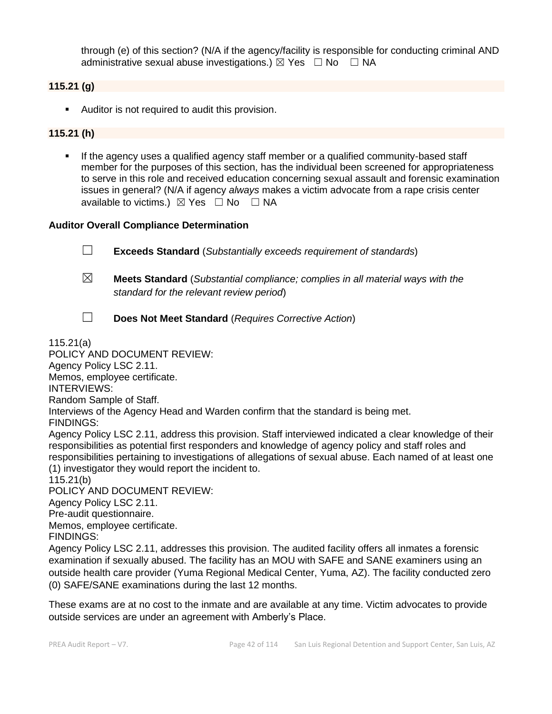through (e) of this section? (N/A if the agency/facility is responsible for conducting criminal AND administrative sexual abuse investigations.)  $\boxtimes$  Yes  $\Box$  No  $\Box$  NA

# **115.21 (g)**

■ Auditor is not required to audit this provision.

# **115.21 (h)**

**•** If the agency uses a qualified agency staff member or a qualified community-based staff member for the purposes of this section, has the individual been screened for appropriateness to serve in this role and received education concerning sexual assault and forensic examination issues in general? (N/A if agency *always* makes a victim advocate from a rape crisis center available to victims.)  $\boxtimes$  Yes  $\Box$  No  $\Box$  NA

### **Auditor Overall Compliance Determination**

☐ **Exceeds Standard** (*Substantially exceeds requirement of standards*) ☒ **Meets Standard** (*Substantial compliance; complies in all material ways with the standard for the relevant review period*) ☐ **Does Not Meet Standard** (*Requires Corrective Action*) 115.21(a) POLICY AND DOCUMENT REVIEW: Agency Policy LSC 2.11. Memos, employee certificate. INTERVIEWS: Random Sample of Staff. Interviews of the Agency Head and Warden confirm that the standard is being met. FINDINGS: Agency Policy LSC 2.11, address this provision. Staff interviewed indicated a clear knowledge of their responsibilities as potential first responders and knowledge of agency policy and staff roles and responsibilities pertaining to investigations of allegations of sexual abuse. Each named of at least one (1) investigator they would report the incident to. 115.21(b) POLICY AND DOCUMENT REVIEW: Agency Policy LSC 2.11. Pre-audit questionnaire. Memos, employee certificate.

FINDINGS:

Agency Policy LSC 2.11, addresses this provision. The audited facility offers all inmates a forensic examination if sexually abused. The facility has an MOU with SAFE and SANE examiners using an outside health care provider (Yuma Regional Medical Center, Yuma, AZ). The facility conducted zero (0) SAFE/SANE examinations during the last 12 months.

These exams are at no cost to the inmate and are available at any time. Victim advocates to provide outside services are under an agreement with Amberly's Place.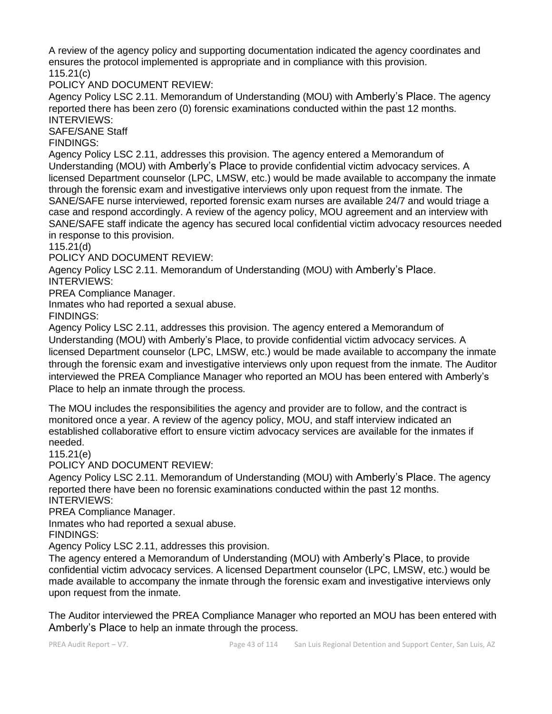A review of the agency policy and supporting documentation indicated the agency coordinates and ensures the protocol implemented is appropriate and in compliance with this provision. 115.21(c)

POLICY AND DOCUMENT REVIEW:

Agency Policy LSC 2.11. Memorandum of Understanding (MOU) with Amberly's Place. The agency reported there has been zero (0) forensic examinations conducted within the past 12 months. INTERVIEWS:

SAFE/SANE Staff

FINDINGS:

Agency Policy LSC 2.11, addresses this provision. The agency entered a Memorandum of Understanding (MOU) with Amberly's Place to provide confidential victim advocacy services. A licensed Department counselor (LPC, LMSW, etc.) would be made available to accompany the inmate through the forensic exam and investigative interviews only upon request from the inmate. The SANE/SAFE nurse interviewed, reported forensic exam nurses are available 24/7 and would triage a case and respond accordingly. A review of the agency policy, MOU agreement and an interview with SANE/SAFE staff indicate the agency has secured local confidential victim advocacy resources needed in response to this provision.

115.21(d)

POLICY AND DOCUMENT REVIEW:

Agency Policy LSC 2.11. Memorandum of Understanding (MOU) with Amberly's Place. INTERVIEWS:

PREA Compliance Manager.

Inmates who had reported a sexual abuse.

FINDINGS:

Agency Policy LSC 2.11, addresses this provision. The agency entered a Memorandum of Understanding (MOU) with Amberly's Place, to provide confidential victim advocacy services. A licensed Department counselor (LPC, LMSW, etc.) would be made available to accompany the inmate through the forensic exam and investigative interviews only upon request from the inmate. The Auditor interviewed the PREA Compliance Manager who reported an MOU has been entered with Amberly's Place to help an inmate through the process.

The MOU includes the responsibilities the agency and provider are to follow, and the contract is monitored once a year. A review of the agency policy, MOU, and staff interview indicated an established collaborative effort to ensure victim advocacy services are available for the inmates if needed.

115.21(e)

POLICY AND DOCUMENT REVIEW:

Agency Policy LSC 2.11. Memorandum of Understanding (MOU) with Amberly's Place. The agency reported there have been no forensic examinations conducted within the past 12 months. INTERVIEWS:

PREA Compliance Manager.

Inmates who had reported a sexual abuse.

FINDINGS:

Agency Policy LSC 2.11, addresses this provision.

The agency entered a Memorandum of Understanding (MOU) with Amberly's Place, to provide confidential victim advocacy services. A licensed Department counselor (LPC, LMSW, etc.) would be made available to accompany the inmate through the forensic exam and investigative interviews only upon request from the inmate.

The Auditor interviewed the PREA Compliance Manager who reported an MOU has been entered with Amberly's Place to help an inmate through the process.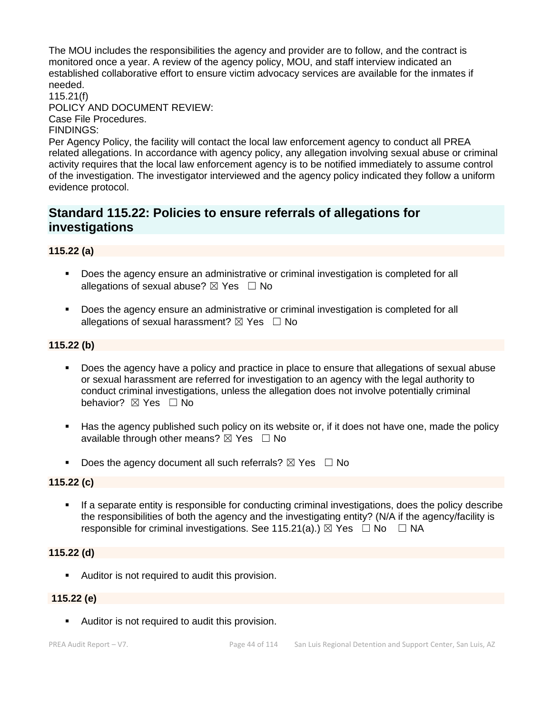The MOU includes the responsibilities the agency and provider are to follow, and the contract is monitored once a year. A review of the agency policy, MOU, and staff interview indicated an established collaborative effort to ensure victim advocacy services are available for the inmates if needed.

115.21(f) POLICY AND DOCUMENT REVIEW: Case File Procedures.

#### FINDINGS:

Per Agency Policy, the facility will contact the local law enforcement agency to conduct all PREA related allegations. In accordance with agency policy, any allegation involving sexual abuse or criminal activity requires that the local law enforcement agency is to be notified immediately to assume control of the investigation. The investigator interviewed and the agency policy indicated they follow a uniform evidence protocol.

# **Standard 115.22: Policies to ensure referrals of allegations for investigations**

# **115.22 (a)**

- Does the agency ensure an administrative or criminal investigation is completed for all allegations of sexual abuse?  $\boxtimes$  Yes  $\Box$  No
- Does the agency ensure an administrative or criminal investigation is completed for all allegations of sexual harassment?  $\boxtimes$  Yes  $\Box$  No

# **115.22 (b)**

- Does the agency have a policy and practice in place to ensure that allegations of sexual abuse or sexual harassment are referred for investigation to an agency with the legal authority to conduct criminal investigations, unless the allegation does not involve potentially criminal behavior? **⊠** Yes □ No
- Has the agency published such policy on its website or, if it does not have one, made the policy available through other means?  $\boxtimes$  Yes  $\Box$  No
- **•** Does the agency document all such referrals?  $\boxtimes$  Yes  $\Box$  No

# **115.22 (c)**

If a separate entity is responsible for conducting criminal investigations, does the policy describe the responsibilities of both the agency and the investigating entity? (N/A if the agency/facility is responsible for criminal investigations. See 115.21(a).)  $\boxtimes$  Yes  $\Box$  No  $\Box$  NA

# **115.22 (d)**

■ Auditor is not required to audit this provision.

#### **115.22 (e)**

■ Auditor is not required to audit this provision.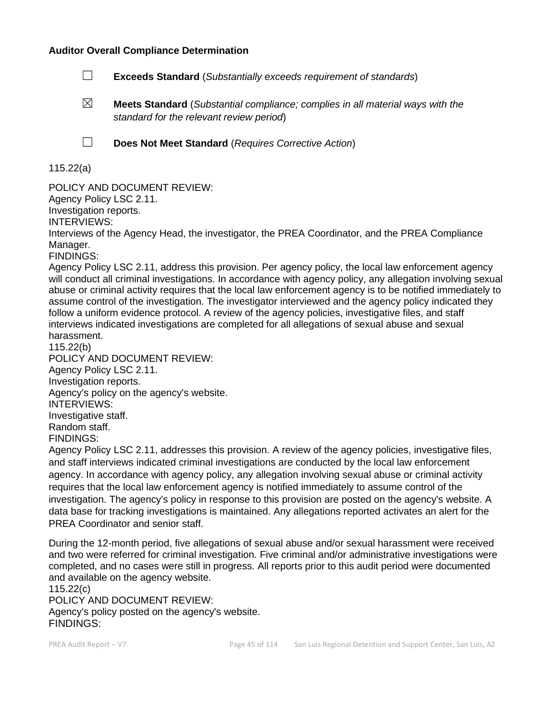#### **Auditor Overall Compliance Determination**

- ☐ **Exceeds Standard** (*Substantially exceeds requirement of standards*)
- ☒ **Meets Standard** (*Substantial compliance; complies in all material ways with the standard for the relevant review period*)

☐ **Does Not Meet Standard** (*Requires Corrective Action*)

# 115.22(a)

POLICY AND DOCUMENT REVIEW: Agency Policy LSC 2.11. Investigation reports. INTERVIEWS: Interviews of the Agency Head, the investigator, the PREA Coordinator, and the PREA Compliance Manager. FINDINGS:

Agency Policy LSC 2.11, address this provision. Per agency policy, the local law enforcement agency will conduct all criminal investigations. In accordance with agency policy, any allegation involving sexual abuse or criminal activity requires that the local law enforcement agency is to be notified immediately to assume control of the investigation. The investigator interviewed and the agency policy indicated they follow a uniform evidence protocol. A review of the agency policies, investigative files, and staff interviews indicated investigations are completed for all allegations of sexual abuse and sexual harassment.

115.22(b) POLICY AND DOCUMENT REVIEW: Agency Policy LSC 2.11. Investigation reports. Agency's policy on the agency's website. INTERVIEWS: Investigative staff. Random staff. FINDINGS:

Agency Policy LSC 2.11, addresses this provision. A review of the agency policies, investigative files, and staff interviews indicated criminal investigations are conducted by the local law enforcement agency. In accordance with agency policy, any allegation involving sexual abuse or criminal activity requires that the local law enforcement agency is notified immediately to assume control of the investigation. The agency's policy in response to this provision are posted on the agency's website. A data base for tracking investigations is maintained. Any allegations reported activates an alert for the PREA Coordinator and senior staff.

During the 12-month period, five allegations of sexual abuse and/or sexual harassment were received and two were referred for criminal investigation. Five criminal and/or administrative investigations were completed, and no cases were still in progress. All reports prior to this audit period were documented and available on the agency website.

115.22(c) POLICY AND DOCUMENT REVIEW: Agency's policy posted on the agency's website. FINDINGS: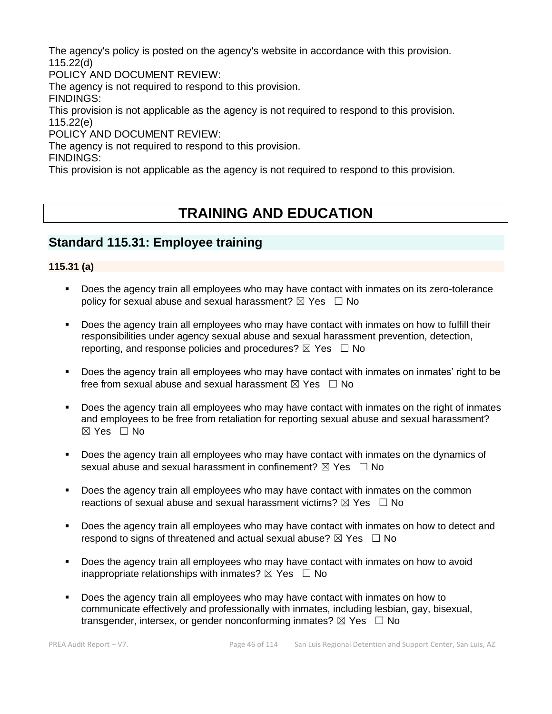The agency's policy is posted on the agency's website in accordance with this provision. 115.22(d)

POLICY AND DOCUMENT REVIEW:

The agency is not required to respond to this provision.

FINDINGS:

This provision is not applicable as the agency is not required to respond to this provision. 115.22(e)

POLICY AND DOCUMENT REVIEW:

The agency is not required to respond to this provision.

FINDINGS:

This provision is not applicable as the agency is not required to respond to this provision.

# **TRAINING AND EDUCATION**

# **Standard 115.31: Employee training**

# **115.31 (a)**

- Does the agency train all employees who may have contact with inmates on its zero-tolerance policy for sexual abuse and sexual harassment?  $\boxtimes$  Yes  $\Box$  No
- **•** Does the agency train all employees who may have contact with inmates on how to fulfill their responsibilities under agency sexual abuse and sexual harassment prevention, detection, reporting, and response policies and procedures?  $\boxtimes$  Yes  $\Box$  No
- Does the agency train all employees who may have contact with inmates on inmates' right to be free from sexual abuse and sexual harassment  $\boxtimes$  Yes  $\Box$  No
- Does the agency train all employees who may have contact with inmates on the right of inmates and employees to be free from retaliation for reporting sexual abuse and sexual harassment?  $\boxtimes$  Yes  $\Box$  No
- Does the agency train all employees who may have contact with inmates on the dynamics of sexual abuse and sexual harassment in confinement?  $\boxtimes$  Yes  $\Box$  No
- Does the agency train all employees who may have contact with inmates on the common reactions of sexual abuse and sexual harassment victims?  $\boxtimes$  Yes  $\Box$  No
- **Does the agency train all employees who may have contact with inmates on how to detect and** respond to signs of threatened and actual sexual abuse?  $\boxtimes$  Yes  $\Box$  No
- Does the agency train all employees who may have contact with inmates on how to avoid inappropriate relationships with inmates?  $\boxtimes$  Yes  $\Box$  No
- Does the agency train all employees who may have contact with inmates on how to communicate effectively and professionally with inmates, including lesbian, gay, bisexual, transgender, intersex, or gender nonconforming inmates?  $\boxtimes$  Yes  $\Box$  No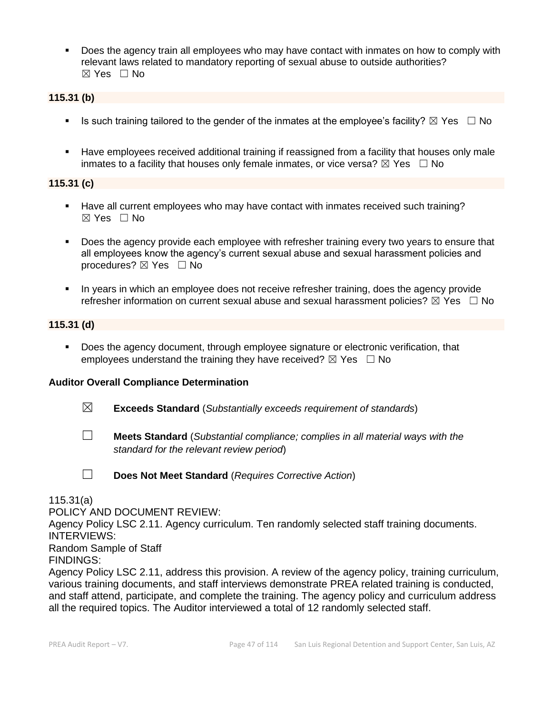**•** Does the agency train all employees who may have contact with inmates on how to comply with relevant laws related to mandatory reporting of sexual abuse to outside authorities?  $\boxtimes$  Yes  $\Box$  No

# **115.31 (b)**

- **■** Is such training tailored to the gender of the inmates at the employee's facility?  $\boxtimes$  Yes  $\Box$  No
- Have employees received additional training if reassigned from a facility that houses only male inmates to a facility that houses only female inmates, or vice versa?  $\boxtimes$  Yes  $\Box$  No

# **115.31 (c)**

- Have all current employees who may have contact with inmates received such training? ☒ Yes ☐ No
- **•** Does the agency provide each employee with refresher training every two years to ensure that all employees know the agency's current sexual abuse and sexual harassment policies and procedures?  $\boxtimes$  Yes  $\Box$  No
- In years in which an employee does not receive refresher training, does the agency provide refresher information on current sexual abuse and sexual harassment policies?  $\boxtimes$  Yes  $\Box$  No

### **115.31 (d)**

▪ Does the agency document, through employee signature or electronic verification, that employees understand the training they have received?  $\boxtimes$  Yes  $\Box$  No

# **Auditor Overall Compliance Determination**

- ☒ **Exceeds Standard** (*Substantially exceeds requirement of standards*)
- ☐ **Meets Standard** (*Substantial compliance; complies in all material ways with the standard for the relevant review period*)

☐ **Does Not Meet Standard** (*Requires Corrective Action*)

115.31(a)

POLICY AND DOCUMENT REVIEW:

Agency Policy LSC 2.11. Agency curriculum. Ten randomly selected staff training documents. INTERVIEWS:

Random Sample of Staff

FINDINGS:

Agency Policy LSC 2.11, address this provision. A review of the agency policy, training curriculum, various training documents, and staff interviews demonstrate PREA related training is conducted, and staff attend, participate, and complete the training. The agency policy and curriculum address all the required topics. The Auditor interviewed a total of 12 randomly selected staff.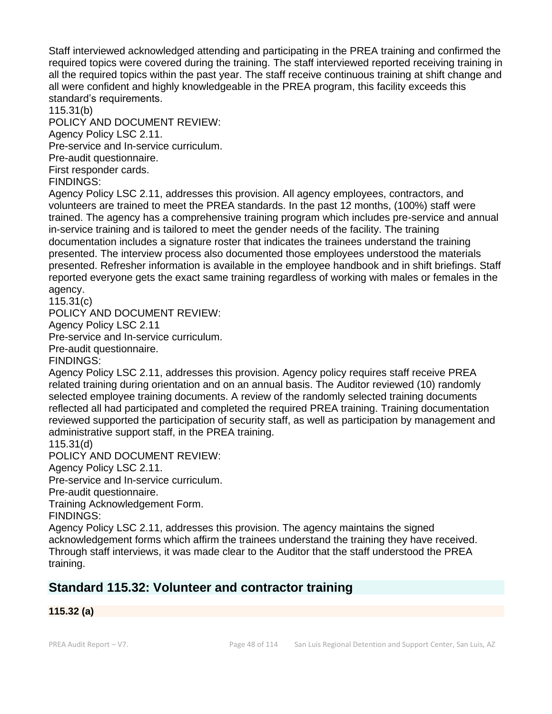Staff interviewed acknowledged attending and participating in the PREA training and confirmed the required topics were covered during the training. The staff interviewed reported receiving training in all the required topics within the past year. The staff receive continuous training at shift change and all were confident and highly knowledgeable in the PREA program, this facility exceeds this standard's requirements.

115.31(b)

POLICY AND DOCUMENT REVIEW:

Agency Policy LSC 2.11.

Pre-service and In-service curriculum.

Pre-audit questionnaire.

First responder cards.

FINDINGS:

Agency Policy LSC 2.11, addresses this provision. All agency employees, contractors, and volunteers are trained to meet the PREA standards. In the past 12 months, (100%) staff were trained. The agency has a comprehensive training program which includes pre-service and annual in-service training and is tailored to meet the gender needs of the facility. The training documentation includes a signature roster that indicates the trainees understand the training presented. The interview process also documented those employees understood the materials presented. Refresher information is available in the employee handbook and in shift briefings. Staff reported everyone gets the exact same training regardless of working with males or females in the agency.

115.31(c)

POLICY AND DOCUMENT REVIEW:

Agency Policy LSC 2.11

Pre-service and In-service curriculum.

Pre-audit questionnaire.

FINDINGS:

Agency Policy LSC 2.11, addresses this provision. Agency policy requires staff receive PREA related training during orientation and on an annual basis. The Auditor reviewed (10) randomly selected employee training documents. A review of the randomly selected training documents reflected all had participated and completed the required PREA training. Training documentation reviewed supported the participation of security staff, as well as participation by management and administrative support staff, in the PREA training.

115.31(d)

POLICY AND DOCUMENT REVIEW:

Agency Policy LSC 2.11.

Pre-service and In-service curriculum.

Pre-audit questionnaire.

Training Acknowledgement Form.

FINDINGS:

Agency Policy LSC 2.11, addresses this provision. The agency maintains the signed acknowledgement forms which affirm the trainees understand the training they have received. Through staff interviews, it was made clear to the Auditor that the staff understood the PREA training.

# **Standard 115.32: Volunteer and contractor training**

# **115.32 (a)**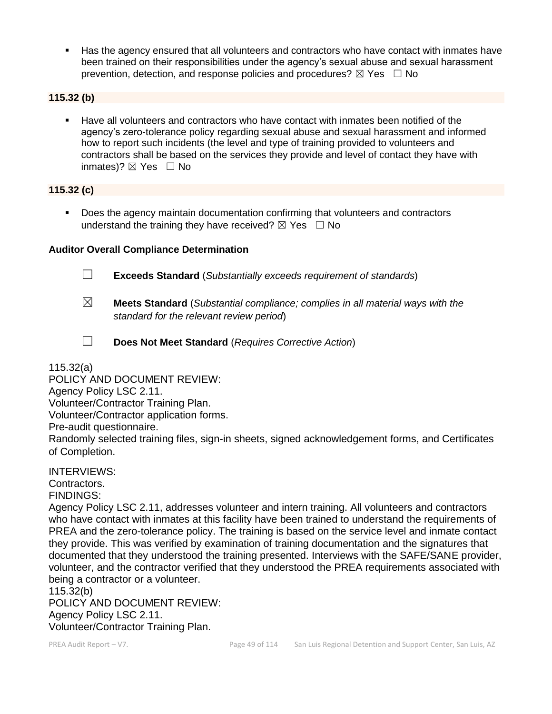Has the agency ensured that all volunteers and contractors who have contact with inmates have been trained on their responsibilities under the agency's sexual abuse and sexual harassment prevention, detection, and response policies and procedures?  $\boxtimes$  Yes  $\Box$  No

## **115.32 (b)**

▪ Have all volunteers and contractors who have contact with inmates been notified of the agency's zero-tolerance policy regarding sexual abuse and sexual harassment and informed how to report such incidents (the level and type of training provided to volunteers and contractors shall be based on the services they provide and level of contact they have with inmates)?  $\boxtimes$  Yes  $\Box$  No

### **115.32 (c)**

■ Does the agency maintain documentation confirming that volunteers and contractors understand the training they have received?  $\boxtimes$  Yes  $\Box$  No

### **Auditor Overall Compliance Determination**



☐ **Exceeds Standard** (*Substantially exceeds requirement of standards*)

- ☒ **Meets Standard** (*Substantial compliance; complies in all material ways with the standard for the relevant review period*)
- 
- ☐ **Does Not Meet Standard** (*Requires Corrective Action*)

115.32(a)

POLICY AND DOCUMENT REVIEW: Agency Policy LSC 2.11. Volunteer/Contractor Training Plan. Volunteer/Contractor application forms. Pre-audit questionnaire. Randomly selected training files, sign-in sheets, signed acknowledgement forms, and Certificates of Completion.

INTERVIEWS: Contractors. FINDINGS:

Agency Policy LSC 2.11, addresses volunteer and intern training. All volunteers and contractors who have contact with inmates at this facility have been trained to understand the requirements of PREA and the zero-tolerance policy. The training is based on the service level and inmate contact they provide. This was verified by examination of training documentation and the signatures that documented that they understood the training presented. Interviews with the SAFE/SANE provider, volunteer, and the contractor verified that they understood the PREA requirements associated with being a contractor or a volunteer.

115.32(b)

POLICY AND DOCUMENT REVIEW: Agency Policy LSC 2.11. Volunteer/Contractor Training Plan.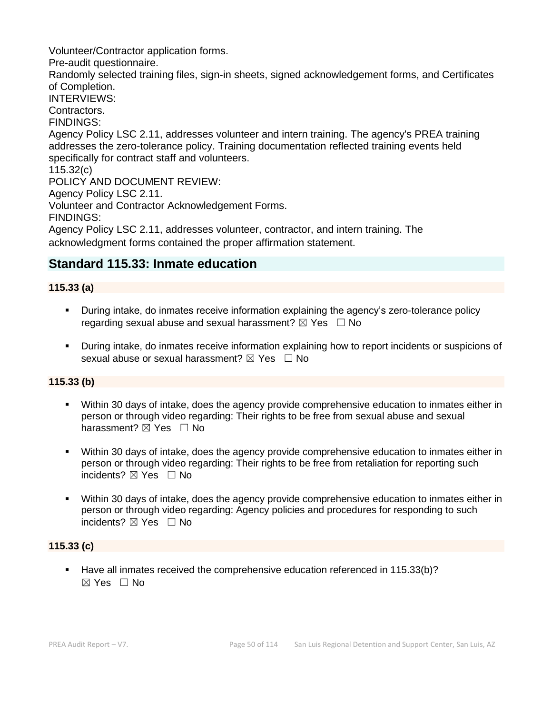Volunteer/Contractor application forms.

Pre-audit questionnaire.

Randomly selected training files, sign-in sheets, signed acknowledgement forms, and Certificates of Completion.

INTERVIEWS:

Contractors.

FINDINGS:

Agency Policy LSC 2.11, addresses volunteer and intern training. The agency's PREA training addresses the zero-tolerance policy. Training documentation reflected training events held specifically for contract staff and volunteers.

115.32(c)

POLICY AND DOCUMENT REVIEW:

Agency Policy LSC 2.11.

Volunteer and Contractor Acknowledgement Forms.

FINDINGS:

Agency Policy LSC 2.11, addresses volunteer, contractor, and intern training. The acknowledgment forms contained the proper affirmation statement.

# **Standard 115.33: Inmate education**

# **115.33 (a)**

- **•** During intake, do inmates receive information explaining the agency's zero-tolerance policy regarding sexual abuse and sexual harassment?  $\boxtimes$  Yes  $\Box$  No
- During intake, do inmates receive information explaining how to report incidents or suspicions of sexual abuse or sexual harassment?  $\boxtimes$  Yes  $\Box$  No

# **115.33 (b)**

- Within 30 days of intake, does the agency provide comprehensive education to inmates either in person or through video regarding: Their rights to be free from sexual abuse and sexual harassment? ⊠ Yes □ No
- Within 30 days of intake, does the agency provide comprehensive education to inmates either in person or through video regarding: Their rights to be free from retaliation for reporting such incidents? ☒ Yes ☐ No
- Within 30 days of intake, does the agency provide comprehensive education to inmates either in person or through video regarding: Agency policies and procedures for responding to such incidents? ⊠ Yes □ No

# **115.33 (c)**

Have all inmates received the comprehensive education referenced in 115.33(b)?  $\boxtimes$  Yes  $\Box$  No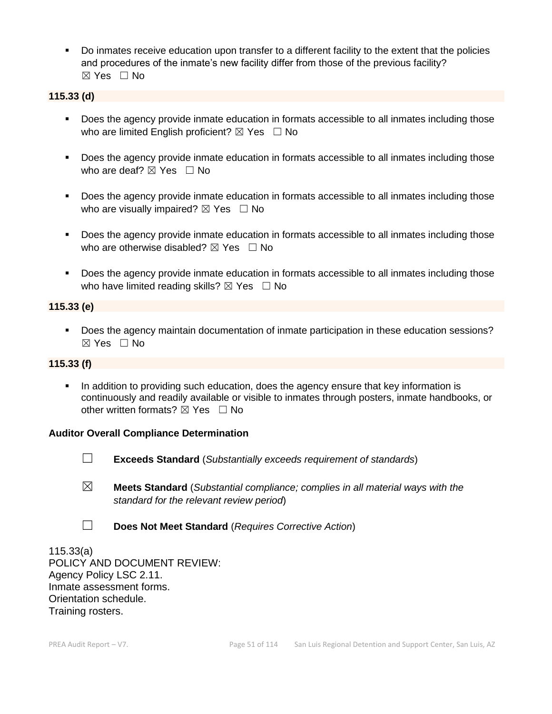▪ Do inmates receive education upon transfer to a different facility to the extent that the policies and procedures of the inmate's new facility differ from those of the previous facility? ☒ Yes ☐ No

# **115.33 (d)**

- Does the agency provide inmate education in formats accessible to all inmates including those who are limited English proficient?  $\boxtimes$  Yes  $\Box$  No
- Does the agency provide inmate education in formats accessible to all inmates including those who are deaf?  $\boxtimes$  Yes  $\Box$  No
- Does the agency provide inmate education in formats accessible to all inmates including those who are visually impaired?  $\boxtimes$  Yes  $\Box$  No
- Does the agency provide inmate education in formats accessible to all inmates including those who are otherwise disabled?  $\boxtimes$  Yes  $\Box$  No
- Does the agency provide inmate education in formats accessible to all inmates including those who have limited reading skills?  $\boxtimes$  Yes  $\Box$  No

# **115.33 (e)**

■ Does the agency maintain documentation of inmate participation in these education sessions? ☒ Yes ☐ No

# **115.33 (f)**

**•** In addition to providing such education, does the agency ensure that key information is continuously and readily available or visible to inmates through posters, inmate handbooks, or other written formats?  $\boxtimes$  Yes  $\Box$  No

# **Auditor Overall Compliance Determination**



- ☐ **Exceeds Standard** (*Substantially exceeds requirement of standards*)
- ☒ **Meets Standard** (*Substantial compliance; complies in all material ways with the standard for the relevant review period*)
- ☐ **Does Not Meet Standard** (*Requires Corrective Action*)

115.33(a) POLICY AND DOCUMENT REVIEW: Agency Policy LSC 2.11. Inmate assessment forms. Orientation schedule. Training rosters.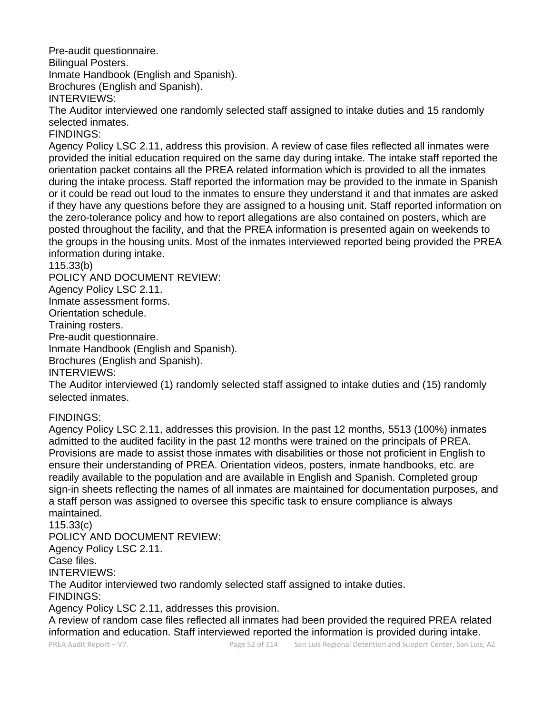Pre-audit questionnaire.

Bilingual Posters.

Inmate Handbook (English and Spanish).

Brochures (English and Spanish).

INTERVIEWS:

The Auditor interviewed one randomly selected staff assigned to intake duties and 15 randomly selected inmates.

FINDINGS:

Agency Policy LSC 2.11, address this provision. A review of case files reflected all inmates were provided the initial education required on the same day during intake. The intake staff reported the orientation packet contains all the PREA related information which is provided to all the inmates during the intake process. Staff reported the information may be provided to the inmate in Spanish or it could be read out loud to the inmates to ensure they understand it and that inmates are asked if they have any questions before they are assigned to a housing unit. Staff reported information on the zero-tolerance policy and how to report allegations are also contained on posters, which are posted throughout the facility, and that the PREA information is presented again on weekends to the groups in the housing units. Most of the inmates interviewed reported being provided the PREA information during intake.

# 115.33(b)

POLICY AND DOCUMENT REVIEW:

Agency Policy LSC 2.11.

Inmate assessment forms.

Orientation schedule.

Training rosters.

Pre-audit questionnaire.

Inmate Handbook (English and Spanish).

Brochures (English and Spanish).

INTERVIEWS:

The Auditor interviewed (1) randomly selected staff assigned to intake duties and (15) randomly selected inmates.

# FINDINGS:

Agency Policy LSC 2.11, addresses this provision. In the past 12 months, 5513 (100%) inmates admitted to the audited facility in the past 12 months were trained on the principals of PREA. Provisions are made to assist those inmates with disabilities or those not proficient in English to ensure their understanding of PREA. Orientation videos, posters, inmate handbooks, etc. are readily available to the population and are available in English and Spanish. Completed group sign-in sheets reflecting the names of all inmates are maintained for documentation purposes, and a staff person was assigned to oversee this specific task to ensure compliance is always maintained.

115.33(c) POLICY AND DOCUMENT REVIEW:

Agency Policy LSC 2.11.

Case files.

INTERVIEWS:

The Auditor interviewed two randomly selected staff assigned to intake duties.

FINDINGS:

Agency Policy LSC 2.11, addresses this provision.

A review of random case files reflected all inmates had been provided the required PREA related information and education. Staff interviewed reported the information is provided during intake.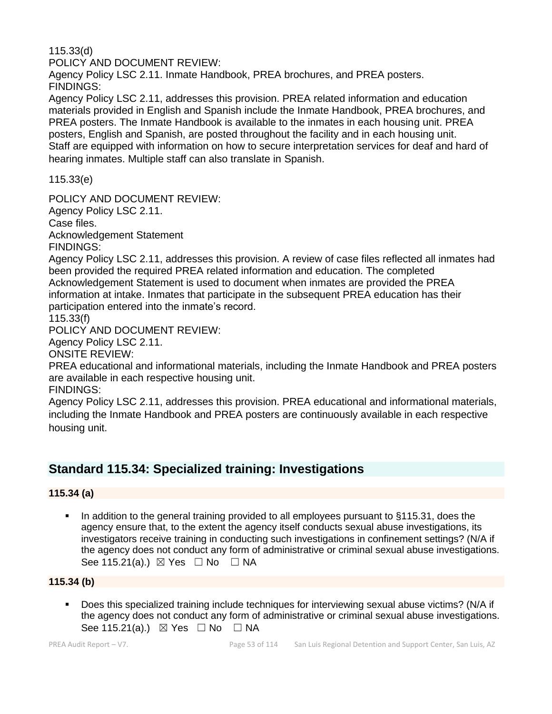115.33(d)

POLICY AND DOCUMENT REVIEW:

Agency Policy LSC 2.11. Inmate Handbook, PREA brochures, and PREA posters. FINDINGS:

Agency Policy LSC 2.11, addresses this provision. PREA related information and education materials provided in English and Spanish include the Inmate Handbook, PREA brochures, and PREA posters. The Inmate Handbook is available to the inmates in each housing unit. PREA posters, English and Spanish, are posted throughout the facility and in each housing unit. Staff are equipped with information on how to secure interpretation services for deaf and hard of hearing inmates. Multiple staff can also translate in Spanish.

115.33(e)

POLICY AND DOCUMENT REVIEW:

Agency Policy LSC 2.11.

Case files.

Acknowledgement Statement FINDINGS:

Agency Policy LSC 2.11, addresses this provision. A review of case files reflected all inmates had been provided the required PREA related information and education. The completed Acknowledgement Statement is used to document when inmates are provided the PREA information at intake. Inmates that participate in the subsequent PREA education has their participation entered into the inmate's record.

115.33(f)

POLICY AND DOCUMENT REVIEW:

Agency Policy LSC 2.11.

ONSITE REVIEW:

PREA educational and informational materials, including the Inmate Handbook and PREA posters are available in each respective housing unit.

FINDINGS:

Agency Policy LSC 2.11, addresses this provision. PREA educational and informational materials, including the Inmate Handbook and PREA posters are continuously available in each respective housing unit.

# **Standard 115.34: Specialized training: Investigations**

# **115.34 (a)**

■ In addition to the general training provided to all employees pursuant to §115.31, does the agency ensure that, to the extent the agency itself conducts sexual abuse investigations, its investigators receive training in conducting such investigations in confinement settings? (N/A if the agency does not conduct any form of administrative or criminal sexual abuse investigations. See 115.21(a).)  $\boxtimes$  Yes  $\Box$  No  $\Box$  NA

# **115.34 (b)**

▪ Does this specialized training include techniques for interviewing sexual abuse victims? (N/A if the agency does not conduct any form of administrative or criminal sexual abuse investigations. See 115.21(a).)  $\boxtimes$  Yes  $\Box$  No  $\Box$  NA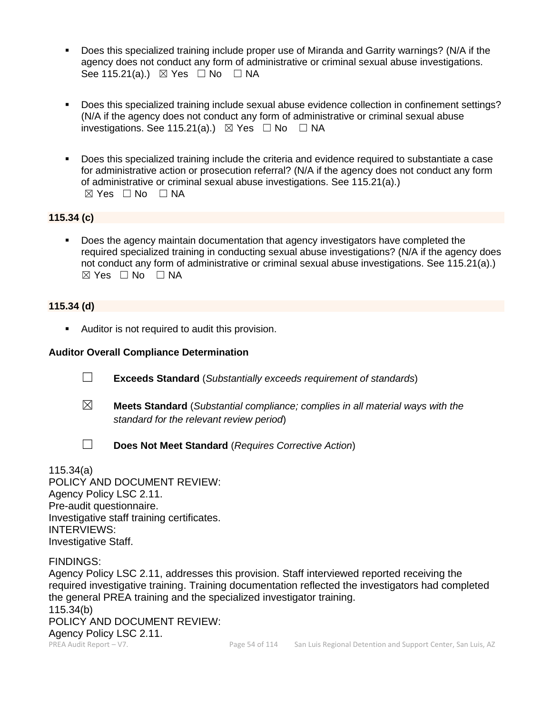- Does this specialized training include proper use of Miranda and Garrity warnings? (N/A if the agency does not conduct any form of administrative or criminal sexual abuse investigations. See 115.21(a).)  $\boxtimes$  Yes  $\Box$  No  $\Box$  NA
- Does this specialized training include sexual abuse evidence collection in confinement settings? (N/A if the agency does not conduct any form of administrative or criminal sexual abuse investigations. See 115.21(a).)  $\boxtimes$  Yes  $\Box$  No  $\Box$  NA
- Does this specialized training include the criteria and evidence required to substantiate a case for administrative action or prosecution referral? (N/A if the agency does not conduct any form of administrative or criminal sexual abuse investigations. See 115.21(a).)  $⊠ Yes ⊡ No ⊡ NA$

# **115.34 (c)**

Does the agency maintain documentation that agency investigators have completed the required specialized training in conducting sexual abuse investigations? (N/A if the agency does not conduct any form of administrative or criminal sexual abuse investigations. See 115.21(a).)  $\boxtimes$  Yes  $\Box$  No  $\Box$  NA

### **115.34 (d)**

■ Auditor is not required to audit this provision.

## **Auditor Overall Compliance Determination**

☐ **Exceeds Standard** (*Substantially exceeds requirement of standards*)

- ☒ **Meets Standard** (*Substantial compliance; complies in all material ways with the standard for the relevant review period*)
- 

☐ **Does Not Meet Standard** (*Requires Corrective Action*)

115.34(a) POLICY AND DOCUMENT REVIEW: Agency Policy LSC 2.11. Pre-audit questionnaire. Investigative staff training certificates. INTERVIEWS: Investigative Staff.

FINDINGS:

Agency Policy LSC 2.11, addresses this provision. Staff interviewed reported receiving the required investigative training. Training documentation reflected the investigators had completed the general PREA training and the specialized investigator training. 115.34(b) POLICY AND DOCUMENT REVIEW: Agency Policy LSC 2.11.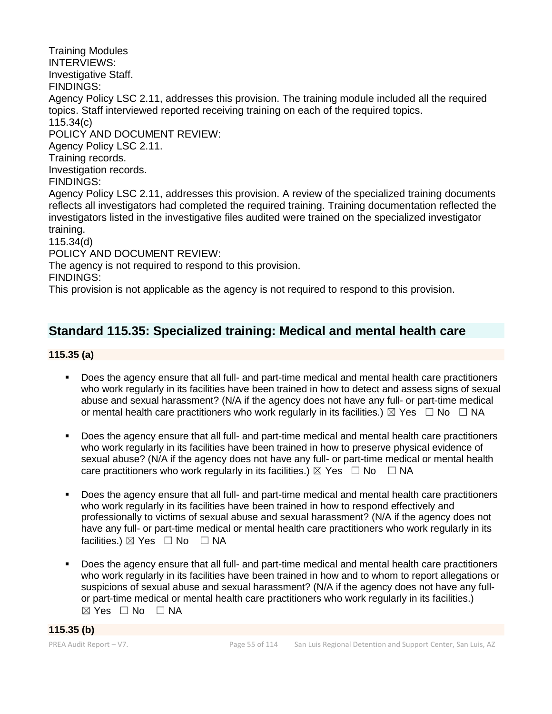Training Modules INTERVIEWS: Investigative Staff. FINDINGS: Agency Policy LSC 2.11, addresses this provision. The training module included all the required topics. Staff interviewed reported receiving training on each of the required topics. 115.34(c) POLICY AND DOCUMENT REVIEW: Agency Policy LSC 2.11. Training records. Investigation records. FINDINGS: Agency Policy LSC 2.11, addresses this provision. A review of the specialized training documents reflects all investigators had completed the required training. Training documentation reflected the investigators listed in the investigative files audited were trained on the specialized investigator training. 115.34(d) POLICY AND DOCUMENT REVIEW: The agency is not required to respond to this provision. FINDINGS:

# This provision is not applicable as the agency is not required to respond to this provision.

# **Standard 115.35: Specialized training: Medical and mental health care**

## **115.35 (a)**

- Does the agency ensure that all full- and part-time medical and mental health care practitioners who work regularly in its facilities have been trained in how to detect and assess signs of sexual abuse and sexual harassment? (N/A if the agency does not have any full- or part-time medical or mental health care practitioners who work regularly in its facilities.)  $\boxtimes$  Yes  $\Box$  No  $\Box$  NA
- Does the agency ensure that all full- and part-time medical and mental health care practitioners who work regularly in its facilities have been trained in how to preserve physical evidence of sexual abuse? (N/A if the agency does not have any full- or part-time medical or mental health care practitioners who work regularly in its facilities.)  $\boxtimes$  Yes  $\Box$  No  $\Box$  NA
- Does the agency ensure that all full- and part-time medical and mental health care practitioners who work regularly in its facilities have been trained in how to respond effectively and professionally to victims of sexual abuse and sexual harassment? (N/A if the agency does not have any full- or part-time medical or mental health care practitioners who work regularly in its facilities.) ⊠ Yes □ No □ NA
- Does the agency ensure that all full- and part-time medical and mental health care practitioners who work regularly in its facilities have been trained in how and to whom to report allegations or suspicions of sexual abuse and sexual harassment? (N/A if the agency does not have any fullor part-time medical or mental health care practitioners who work regularly in its facilities.)  $\boxtimes$  Yes  $\Box$  No  $\Box$  NA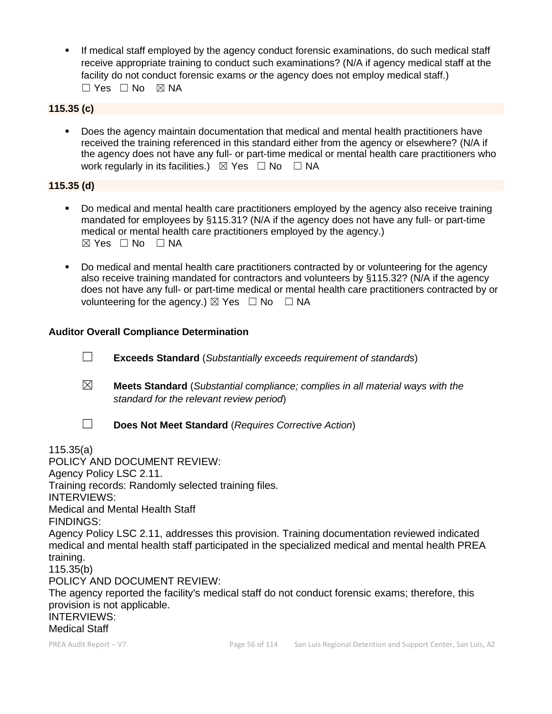**.** If medical staff employed by the agency conduct forensic examinations, do such medical staff receive appropriate training to conduct such examinations? (N/A if agency medical staff at the facility do not conduct forensic exams *or* the agency does not employ medical staff.)  $\Box$  Yes  $\Box$  No  $\boxtimes$  NA

# **115.35 (c)**

Does the agency maintain documentation that medical and mental health practitioners have received the training referenced in this standard either from the agency or elsewhere? (N/A if the agency does not have any full- or part-time medical or mental health care practitioners who work regularly in its facilities.)  $\boxtimes$  Yes  $\Box$  No  $\Box$  NA

# **115.35 (d)**

- Do medical and mental health care practitioners employed by the agency also receive training mandated for employees by §115.31? (N/A if the agency does not have any full- or part-time medical or mental health care practitioners employed by the agency.)  $\boxtimes$  Yes  $\Box$  No  $\Box$  NA
- Do medical and mental health care practitioners contracted by or volunteering for the agency also receive training mandated for contractors and volunteers by §115.32? (N/A if the agency does not have any full- or part-time medical or mental health care practitioners contracted by or volunteering for the agency.)  $\boxtimes$  Yes  $\Box$  No  $\Box$  NA

# **Auditor Overall Compliance Determination**

- ☐ **Exceeds Standard** (*Substantially exceeds requirement of standards*)
- ☒ **Meets Standard** (*Substantial compliance; complies in all material ways with the standard for the relevant review period*)

☐ **Does Not Meet Standard** (*Requires Corrective Action*) 115.35(a) POLICY AND DOCUMENT REVIEW: Agency Policy LSC 2.11. Training records: Randomly selected training files. INTERVIEWS: Medical and Mental Health Staff FINDINGS: Agency Policy LSC 2.11, addresses this provision. Training documentation reviewed indicated medical and mental health staff participated in the specialized medical and mental health PREA training. 115.35(b) POLICY AND DOCUMENT REVIEW: The agency reported the facility's medical staff do not conduct forensic exams; therefore, this provision is not applicable. INTERVIEWS: Medical Staff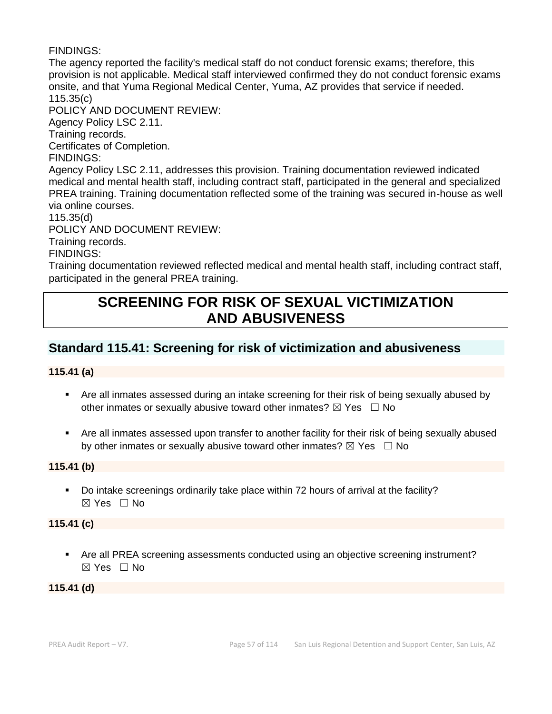# FINDINGS:

The agency reported the facility's medical staff do not conduct forensic exams; therefore, this provision is not applicable. Medical staff interviewed confirmed they do not conduct forensic exams onsite, and that Yuma Regional Medical Center, Yuma, AZ provides that service if needed. 115.35(c) POLICY AND DOCUMENT REVIEW: Agency Policy LSC 2.11. Training records. Certificates of Completion. FINDINGS: Agency Policy LSC 2.11, addresses this provision. Training documentation reviewed indicated medical and mental health staff, including contract staff, participated in the general and specialized PREA training. Training documentation reflected some of the training was secured in-house as well via online courses. 115.35(d) POLICY AND DOCUMENT REVIEW: Training records. FINDINGS:

Training documentation reviewed reflected medical and mental health staff, including contract staff, participated in the general PREA training.

# **SCREENING FOR RISK OF SEXUAL VICTIMIZATION AND ABUSIVENESS**

# **Standard 115.41: Screening for risk of victimization and abusiveness**

# **115.41 (a)**

- Are all inmates assessed during an intake screening for their risk of being sexually abused by other inmates or sexually abusive toward other inmates?  $\boxtimes$  Yes  $\Box$  No
- Are all inmates assessed upon transfer to another facility for their risk of being sexually abused by other inmates or sexually abusive toward other inmates?  $\boxtimes$  Yes  $\Box$  No

# **115.41 (b)**

Do intake screenings ordinarily take place within 72 hours of arrival at the facility?  $\boxtimes$  Yes  $\Box$  No

#### **115.41 (c)**

▪ Are all PREA screening assessments conducted using an objective screening instrument? ☒ Yes ☐ No

# **115.41 (d)**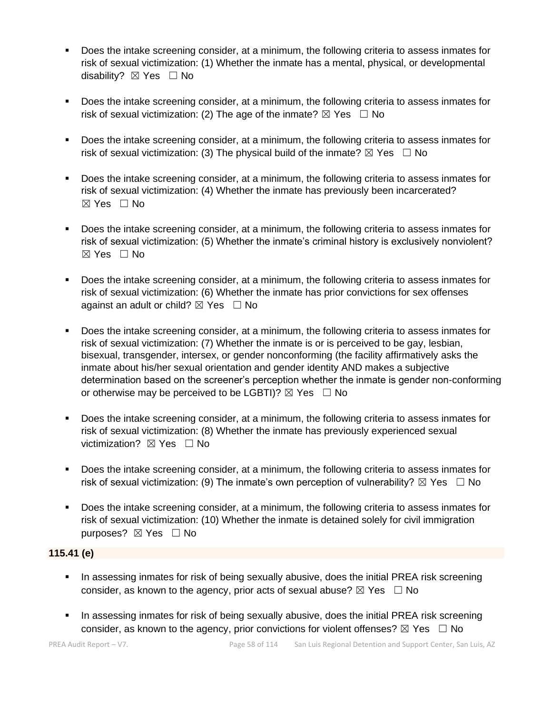- Does the intake screening consider, at a minimum, the following criteria to assess inmates for risk of sexual victimization: (1) Whether the inmate has a mental, physical, or developmental disability? ⊠ Yes □ No
- Does the intake screening consider, at a minimum, the following criteria to assess inmates for risk of sexual victimization: (2) The age of the inmate?  $\boxtimes$  Yes  $\Box$  No
- Does the intake screening consider, at a minimum, the following criteria to assess inmates for risk of sexual victimization: (3) The physical build of the inmate?  $\boxtimes$  Yes  $\Box$  No
- Does the intake screening consider, at a minimum, the following criteria to assess inmates for risk of sexual victimization: (4) Whether the inmate has previously been incarcerated? ☒ Yes ☐ No
- Does the intake screening consider, at a minimum, the following criteria to assess inmates for risk of sexual victimization: (5) Whether the inmate's criminal history is exclusively nonviolent?  $\boxtimes$  Yes  $\Box$  No
- Does the intake screening consider, at a minimum, the following criteria to assess inmates for risk of sexual victimization: (6) Whether the inmate has prior convictions for sex offenses against an adult or child?  $\boxtimes$  Yes  $\Box$  No
- Does the intake screening consider, at a minimum, the following criteria to assess inmates for risk of sexual victimization: (7) Whether the inmate is or is perceived to be gay, lesbian, bisexual, transgender, intersex, or gender nonconforming (the facility affirmatively asks the inmate about his/her sexual orientation and gender identity AND makes a subjective determination based on the screener's perception whether the inmate is gender non-conforming or otherwise may be perceived to be LGBTI)?  $\boxtimes$  Yes  $\Box$  No
- Does the intake screening consider, at a minimum, the following criteria to assess inmates for risk of sexual victimization: (8) Whether the inmate has previously experienced sexual victimization? **⊠** Yes □ No
- Does the intake screening consider, at a minimum, the following criteria to assess inmates for risk of sexual victimization: (9) The inmate's own perception of vulnerability?  $\boxtimes$  Yes  $\Box$  No
- Does the intake screening consider, at a minimum, the following criteria to assess inmates for risk of sexual victimization: (10) Whether the inmate is detained solely for civil immigration purposes? ⊠ Yes □ No

# **115.41 (e)**

- **•** In assessing inmates for risk of being sexually abusive, does the initial PREA risk screening consider, as known to the agency, prior acts of sexual abuse?  $\boxtimes$  Yes  $\Box$  No
- **•** In assessing inmates for risk of being sexually abusive, does the initial PREA risk screening consider, as known to the agency, prior convictions for violent offenses?  $\boxtimes$  Yes  $\Box$  No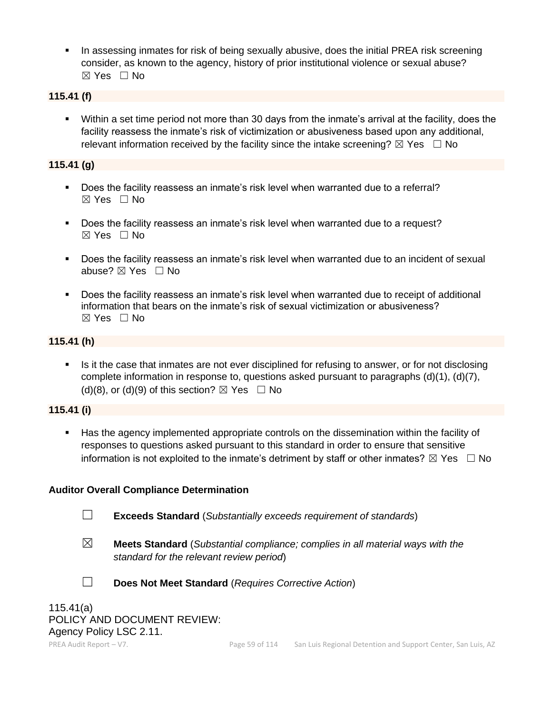**•** In assessing inmates for risk of being sexually abusive, does the initial PREA risk screening consider, as known to the agency, history of prior institutional violence or sexual abuse? ☒ Yes ☐ No

# **115.41 (f)**

▪ Within a set time period not more than 30 days from the inmate's arrival at the facility, does the facility reassess the inmate's risk of victimization or abusiveness based upon any additional, relevant information received by the facility since the intake screening?  $\boxtimes$  Yes  $\Box$  No

# **115.41 (g)**

- Does the facility reassess an inmate's risk level when warranted due to a referral? ☒ Yes ☐ No
- Does the facility reassess an inmate's risk level when warranted due to a request? ☒ Yes ☐ No
- Does the facility reassess an inmate's risk level when warranted due to an incident of sexual abuse? ☒ Yes ☐ No
- Does the facility reassess an inmate's risk level when warranted due to receipt of additional information that bears on the inmate's risk of sexual victimization or abusiveness? ☒ Yes ☐ No

# **115.41 (h)**

**.** Is it the case that inmates are not ever disciplined for refusing to answer, or for not disclosing complete information in response to, questions asked pursuant to paragraphs (d)(1), (d)(7), (d)(8), or (d)(9) of this section?  $\boxtimes$  Yes  $\Box$  No

# **115.41 (i)**

Has the agency implemented appropriate controls on the dissemination within the facility of responses to questions asked pursuant to this standard in order to ensure that sensitive information is not exploited to the inmate's detriment by staff or other inmates?  $\boxtimes$  Yes  $\Box$  No

# **Auditor Overall Compliance Determination**

- ☐ **Exceeds Standard** (*Substantially exceeds requirement of standards*)
- ☒ **Meets Standard** (*Substantial compliance; complies in all material ways with the standard for the relevant review period*)



☐ **Does Not Meet Standard** (*Requires Corrective Action*)

115.41(a) POLICY AND DOCUMENT REVIEW: Agency Policy LSC 2.11.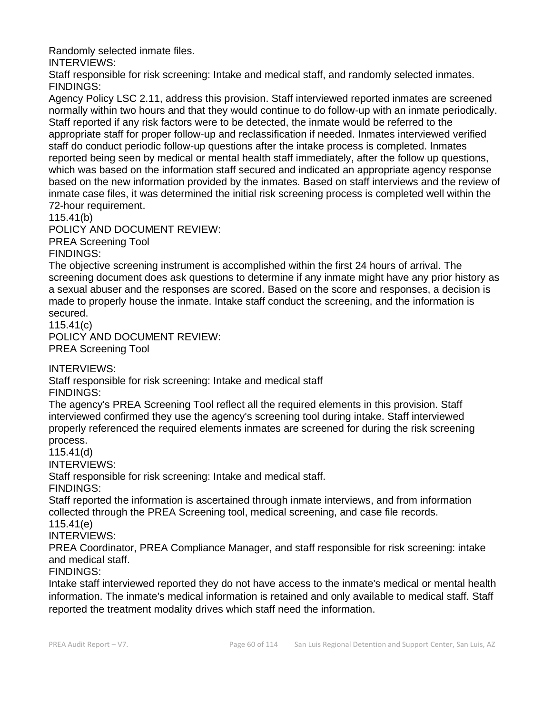Randomly selected inmate files.

INTERVIEWS:

Staff responsible for risk screening: Intake and medical staff, and randomly selected inmates. FINDINGS:

Agency Policy LSC 2.11, address this provision. Staff interviewed reported inmates are screened normally within two hours and that they would continue to do follow-up with an inmate periodically. Staff reported if any risk factors were to be detected, the inmate would be referred to the appropriate staff for proper follow-up and reclassification if needed. Inmates interviewed verified staff do conduct periodic follow-up questions after the intake process is completed. Inmates reported being seen by medical or mental health staff immediately, after the follow up questions, which was based on the information staff secured and indicated an appropriate agency response based on the new information provided by the inmates. Based on staff interviews and the review of inmate case files, it was determined the initial risk screening process is completed well within the 72-hour requirement.

115.41(b)

POLICY AND DOCUMENT REVIEW:

PREA Screening Tool

FINDINGS:

The objective screening instrument is accomplished within the first 24 hours of arrival. The screening document does ask questions to determine if any inmate might have any prior history as a sexual abuser and the responses are scored. Based on the score and responses, a decision is made to properly house the inmate. Intake staff conduct the screening, and the information is secured.

115.41(c)

POLICY AND DOCUMENT REVIEW: PREA Screening Tool

INTERVIEWS:

Staff responsible for risk screening: Intake and medical staff FINDINGS:

The agency's PREA Screening Tool reflect all the required elements in this provision. Staff interviewed confirmed they use the agency's screening tool during intake. Staff interviewed properly referenced the required elements inmates are screened for during the risk screening process.

115.41(d)

INTERVIEWS:

Staff responsible for risk screening: Intake and medical staff.

FINDINGS:

Staff reported the information is ascertained through inmate interviews, and from information collected through the PREA Screening tool, medical screening, and case file records. 115.41(e)

INTERVIEWS:

PREA Coordinator, PREA Compliance Manager, and staff responsible for risk screening: intake and medical staff.

FINDINGS:

Intake staff interviewed reported they do not have access to the inmate's medical or mental health information. The inmate's medical information is retained and only available to medical staff. Staff reported the treatment modality drives which staff need the information.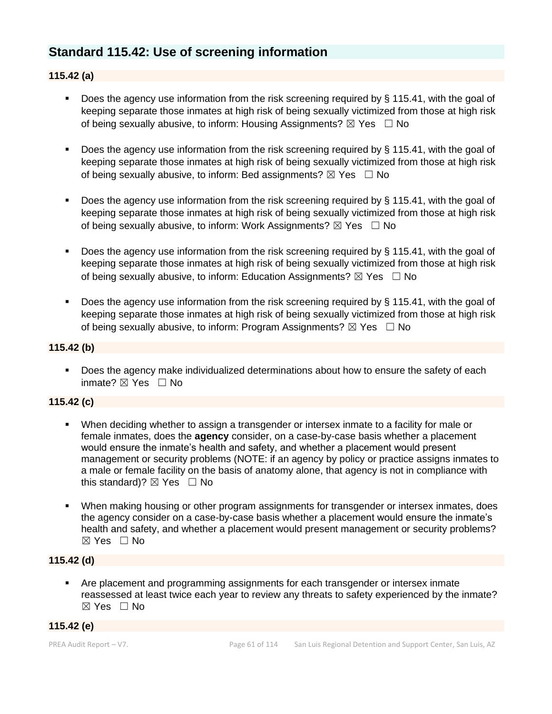# **Standard 115.42: Use of screening information**

# **115.42 (a)**

- **•** Does the agency use information from the risk screening required by  $\S$  115.41, with the goal of keeping separate those inmates at high risk of being sexually victimized from those at high risk of being sexually abusive, to inform: Housing Assignments?  $\boxtimes$  Yes  $\Box$  No
- Does the agency use information from the risk screening required by § 115.41, with the goal of keeping separate those inmates at high risk of being sexually victimized from those at high risk of being sexually abusive, to inform: Bed assignments?  $\boxtimes$  Yes  $\Box$  No
- Does the agency use information from the risk screening required by § 115.41, with the goal of keeping separate those inmates at high risk of being sexually victimized from those at high risk of being sexually abusive, to inform: Work Assignments?  $\boxtimes$  Yes  $\Box$  No
- Does the agency use information from the risk screening required by § 115.41, with the goal of keeping separate those inmates at high risk of being sexually victimized from those at high risk of being sexually abusive, to inform: Education Assignments?  $\boxtimes$  Yes  $\Box$  No
- Does the agency use information from the risk screening required by § 115.41, with the goal of keeping separate those inmates at high risk of being sexually victimized from those at high risk of being sexually abusive, to inform: Program Assignments?  $\boxtimes$  Yes  $\Box$  No

### **115.42 (b)**

■ Does the agency make individualized determinations about how to ensure the safety of each inmate? ☒ Yes ☐ No

# **115.42 (c)**

- When deciding whether to assign a transgender or intersex inmate to a facility for male or female inmates, does the **agency** consider, on a case-by-case basis whether a placement would ensure the inmate's health and safety, and whether a placement would present management or security problems (NOTE: if an agency by policy or practice assigns inmates to a male or female facility on the basis of anatomy alone, that agency is not in compliance with this standard)?  $\boxtimes$  Yes  $\Box$  No
- When making housing or other program assignments for transgender or intersex inmates, does the agency consider on a case-by-case basis whether a placement would ensure the inmate's health and safety, and whether a placement would present management or security problems? ☒ Yes ☐ No

### **115.42 (d)**

▪ Are placement and programming assignments for each transgender or intersex inmate reassessed at least twice each year to review any threats to safety experienced by the inmate? ☒ Yes ☐ No

# **115.42 (e)**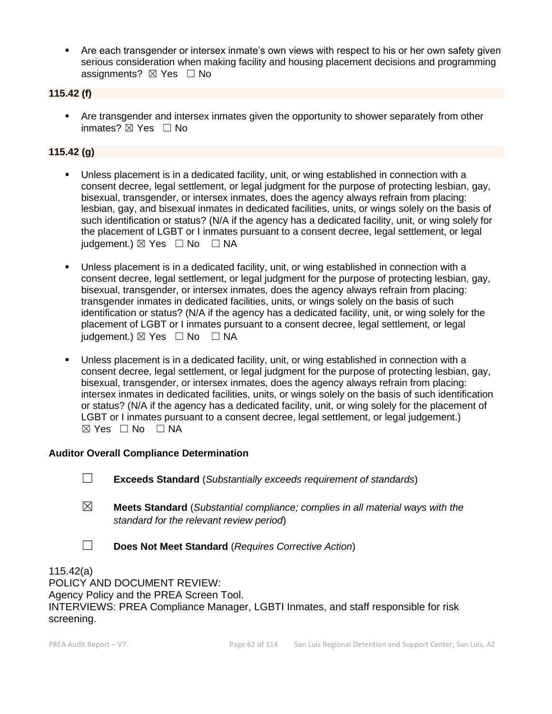**EXECT Are each transgender or intersex inmate's own views with respect to his or her own safety given** serious consideration when making facility and housing placement decisions and programming assignments?  $\boxtimes$  Yes  $\Box$  No

## **115.42 (f)**

**•** Are transgender and intersex inmates given the opportunity to shower separately from other inmates? ☒ Yes ☐ No

# **115.42 (g)**

- Unless placement is in a dedicated facility, unit, or wing established in connection with a consent decree, legal settlement, or legal judgment for the purpose of protecting lesbian, gay, bisexual, transgender, or intersex inmates, does the agency always refrain from placing: lesbian, gay, and bisexual inmates in dedicated facilities, units, or wings solely on the basis of such identification or status? (N/A if the agency has a dedicated facility, unit, or wing solely for the placement of LGBT or I inmates pursuant to a consent decree, legal settlement, or legal  $judgement.$   $\boxtimes$  Yes  $\Box$  No  $\Box$  NA
- Unless placement is in a dedicated facility, unit, or wing established in connection with a consent decree, legal settlement, or legal judgment for the purpose of protecting lesbian, gay, bisexual, transgender, or intersex inmates, does the agency always refrain from placing: transgender inmates in dedicated facilities, units, or wings solely on the basis of such identification or status? (N/A if the agency has a dedicated facility, unit, or wing solely for the placement of LGBT or I inmates pursuant to a consent decree, legal settlement, or legal judgement.)  $\boxtimes$  Yes  $\Box$  No  $\Box$  NA
- Unless placement is in a dedicated facility, unit, or wing established in connection with a consent decree, legal settlement, or legal judgment for the purpose of protecting lesbian, gay, bisexual, transgender, or intersex inmates, does the agency always refrain from placing: intersex inmates in dedicated facilities, units, or wings solely on the basis of such identification or status? (N/A if the agency has a dedicated facility, unit, or wing solely for the placement of LGBT or I inmates pursuant to a consent decree, legal settlement, or legal judgement.)  $⊠ Yes ⊡ No ⊡ NA$

#### **Auditor Overall Compliance Determination**

- ☐ **Exceeds Standard** (*Substantially exceeds requirement of standards*)
- ☒ **Meets Standard** (*Substantial compliance; complies in all material ways with the standard for the relevant review period*)
- ☐ **Does Not Meet Standard** (*Requires Corrective Action*)

115.42(a) POLICY AND DOCUMENT REVIEW: Agency Policy and the PREA Screen Tool. INTERVIEWS: PREA Compliance Manager, LGBTI Inmates, and staff responsible for risk screening.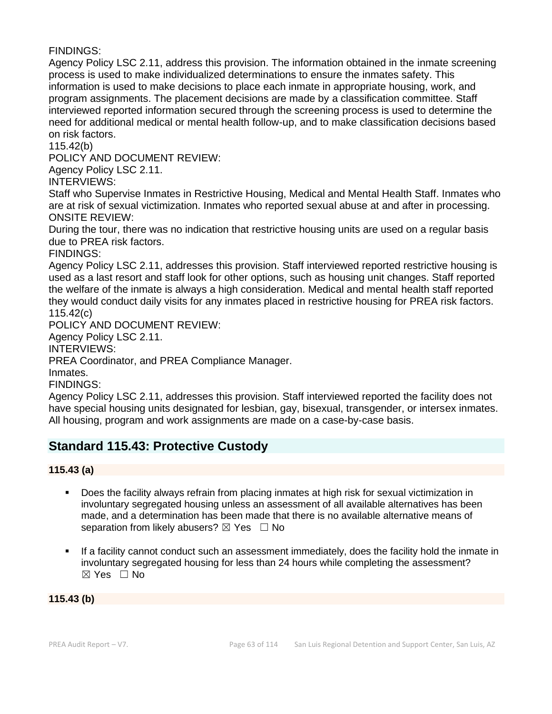FINDINGS:

Agency Policy LSC 2.11, address this provision. The information obtained in the inmate screening process is used to make individualized determinations to ensure the inmates safety. This information is used to make decisions to place each inmate in appropriate housing, work, and program assignments. The placement decisions are made by a classification committee. Staff interviewed reported information secured through the screening process is used to determine the need for additional medical or mental health follow-up, and to make classification decisions based on risk factors.

115.42(b)

POLICY AND DOCUMENT REVIEW:

Agency Policy LSC 2.11.

INTERVIEWS:

Staff who Supervise Inmates in Restrictive Housing, Medical and Mental Health Staff. Inmates who are at risk of sexual victimization. Inmates who reported sexual abuse at and after in processing. ONSITE REVIEW:

During the tour, there was no indication that restrictive housing units are used on a regular basis due to PREA risk factors.

FINDINGS:

Agency Policy LSC 2.11, addresses this provision. Staff interviewed reported restrictive housing is used as a last resort and staff look for other options, such as housing unit changes. Staff reported the welfare of the inmate is always a high consideration. Medical and mental health staff reported they would conduct daily visits for any inmates placed in restrictive housing for PREA risk factors. 115.42(c)

POLICY AND DOCUMENT REVIEW:

Agency Policy LSC 2.11.

INTERVIEWS:

PREA Coordinator, and PREA Compliance Manager.

Inmates.

FINDINGS:

Agency Policy LSC 2.11, addresses this provision. Staff interviewed reported the facility does not have special housing units designated for lesbian, gay, bisexual, transgender, or intersex inmates. All housing, program and work assignments are made on a case-by-case basis.

# **Standard 115.43: Protective Custody**

**115.43 (a)**

- Does the facility always refrain from placing inmates at high risk for sexual victimization in involuntary segregated housing unless an assessment of all available alternatives has been made, and a determination has been made that there is no available alternative means of separation from likely abusers?  $\boxtimes$  Yes  $\Box$  No
- If a facility cannot conduct such an assessment immediately, does the facility hold the inmate in involuntary segregated housing for less than 24 hours while completing the assessment?  $\boxtimes$  Yes  $\Box$  No

**115.43 (b)**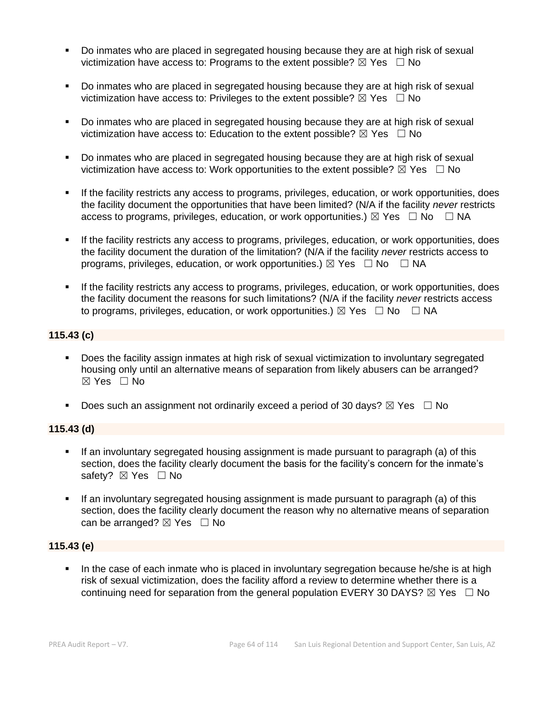- Do inmates who are placed in segregated housing because they are at high risk of sexual victimization have access to: Programs to the extent possible?  $\boxtimes$  Yes  $\Box$  No
- Do inmates who are placed in segregated housing because they are at high risk of sexual victimization have access to: Privileges to the extent possible?  $\boxtimes$  Yes  $\Box$  No
- Do inmates who are placed in segregated housing because they are at high risk of sexual victimization have access to: Education to the extent possible?  $\boxtimes$  Yes  $\Box$  No
- Do inmates who are placed in segregated housing because they are at high risk of sexual victimization have access to: Work opportunities to the extent possible?  $\boxtimes$  Yes  $\Box$  No
- If the facility restricts any access to programs, privileges, education, or work opportunities, does the facility document the opportunities that have been limited? (N/A if the facility *never* restricts access to programs, privileges, education, or work opportunities.)  $\boxtimes$  Yes  $\Box$  No  $\Box$  NA
- If the facility restricts any access to programs, privileges, education, or work opportunities, does the facility document the duration of the limitation? (N/A if the facility *never* restricts access to programs, privileges, education, or work opportunities.)  $\boxtimes$  Yes  $\Box$  No  $\Box$  NA
- **.** If the facility restricts any access to programs, privileges, education, or work opportunities, does the facility document the reasons for such limitations? (N/A if the facility *never* restricts access to programs, privileges, education, or work opportunities.)  $\boxtimes$  Yes  $\Box$  No  $\Box$  NA

# **115.43 (c)**

- Does the facility assign inmates at high risk of sexual victimization to involuntary segregated housing only until an alternative means of separation from likely abusers can be arranged? ☒ Yes ☐ No
- **•** Does such an assignment not ordinarily exceed a period of 30 days?  $\boxtimes$  Yes  $\Box$  No

# **115.43 (d)**

- **.** If an involuntary segregated housing assignment is made pursuant to paragraph (a) of this section, does the facility clearly document the basis for the facility's concern for the inmate's safety? ⊠ Yes □ No
- If an involuntary segregated housing assignment is made pursuant to paragraph (a) of this section, does the facility clearly document the reason why no alternative means of separation can be arranged?  $\boxtimes$  Yes  $\Box$  No

# **115.43 (e)**

In the case of each inmate who is placed in involuntary segregation because he/she is at high risk of sexual victimization, does the facility afford a review to determine whether there is a continuing need for separation from the general population EVERY 30 DAYS?  $\boxtimes$  Yes  $\Box$  No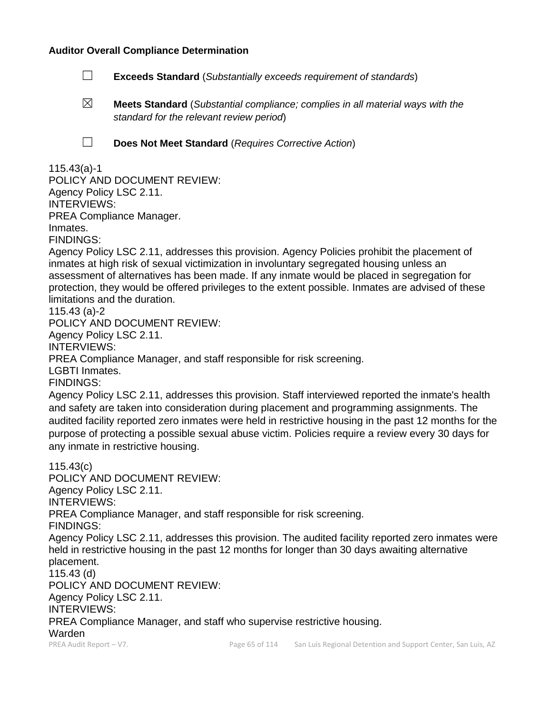### **Auditor Overall Compliance Determination**

- ☐ **Exceeds Standard** (*Substantially exceeds requirement of standards*)
- ☒ **Meets Standard** (*Substantial compliance; complies in all material ways with the standard for the relevant review period*)
- 
- ☐ **Does Not Meet Standard** (*Requires Corrective Action*)

# 115.43(a)-1

POLICY AND DOCUMENT REVIEW: Agency Policy LSC 2.11. INTERVIEWS: PREA Compliance Manager. Inmates. FINDINGS:

Agency Policy LSC 2.11, addresses this provision. Agency Policies prohibit the placement of inmates at high risk of sexual victimization in involuntary segregated housing unless an assessment of alternatives has been made. If any inmate would be placed in segregation for protection, they would be offered privileges to the extent possible. Inmates are advised of these limitations and the duration.

115.43 (a)-2

POLICY AND DOCUMENT REVIEW: Agency Policy LSC 2.11. INTERVIEWS: PREA Compliance Manager, and staff responsible for risk screening. LGBTI Inmates. FINDINGS:

Agency Policy LSC 2.11, addresses this provision. Staff interviewed reported the inmate's health and safety are taken into consideration during placement and programming assignments. The audited facility reported zero inmates were held in restrictive housing in the past 12 months for the purpose of protecting a possible sexual abuse victim. Policies require a review every 30 days for any inmate in restrictive housing.

PREA Audit Report – V7. **Page 65 of 114** San Luis Regional Detention and Support Center, San Luis, AZ 115.43(c) POLICY AND DOCUMENT REVIEW: Agency Policy LSC 2.11. INTERVIEWS: PREA Compliance Manager, and staff responsible for risk screening. FINDINGS: Agency Policy LSC 2.11, addresses this provision. The audited facility reported zero inmates were held in restrictive housing in the past 12 months for longer than 30 days awaiting alternative placement. 115.43 (d) POLICY AND DOCUMENT REVIEW: Agency Policy LSC 2.11. INTERVIEWS: PREA Compliance Manager, and staff who supervise restrictive housing. Warden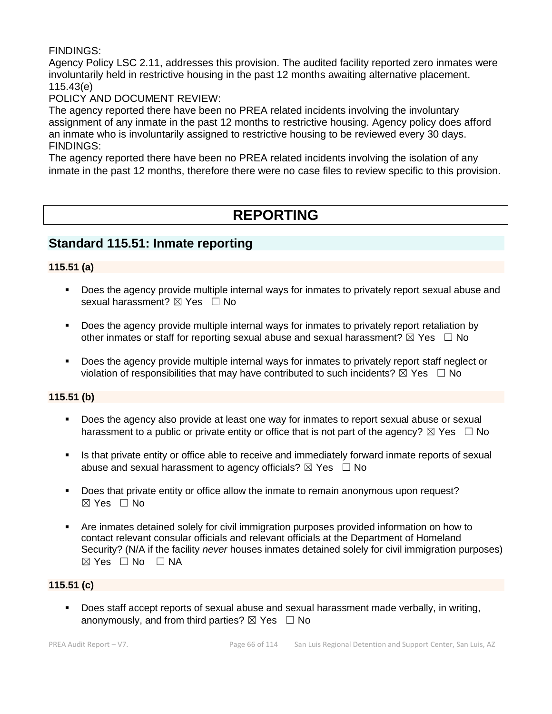# FINDINGS:

Agency Policy LSC 2.11, addresses this provision. The audited facility reported zero inmates were involuntarily held in restrictive housing in the past 12 months awaiting alternative placement. 115.43(e)

# POLICY AND DOCUMENT REVIEW:

The agency reported there have been no PREA related incidents involving the involuntary assignment of any inmate in the past 12 months to restrictive housing. Agency policy does afford an inmate who is involuntarily assigned to restrictive housing to be reviewed every 30 days. FINDINGS:

The agency reported there have been no PREA related incidents involving the isolation of any inmate in the past 12 months, therefore there were no case files to review specific to this provision.

# **REPORTING**

# **Standard 115.51: Inmate reporting**

# **115.51 (a)**

- Does the agency provide multiple internal ways for inmates to privately report sexual abuse and sexual harassment? ⊠ Yes □ No
- Does the agency provide multiple internal ways for inmates to privately report retaliation by other inmates or staff for reporting sexual abuse and sexual harassment?  $\boxtimes$  Yes  $\Box$  No
- Does the agency provide multiple internal ways for inmates to privately report staff neglect or violation of responsibilities that may have contributed to such incidents?  $\boxtimes$  Yes  $\Box$  No

# **115.51 (b)**

- Does the agency also provide at least one way for inmates to report sexual abuse or sexual harassment to a public or private entity or office that is not part of the agency?  $\boxtimes$  Yes  $\Box$  No
- Is that private entity or office able to receive and immediately forward inmate reports of sexual abuse and sexual harassment to agency officials?  $\boxtimes$  Yes  $\Box$  No
- Does that private entity or office allow the inmate to remain anonymous upon request?  $\boxtimes$  Yes  $\Box$  No
- Are inmates detained solely for civil immigration purposes provided information on how to contact relevant consular officials and relevant officials at the Department of Homeland Security? (N/A if the facility *never* houses inmates detained solely for civil immigration purposes)  $⊠ Yes ⊡ No ⊡ NA$

# **115.51 (c)**

■ Does staff accept reports of sexual abuse and sexual harassment made verbally, in writing, anonymously, and from third parties?  $\boxtimes$  Yes  $\Box$  No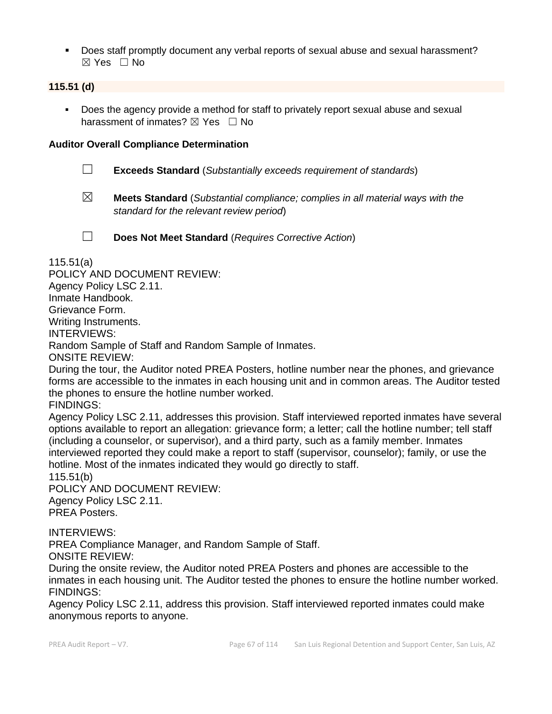▪ Does staff promptly document any verbal reports of sexual abuse and sexual harassment? ☒ Yes ☐ No

# **115.51 (d)**

Does the agency provide a method for staff to privately report sexual abuse and sexual harassment of inmates?  $\boxtimes$  Yes  $\Box$  No

## **Auditor Overall Compliance Determination**

- ☐ **Exceeds Standard** (*Substantially exceeds requirement of standards*)
- ☒ **Meets Standard** (*Substantial compliance; complies in all material ways with the standard for the relevant review period*)

☐ **Does Not Meet Standard** (*Requires Corrective Action*)

115.51(a)

POLICY AND DOCUMENT REVIEW: Agency Policy LSC 2.11. Inmate Handbook. Grievance Form. Writing Instruments. INTERVIEWS: Random Sample of Staff and Random Sample of Inmates. ONSITE REVIEW: During the tour, the Auditor noted PREA Posters, hotline number near the phones, and grievance forms are accessible to the inmates in each housing unit and in common areas. The Auditor tested the phones to ensure the hotline number worked.

FINDINGS:

Agency Policy LSC 2.11, addresses this provision. Staff interviewed reported inmates have several options available to report an allegation: grievance form; a letter; call the hotline number; tell staff (including a counselor, or supervisor), and a third party, such as a family member. Inmates interviewed reported they could make a report to staff (supervisor, counselor); family, or use the hotline. Most of the inmates indicated they would go directly to staff. 115.51(b)

POLICY AND DOCUMENT REVIEW: Agency Policy LSC 2.11. PREA Posters.

INTERVIEWS:

PREA Compliance Manager, and Random Sample of Staff. ONSITE REVIEW:

During the onsite review, the Auditor noted PREA Posters and phones are accessible to the inmates in each housing unit. The Auditor tested the phones to ensure the hotline number worked. FINDINGS:

Agency Policy LSC 2.11, address this provision. Staff interviewed reported inmates could make anonymous reports to anyone.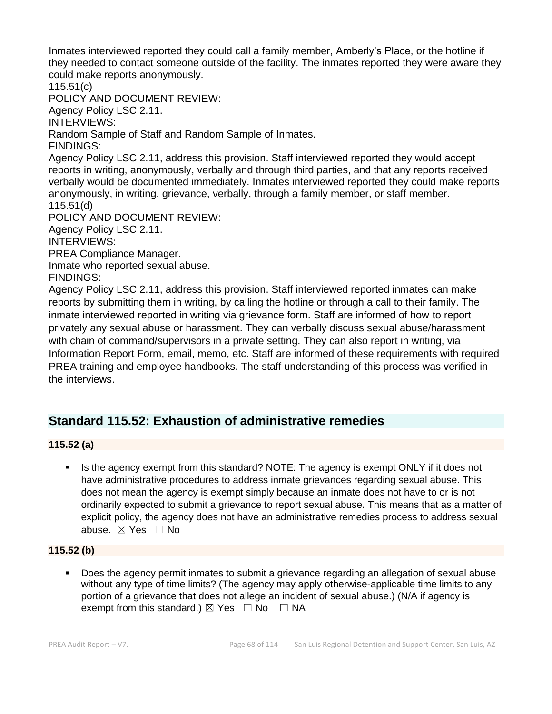Inmates interviewed reported they could call a family member, Amberly's Place, or the hotline if they needed to contact someone outside of the facility. The inmates reported they were aware they could make reports anonymously.

115.51(c) POLICY AND DOCUMENT REVIEW:

Agency Policy LSC 2.11.

INTERVIEWS:

Random Sample of Staff and Random Sample of Inmates.

FINDINGS:

Agency Policy LSC 2.11, address this provision. Staff interviewed reported they would accept reports in writing, anonymously, verbally and through third parties, and that any reports received verbally would be documented immediately. Inmates interviewed reported they could make reports anonymously, in writing, grievance, verbally, through a family member, or staff member. 115.51(d)

POLICY AND DOCUMENT REVIEW: Agency Policy LSC 2.11. INTERVIEWS: PREA Compliance Manager.

Inmate who reported sexual abuse.

FINDINGS:

Agency Policy LSC 2.11, address this provision. Staff interviewed reported inmates can make reports by submitting them in writing, by calling the hotline or through a call to their family. The inmate interviewed reported in writing via grievance form. Staff are informed of how to report privately any sexual abuse or harassment. They can verbally discuss sexual abuse/harassment with chain of command/supervisors in a private setting. They can also report in writing, via Information Report Form, email, memo, etc. Staff are informed of these requirements with required PREA training and employee handbooks. The staff understanding of this process was verified in the interviews.

# **Standard 115.52: Exhaustion of administrative remedies**

# **115.52 (a)**

Is the agency exempt from this standard? NOTE: The agency is exempt ONLY if it does not have administrative procedures to address inmate grievances regarding sexual abuse. This does not mean the agency is exempt simply because an inmate does not have to or is not ordinarily expected to submit a grievance to report sexual abuse. This means that as a matter of explicit policy, the agency does not have an administrative remedies process to address sexual abuse. ☒ Yes ☐ No

# **115.52 (b)**

▪ Does the agency permit inmates to submit a grievance regarding an allegation of sexual abuse without any type of time limits? (The agency may apply otherwise-applicable time limits to any portion of a grievance that does not allege an incident of sexual abuse.) (N/A if agency is exempt from this standard.)  $\boxtimes$  Yes  $\Box$  No  $\Box$  NA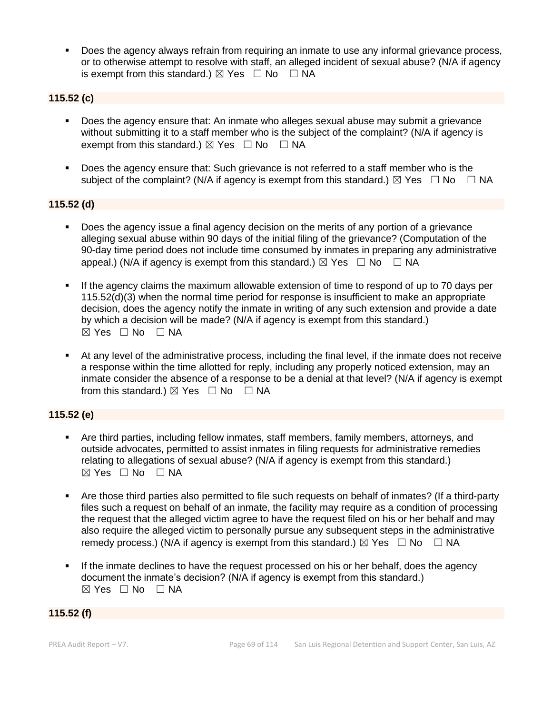Does the agency always refrain from requiring an inmate to use any informal grievance process, or to otherwise attempt to resolve with staff, an alleged incident of sexual abuse? (N/A if agency is exempt from this standard.)  $\boxtimes$  Yes  $\Box$  No  $\Box$  NA

# **115.52 (c)**

- Does the agency ensure that: An inmate who alleges sexual abuse may submit a grievance without submitting it to a staff member who is the subject of the complaint? (N/A if agency is exempt from this standard.)  $\boxtimes$  Yes  $\Box$  No  $\Box$  NA
- Does the agency ensure that: Such grievance is not referred to a staff member who is the subject of the complaint? (N/A if agency is exempt from this standard.)  $\boxtimes$  Yes  $\Box$  No  $\Box$  NA

#### **115.52 (d)**

- Does the agency issue a final agency decision on the merits of any portion of a grievance alleging sexual abuse within 90 days of the initial filing of the grievance? (Computation of the 90-day time period does not include time consumed by inmates in preparing any administrative appeal.) (N/A if agency is exempt from this standard.)  $\boxtimes$  Yes  $\Box$  No  $\Box$  NA
- If the agency claims the maximum allowable extension of time to respond of up to 70 days per 115.52(d)(3) when the normal time period for response is insufficient to make an appropriate decision, does the agency notify the inmate in writing of any such extension and provide a date by which a decision will be made? (N/A if agency is exempt from this standard.) ☒ Yes ☐ No ☐ NA
- At any level of the administrative process, including the final level, if the inmate does not receive a response within the time allotted for reply, including any properly noticed extension, may an inmate consider the absence of a response to be a denial at that level? (N/A if agency is exempt from this standard.)  $\boxtimes$  Yes  $\Box$  No  $\Box$  NA

# **115.52 (e)**

- Are third parties, including fellow inmates, staff members, family members, attorneys, and outside advocates, permitted to assist inmates in filing requests for administrative remedies relating to allegations of sexual abuse? (N/A if agency is exempt from this standard.)  $⊠ Yes ⊡ No ⊡ NA$
- Are those third parties also permitted to file such requests on behalf of inmates? (If a third-party files such a request on behalf of an inmate, the facility may require as a condition of processing the request that the alleged victim agree to have the request filed on his or her behalf and may also require the alleged victim to personally pursue any subsequent steps in the administrative remedy process.) (N/A if agency is exempt from this standard.)  $\boxtimes$  Yes  $\Box$  No  $\Box$  NA
- If the inmate declines to have the request processed on his or her behalf, does the agency document the inmate's decision? (N/A if agency is exempt from this standard.) ☒ Yes ☐ No ☐ NA

#### **115.52 (f)**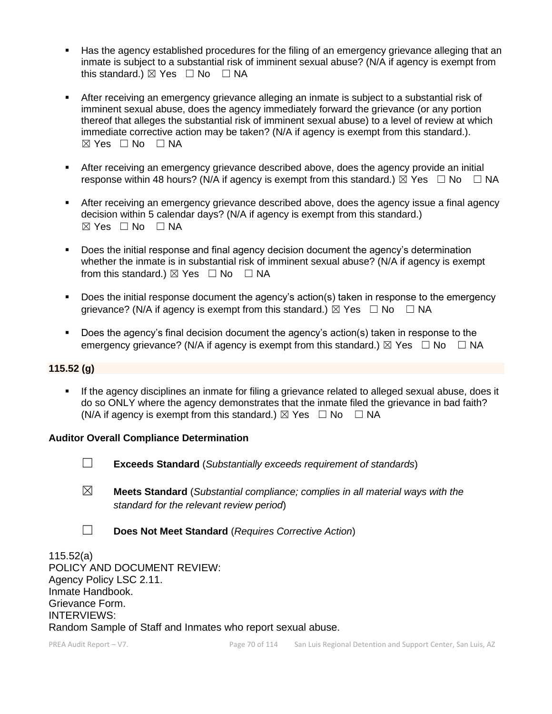- Has the agency established procedures for the filing of an emergency grievance alleging that an inmate is subject to a substantial risk of imminent sexual abuse? (N/A if agency is exempt from this standard.)  $\boxtimes$  Yes  $\Box$  No  $\Box$  NA
- After receiving an emergency grievance alleging an inmate is subject to a substantial risk of imminent sexual abuse, does the agency immediately forward the grievance (or any portion thereof that alleges the substantial risk of imminent sexual abuse) to a level of review at which immediate corrective action may be taken? (N/A if agency is exempt from this standard.). ☒ Yes ☐ No ☐ NA
- **EXECT** After receiving an emergency grievance described above, does the agency provide an initial response within 48 hours? (N/A if agency is exempt from this standard.)  $\boxtimes$  Yes  $\Box$  No  $\Box$  NA
- **EXECT** After receiving an emergency grievance described above, does the agency issue a final agency decision within 5 calendar days? (N/A if agency is exempt from this standard.)  $\boxtimes$  Yes  $\Box$  No  $\Box$  NA
- Does the initial response and final agency decision document the agency's determination whether the inmate is in substantial risk of imminent sexual abuse? (N/A if agency is exempt from this standard.)  $\boxtimes$  Yes  $\Box$  No  $\Box$  NA
- Does the initial response document the agency's action(s) taken in response to the emergency grievance? (N/A if agency is exempt from this standard.)  $\boxtimes$  Yes  $\Box$  No  $\Box$  NA
- Does the agency's final decision document the agency's action(s) taken in response to the emergency grievance? (N/A if agency is exempt from this standard.)  $\boxtimes$  Yes  $\Box$  No  $\Box$  NA

#### **115.52 (g)**

**.** If the agency disciplines an inmate for filing a grievance related to alleged sexual abuse, does it do so ONLY where the agency demonstrates that the inmate filed the grievance in bad faith? (N/A if agency is exempt from this standard.)  $\boxtimes$  Yes  $\Box$  No  $\Box$  NA

#### **Auditor Overall Compliance Determination**

- ☐ **Exceeds Standard** (*Substantially exceeds requirement of standards*)
- ☒ **Meets Standard** (*Substantial compliance; complies in all material ways with the standard for the relevant review period*)
- ☐ **Does Not Meet Standard** (*Requires Corrective Action*)

115.52(a) POLICY AND DOCUMENT REVIEW: Agency Policy LSC 2.11. Inmate Handbook. Grievance Form. INTERVIEWS: Random Sample of Staff and Inmates who report sexual abuse.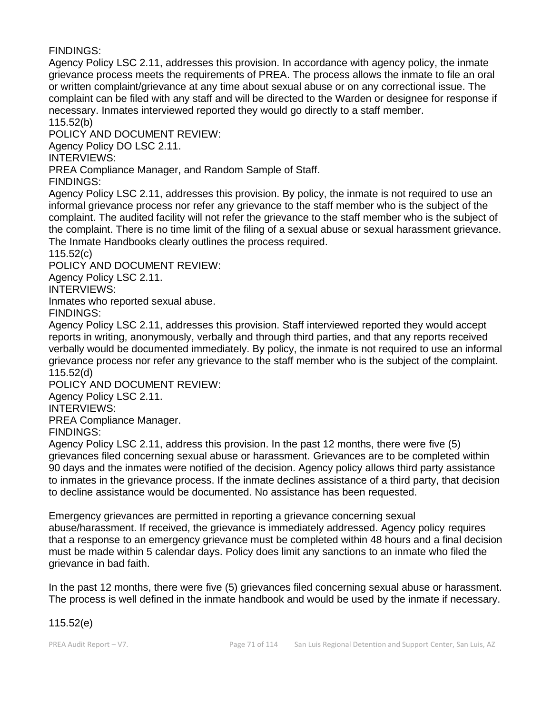FINDINGS:

Agency Policy LSC 2.11, addresses this provision. In accordance with agency policy, the inmate grievance process meets the requirements of PREA. The process allows the inmate to file an oral or written complaint/grievance at any time about sexual abuse or on any correctional issue. The complaint can be filed with any staff and will be directed to the Warden or designee for response if necessary. Inmates interviewed reported they would go directly to a staff member. 115.52(b)

POLICY AND DOCUMENT REVIEW:

Agency Policy DO LSC 2.11.

INTERVIEWS:

PREA Compliance Manager, and Random Sample of Staff.

FINDINGS:

Agency Policy LSC 2.11, addresses this provision. By policy, the inmate is not required to use an informal grievance process nor refer any grievance to the staff member who is the subject of the complaint. The audited facility will not refer the grievance to the staff member who is the subject of the complaint. There is no time limit of the filing of a sexual abuse or sexual harassment grievance. The Inmate Handbooks clearly outlines the process required.

115.52(c)

POLICY AND DOCUMENT REVIEW:

Agency Policy LSC 2.11.

INTERVIEWS:

Inmates who reported sexual abuse.

FINDINGS:

Agency Policy LSC 2.11, addresses this provision. Staff interviewed reported they would accept reports in writing, anonymously, verbally and through third parties, and that any reports received verbally would be documented immediately. By policy, the inmate is not required to use an informal grievance process nor refer any grievance to the staff member who is the subject of the complaint. 115.52(d)

POLICY AND DOCUMENT REVIEW:

Agency Policy LSC 2.11.

INTERVIEWS:

PREA Compliance Manager.

FINDINGS:

Agency Policy LSC 2.11, address this provision. In the past 12 months, there were five (5) grievances filed concerning sexual abuse or harassment. Grievances are to be completed within 90 days and the inmates were notified of the decision. Agency policy allows third party assistance to inmates in the grievance process. If the inmate declines assistance of a third party, that decision to decline assistance would be documented. No assistance has been requested.

Emergency grievances are permitted in reporting a grievance concerning sexual abuse/harassment. If received, the grievance is immediately addressed. Agency policy requires that a response to an emergency grievance must be completed within 48 hours and a final decision must be made within 5 calendar days. Policy does limit any sanctions to an inmate who filed the grievance in bad faith.

In the past 12 months, there were five (5) grievances filed concerning sexual abuse or harassment. The process is well defined in the inmate handbook and would be used by the inmate if necessary.

115.52(e)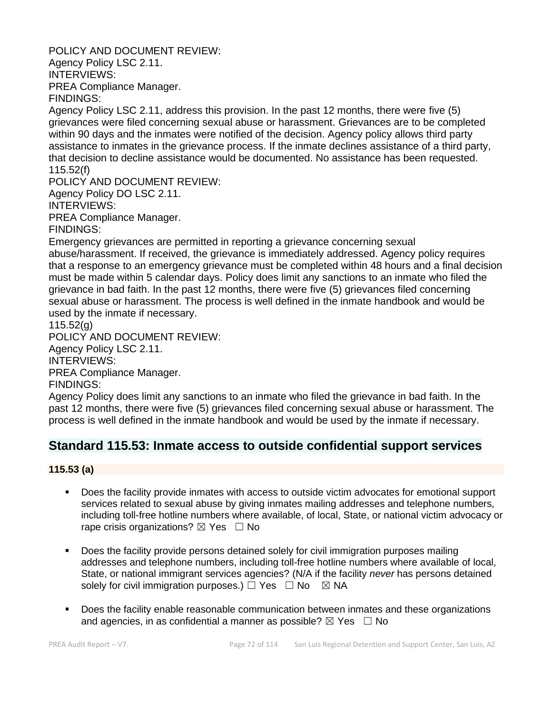POLICY AND DOCUMENT REVIEW:

Agency Policy LSC 2.11. INTERVIEWS: PREA Compliance Manager. FINDINGS:

Agency Policy LSC 2.11, address this provision. In the past 12 months, there were five (5) grievances were filed concerning sexual abuse or harassment. Grievances are to be completed within 90 days and the inmates were notified of the decision. Agency policy allows third party assistance to inmates in the grievance process. If the inmate declines assistance of a third party, that decision to decline assistance would be documented. No assistance has been requested. 115.52(f)

POLICY AND DOCUMENT REVIEW:

Agency Policy DO LSC 2.11.

INTERVIEWS:

PREA Compliance Manager.

FINDINGS:

Emergency grievances are permitted in reporting a grievance concerning sexual abuse/harassment. If received, the grievance is immediately addressed. Agency policy requires that a response to an emergency grievance must be completed within 48 hours and a final decision must be made within 5 calendar days. Policy does limit any sanctions to an inmate who filed the grievance in bad faith. In the past 12 months, there were five (5) grievances filed concerning sexual abuse or harassment. The process is well defined in the inmate handbook and would be used by the inmate if necessary.

115.52(g)

POLICY AND DOCUMENT REVIEW:

Agency Policy LSC 2.11.

INTERVIEWS:

PREA Compliance Manager.

FINDINGS:

Agency Policy does limit any sanctions to an inmate who filed the grievance in bad faith. In the past 12 months, there were five (5) grievances filed concerning sexual abuse or harassment. The process is well defined in the inmate handbook and would be used by the inmate if necessary.

# **Standard 115.53: Inmate access to outside confidential support services**

# **115.53 (a)**

- Does the facility provide inmates with access to outside victim advocates for emotional support services related to sexual abuse by giving inmates mailing addresses and telephone numbers, including toll-free hotline numbers where available, of local, State, or national victim advocacy or rape crisis organizations?  $\boxtimes$  Yes  $\Box$  No
- Does the facility provide persons detained solely for civil immigration purposes mailing addresses and telephone numbers, including toll-free hotline numbers where available of local, State, or national immigrant services agencies? (N/A if the facility *never* has persons detained solely for civil immigration purposes.)  $\Box$  Yes  $\Box$  No  $\boxtimes$  NA
- **•** Does the facility enable reasonable communication between inmates and these organizations and agencies, in as confidential a manner as possible?  $\boxtimes$  Yes  $\Box$  No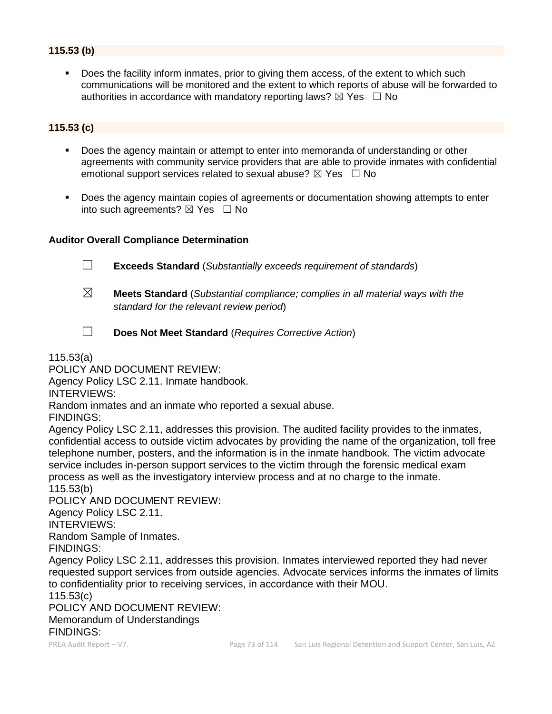# **115.53 (b)**

Does the facility inform inmates, prior to giving them access, of the extent to which such communications will be monitored and the extent to which reports of abuse will be forwarded to authorities in accordance with mandatory reporting laws?  $\boxtimes$  Yes  $\Box$  No

### **115.53 (c)**

- Does the agency maintain or attempt to enter into memoranda of understanding or other agreements with community service providers that are able to provide inmates with confidential emotional support services related to sexual abuse?  $\boxtimes$  Yes  $\Box$  No
- Does the agency maintain copies of agreements or documentation showing attempts to enter into such agreements?  $\boxtimes$  Yes  $\Box$  No

### **Auditor Overall Compliance Determination**



- ☒ **Meets Standard** (*Substantial compliance; complies in all material ways with the standard for the relevant review period*)
- ☐ **Does Not Meet Standard** (*Requires Corrective Action*)

115.53(a)

POLICY AND DOCUMENT REVIEW:

Agency Policy LSC 2.11. Inmate handbook.

INTERVIEWS:

Random inmates and an inmate who reported a sexual abuse.

FINDINGS:

Agency Policy LSC 2.11, addresses this provision. The audited facility provides to the inmates, confidential access to outside victim advocates by providing the name of the organization, toll free telephone number, posters, and the information is in the inmate handbook. The victim advocate service includes in-person support services to the victim through the forensic medical exam process as well as the investigatory interview process and at no charge to the inmate. 115.53(b)

POLICY AND DOCUMENT REVIEW:

Agency Policy LSC 2.11.

INTERVIEWS:

Random Sample of Inmates.

FINDINGS:

Agency Policy LSC 2.11, addresses this provision. Inmates interviewed reported they had never requested support services from outside agencies. Advocate services informs the inmates of limits to confidentiality prior to receiving services, in accordance with their MOU.

115.53(c)

#### POLICY AND DOCUMENT REVIEW: Memorandum of Understandings FINDINGS: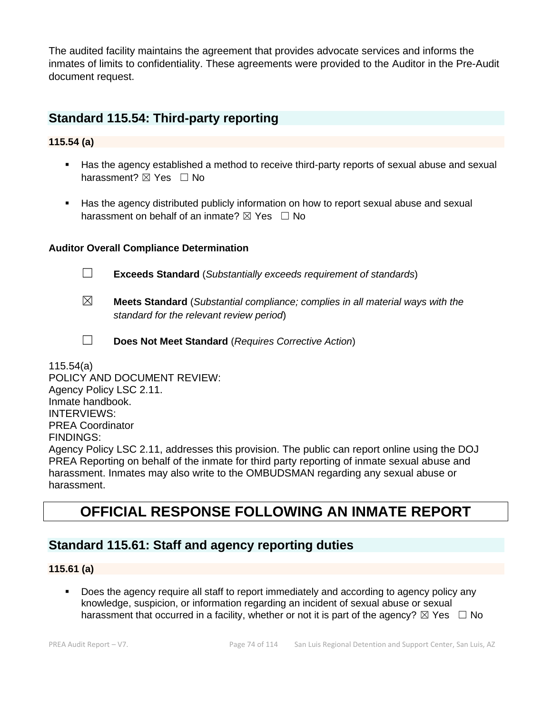The audited facility maintains the agreement that provides advocate services and informs the inmates of limits to confidentiality. These agreements were provided to the Auditor in the Pre-Audit document request.

# **Standard 115.54: Third-party reporting**

### **115.54 (a)**

- Has the agency established a method to receive third-party reports of sexual abuse and sexual harassment?  $\boxtimes$  Yes  $\Box$  No
- Has the agency distributed publicly information on how to report sexual abuse and sexual harassment on behalf of an inmate?  $\boxtimes$  Yes  $\Box$  No

### **Auditor Overall Compliance Determination**



☐ **Exceeds Standard** (*Substantially exceeds requirement of standards*)

- ☒ **Meets Standard** (*Substantial compliance; complies in all material ways with the standard for the relevant review period*)
- 
- ☐ **Does Not Meet Standard** (*Requires Corrective Action*)

115.54(a) POLICY AND DOCUMENT REVIEW: Agency Policy LSC 2.11. Inmate handbook. INTERVIEWS: PREA Coordinator FINDINGS: Agency Policy LSC 2.11, addresses this provision. The public can report online using the DOJ PREA Reporting on behalf of the inmate for third party reporting of inmate sexual abuse and harassment. Inmates may also write to the OMBUDSMAN regarding any sexual abuse or harassment.

# **OFFICIAL RESPONSE FOLLOWING AN INMATE REPORT**

# **Standard 115.61: Staff and agency reporting duties**

#### **115.61 (a)**

▪ Does the agency require all staff to report immediately and according to agency policy any knowledge, suspicion, or information regarding an incident of sexual abuse or sexual harassment that occurred in a facility, whether or not it is part of the agency?  $\boxtimes$  Yes  $\Box$  No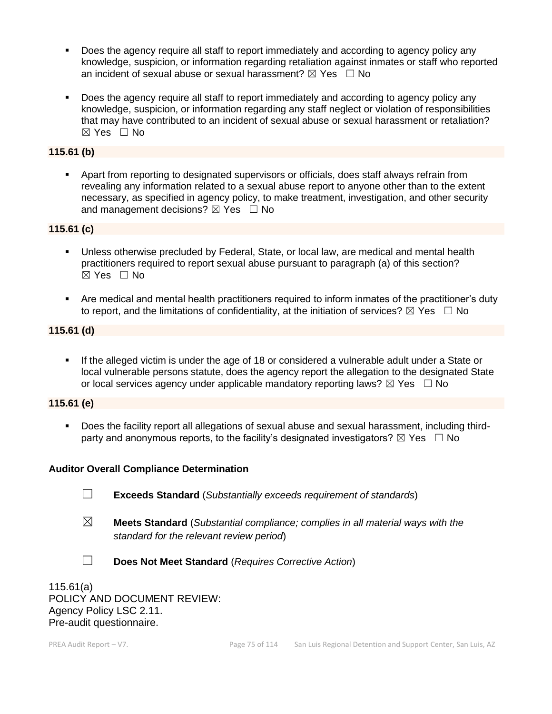- Does the agency require all staff to report immediately and according to agency policy any knowledge, suspicion, or information regarding retaliation against inmates or staff who reported an incident of sexual abuse or sexual harassment?  $\boxtimes$  Yes  $\Box$  No
- Does the agency require all staff to report immediately and according to agency policy any knowledge, suspicion, or information regarding any staff neglect or violation of responsibilities that may have contributed to an incident of sexual abuse or sexual harassment or retaliation? ☒ Yes ☐ No

### **115.61 (b)**

▪ Apart from reporting to designated supervisors or officials, does staff always refrain from revealing any information related to a sexual abuse report to anyone other than to the extent necessary, as specified in agency policy, to make treatment, investigation, and other security and management decisions?  $\boxtimes$  Yes  $\Box$  No

### **115.61 (c)**

- Unless otherwise precluded by Federal, State, or local law, are medical and mental health practitioners required to report sexual abuse pursuant to paragraph (a) of this section? ☒ Yes ☐ No
- Are medical and mental health practitioners required to inform inmates of the practitioner's duty to report, and the limitations of confidentiality, at the initiation of services?  $\boxtimes$  Yes  $\Box$  No

### **115.61 (d)**

If the alleged victim is under the age of 18 or considered a vulnerable adult under a State or local vulnerable persons statute, does the agency report the allegation to the designated State or local services agency under applicable mandatory reporting laws?  $\boxtimes$  Yes  $\Box$  No

### **115.61 (e)**

Does the facility report all allegations of sexual abuse and sexual harassment, including thirdparty and anonymous reports, to the facility's designated investigators?  $\boxtimes$  Yes  $\Box$  No

### **Auditor Overall Compliance Determination**

- ☐ **Exceeds Standard** (*Substantially exceeds requirement of standards*)
- ☒ **Meets Standard** (*Substantial compliance; complies in all material ways with the standard for the relevant review period*)
- ☐ **Does Not Meet Standard** (*Requires Corrective Action*)

115.61(a) POLICY AND DOCUMENT REVIEW: Agency Policy LSC 2.11. Pre-audit questionnaire.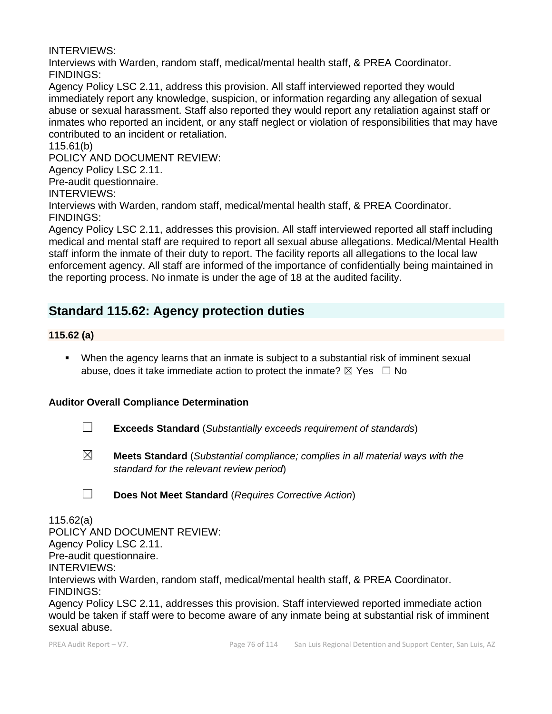INTERVIEWS:

Interviews with Warden, random staff, medical/mental health staff, & PREA Coordinator. FINDINGS:

Agency Policy LSC 2.11, address this provision. All staff interviewed reported they would immediately report any knowledge, suspicion, or information regarding any allegation of sexual abuse or sexual harassment. Staff also reported they would report any retaliation against staff or inmates who reported an incident, or any staff neglect or violation of responsibilities that may have contributed to an incident or retaliation.

115.61(b)

POLICY AND DOCUMENT REVIEW:

Agency Policy LSC 2.11.

Pre-audit questionnaire.

INTERVIEWS:

Interviews with Warden, random staff, medical/mental health staff, & PREA Coordinator. FINDINGS:

Agency Policy LSC 2.11, addresses this provision. All staff interviewed reported all staff including medical and mental staff are required to report all sexual abuse allegations. Medical/Mental Health staff inform the inmate of their duty to report. The facility reports all allegations to the local law enforcement agency. All staff are informed of the importance of confidentially being maintained in the reporting process. No inmate is under the age of 18 at the audited facility.

# **Standard 115.62: Agency protection duties**

**115.62 (a)**

■ When the agency learns that an inmate is subject to a substantial risk of imminent sexual abuse, does it take immediate action to protect the inmate?  $\boxtimes$  Yes  $\Box$  No

# **Auditor Overall Compliance Determination**

- ☐ **Exceeds Standard** (*Substantially exceeds requirement of standards*)
- ☒ **Meets Standard** (*Substantial compliance; complies in all material ways with the standard for the relevant review period*)

115.62(a) POLICY AND DOCUMENT REVIEW: Agency Policy LSC 2.11. Pre-audit questionnaire. INTERVIEWS: Interviews with Warden, random staff, medical/mental health staff, & PREA Coordinator. FINDINGS: Agency Policy LSC 2.11, addresses this provision. Staff interviewed reported immediate action

would be taken if staff were to become aware of any inmate being at substantial risk of imminent sexual abuse.

<sup>☐</sup> **Does Not Meet Standard** (*Requires Corrective Action*)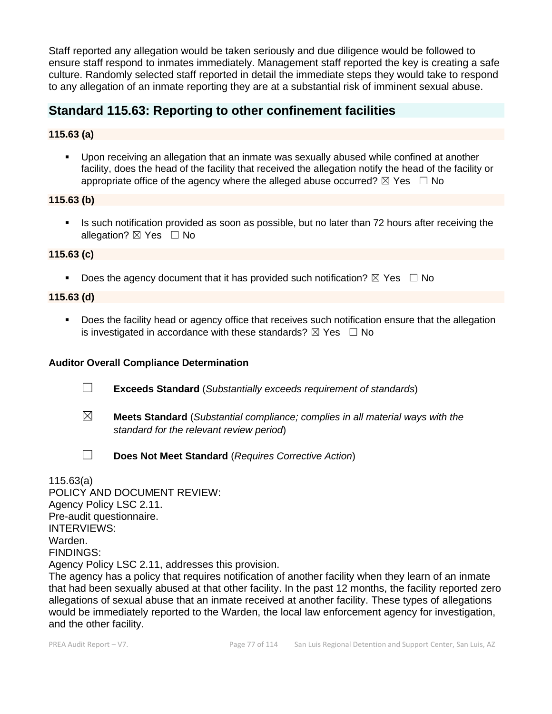Staff reported any allegation would be taken seriously and due diligence would be followed to ensure staff respond to inmates immediately. Management staff reported the key is creating a safe culture. Randomly selected staff reported in detail the immediate steps they would take to respond to any allegation of an inmate reporting they are at a substantial risk of imminent sexual abuse.

# **Standard 115.63: Reporting to other confinement facilities**

# **115.63 (a)**

▪ Upon receiving an allegation that an inmate was sexually abused while confined at another facility, does the head of the facility that received the allegation notify the head of the facility or appropriate office of the agency where the alleged abuse occurred?  $\boxtimes$  Yes  $\Box$  No

### **115.63 (b)**

**EXT** Is such notification provided as soon as possible, but no later than 72 hours after receiving the allegation?  $\boxtimes$  Yes  $\Box$  No

### **115.63 (c)**

**•** Does the agency document that it has provided such notification?  $\boxtimes$  Yes  $\Box$  No

### **115.63 (d)**

■ Does the facility head or agency office that receives such notification ensure that the allegation is investigated in accordance with these standards?  $\boxtimes$  Yes  $\Box$  No

### **Auditor Overall Compliance Determination**

- ☐ **Exceeds Standard** (*Substantially exceeds requirement of standards*)
- ☒ **Meets Standard** (*Substantial compliance; complies in all material ways with the standard for the relevant review period*)
- ☐ **Does Not Meet Standard** (*Requires Corrective Action*)

115.63(a) POLICY AND DOCUMENT REVIEW: Agency Policy LSC 2.11. Pre-audit questionnaire. INTERVIEWS: Warden. FINDINGS: Agency Policy LSC 2.11, addresses this provision. The agency has a policy that requires notification of another facility when they learn of an inmate that had been sexually abused at that other facility. In the past 12 months, the facility reported zero allegations of sexual abuse that an inmate received at another facility. These types of allegations would be immediately reported to the Warden, the local law enforcement agency for investigation,

and the other facility.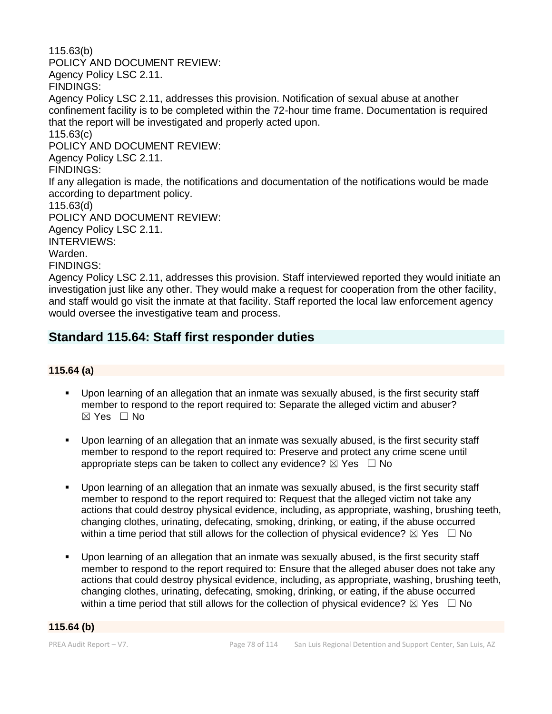115.63(b) POLICY AND DOCUMENT REVIEW: Agency Policy LSC 2.11. FINDINGS: Agency Policy LSC 2.11, addresses this provision. Notification of sexual abuse at another confinement facility is to be completed within the 72-hour time frame. Documentation is required that the report will be investigated and properly acted upon. 115.63(c) POLICY AND DOCUMENT REVIEW: Agency Policy LSC 2.11. FINDINGS: If any allegation is made, the notifications and documentation of the notifications would be made according to department policy. 115.63(d) POLICY AND DOCUMENT REVIEW: Agency Policy LSC 2.11. INTERVIEWS: Warden. FINDINGS: Agency Policy LSC 2.11, addresses this provision. Staff interviewed reported they would initiate an investigation just like any other. They would make a request for cooperation from the other facility, and staff would go visit the inmate at that facility. Staff reported the local law enforcement agency

# **Standard 115.64: Staff first responder duties**

would oversee the investigative team and process.

### **115.64 (a)**

- Upon learning of an allegation that an inmate was sexually abused, is the first security staff member to respond to the report required to: Separate the alleged victim and abuser? ☒ Yes ☐ No
- Upon learning of an allegation that an inmate was sexually abused, is the first security staff member to respond to the report required to: Preserve and protect any crime scene until appropriate steps can be taken to collect any evidence?  $\boxtimes$  Yes  $\Box$  No
- Upon learning of an allegation that an inmate was sexually abused, is the first security staff member to respond to the report required to: Request that the alleged victim not take any actions that could destroy physical evidence, including, as appropriate, washing, brushing teeth, changing clothes, urinating, defecating, smoking, drinking, or eating, if the abuse occurred within a time period that still allows for the collection of physical evidence?  $\boxtimes$  Yes  $\Box$  No
- Upon learning of an allegation that an inmate was sexually abused, is the first security staff member to respond to the report required to: Ensure that the alleged abuser does not take any actions that could destroy physical evidence, including, as appropriate, washing, brushing teeth, changing clothes, urinating, defecating, smoking, drinking, or eating, if the abuse occurred within a time period that still allows for the collection of physical evidence?  $\boxtimes$  Yes  $\Box$  No

#### **115.64 (b)**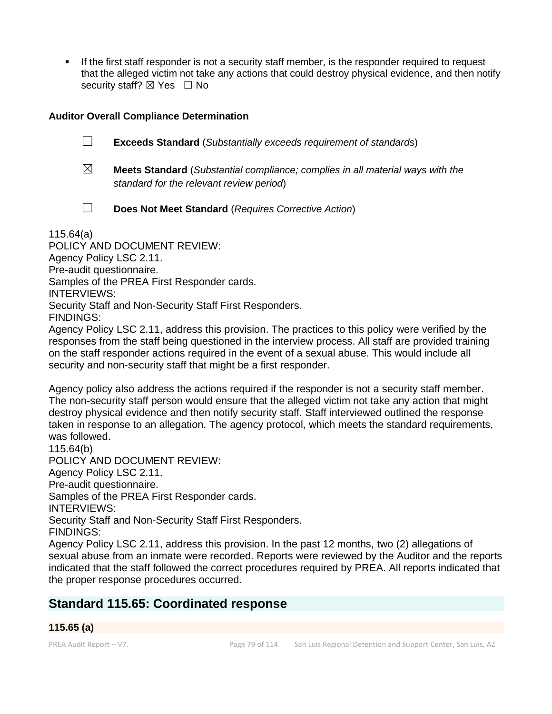If the first staff responder is not a security staff member, is the responder required to request that the alleged victim not take any actions that could destroy physical evidence, and then notify security staff?  $\boxtimes$  Yes  $\Box$  No

### **Auditor Overall Compliance Determination**

☐ **Exceeds Standard** (*Substantially exceeds requirement of standards*)

☒ **Meets Standard** (*Substantial compliance; complies in all material ways with the standard for the relevant review period*)

☐ **Does Not Meet Standard** (*Requires Corrective Action*)

115.64(a)

POLICY AND DOCUMENT REVIEW: Agency Policy LSC 2.11. Pre-audit questionnaire. Samples of the PREA First Responder cards. INTERVIEWS: Security Staff and Non-Security Staff First Responders. FINDINGS:

Agency Policy LSC 2.11, address this provision. The practices to this policy were verified by the responses from the staff being questioned in the interview process. All staff are provided training on the staff responder actions required in the event of a sexual abuse. This would include all security and non-security staff that might be a first responder.

Agency policy also address the actions required if the responder is not a security staff member. The non-security staff person would ensure that the alleged victim not take any action that might destroy physical evidence and then notify security staff. Staff interviewed outlined the response taken in response to an allegation. The agency protocol, which meets the standard requirements, was followed.

115.64(b) POLICY AND DOCUMENT REVIEW: Agency Policy LSC 2.11. Pre-audit questionnaire. Samples of the PREA First Responder cards. INTERVIEWS: Security Staff and Non-Security Staff First Responders. FINDINGS: Agency Policy LSC 2.11, address this provision. In the past 12 months, two (2) allegations of sexual abuse from an inmate were recorded. Reports were reviewed by the Auditor and the reports indicated that the staff followed the correct procedures required by PREA. All reports indicated that

the proper response procedures occurred.

# **Standard 115.65: Coordinated response**

# **115.65 (a)**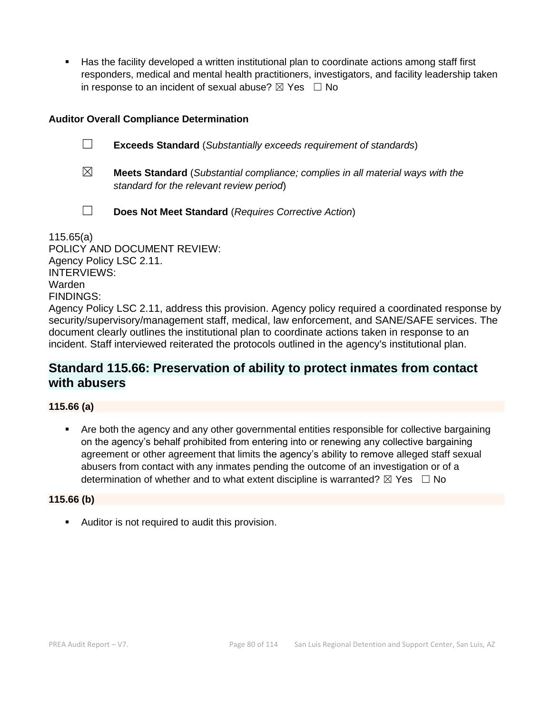Has the facility developed a written institutional plan to coordinate actions among staff first responders, medical and mental health practitioners, investigators, and facility leadership taken in response to an incident of sexual abuse?  $\boxtimes$  Yes  $\Box$  No

### **Auditor Overall Compliance Determination**

- ☐ **Exceeds Standard** (*Substantially exceeds requirement of standards*)
- ☒ **Meets Standard** (*Substantial compliance; complies in all material ways with the standard for the relevant review period*)
- ☐ **Does Not Meet Standard** (*Requires Corrective Action*)

115.65(a) POLICY AND DOCUMENT REVIEW: Agency Policy LSC 2.11. INTERVIEWS: Warden FINDINGS: Agency Policy LSC 2.11, address this provision. Agency policy required a coordinated response by security/supervisory/management staff, medical, law enforcement, and SANE/SAFE services. The document clearly outlines the institutional plan to coordinate actions taken in response to an incident. Staff interviewed reiterated the protocols outlined in the agency's institutional plan.

# **Standard 115.66: Preservation of ability to protect inmates from contact with abusers**

### **115.66 (a)**

▪ Are both the agency and any other governmental entities responsible for collective bargaining on the agency's behalf prohibited from entering into or renewing any collective bargaining agreement or other agreement that limits the agency's ability to remove alleged staff sexual abusers from contact with any inmates pending the outcome of an investigation or of a determination of whether and to what extent discipline is warranted?  $\boxtimes$  Yes  $\Box$  No

#### **115.66 (b)**

■ Auditor is not required to audit this provision.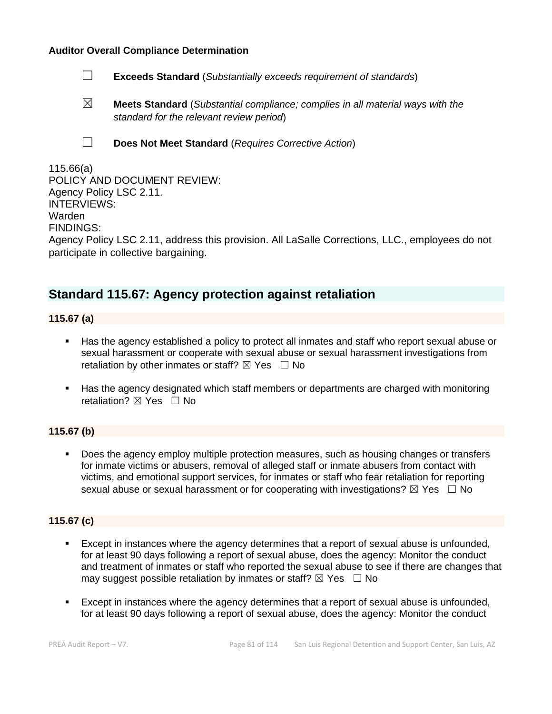#### **Auditor Overall Compliance Determination**

- ☐ **Exceeds Standard** (*Substantially exceeds requirement of standards*)
- ☒ **Meets Standard** (*Substantial compliance; complies in all material ways with the standard for the relevant review period*)
- 
- ☐ **Does Not Meet Standard** (*Requires Corrective Action*)

| 115.66(a)                                                                                       |
|-------------------------------------------------------------------------------------------------|
| POLICY AND DOCUMENT REVIEW:                                                                     |
| Agency Policy LSC 2.11.                                                                         |
| <b>INTERVIEWS:</b>                                                                              |
| Warden                                                                                          |
| <b>FINDINGS:</b>                                                                                |
| Agency Policy LSC 2.11, address this provision. All LaSalle Corrections, LLC., employees do not |
| participate in collective bargaining.                                                           |

# **Standard 115.67: Agency protection against retaliation**

**115.67 (a)**

- Has the agency established a policy to protect all inmates and staff who report sexual abuse or sexual harassment or cooperate with sexual abuse or sexual harassment investigations from retaliation by other inmates or staff?  $\boxtimes$  Yes  $\Box$  No
- Has the agency designated which staff members or departments are charged with monitoring retaliation?  $\boxtimes$  Yes  $\Box$  No

# **115.67 (b)**

Does the agency employ multiple protection measures, such as housing changes or transfers for inmate victims or abusers, removal of alleged staff or inmate abusers from contact with victims, and emotional support services, for inmates or staff who fear retaliation for reporting sexual abuse or sexual harassment or for cooperating with investigations?  $\boxtimes$  Yes  $\Box$  No

### **115.67 (c)**

- Except in instances where the agency determines that a report of sexual abuse is unfounded, for at least 90 days following a report of sexual abuse, does the agency: Monitor the conduct and treatment of inmates or staff who reported the sexual abuse to see if there are changes that may suggest possible retaliation by inmates or staff?  $\boxtimes$  Yes  $\Box$  No
- Except in instances where the agency determines that a report of sexual abuse is unfounded. for at least 90 days following a report of sexual abuse, does the agency: Monitor the conduct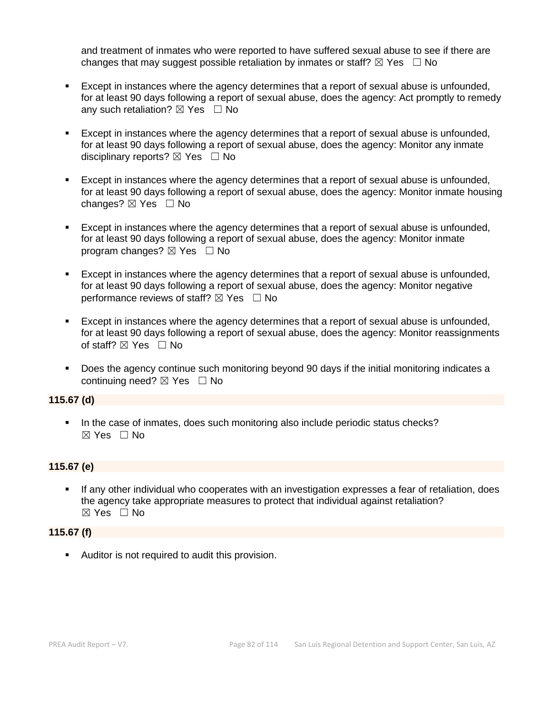and treatment of inmates who were reported to have suffered sexual abuse to see if there are changes that may suggest possible retaliation by inmates or staff?  $\boxtimes$  Yes  $\Box$  No

- Except in instances where the agency determines that a report of sexual abuse is unfounded, for at least 90 days following a report of sexual abuse, does the agency: Act promptly to remedy any such retaliation?  $\boxtimes$  Yes  $\Box$  No
- Except in instances where the agency determines that a report of sexual abuse is unfounded, for at least 90 days following a report of sexual abuse, does the agency: Monitor any inmate disciplinary reports?  $\boxtimes$  Yes  $\Box$  No
- **Except in instances where the agency determines that a report of sexual abuse is unfounded,** for at least 90 days following a report of sexual abuse, does the agency: Monitor inmate housing changes?  $\boxtimes$  Yes  $\Box$  No
- Except in instances where the agency determines that a report of sexual abuse is unfounded, for at least 90 days following a report of sexual abuse, does the agency: Monitor inmate program changes?  $\boxtimes$  Yes  $\Box$  No
- Except in instances where the agency determines that a report of sexual abuse is unfounded, for at least 90 days following a report of sexual abuse, does the agency: Monitor negative performance reviews of staff?  $\boxtimes$  Yes  $\Box$  No
- Except in instances where the agency determines that a report of sexual abuse is unfounded, for at least 90 days following a report of sexual abuse, does the agency: Monitor reassignments of staff? ⊠ Yes □ No
- Does the agency continue such monitoring beyond 90 days if the initial monitoring indicates a continuing need? ⊠ Yes □ No

### **115.67 (d)**

■ In the case of inmates, does such monitoring also include periodic status checks? ☒ Yes ☐ No

### **115.67 (e)**

If any other individual who cooperates with an investigation expresses a fear of retaliation, does the agency take appropriate measures to protect that individual against retaliation? ☒ Yes ☐ No

#### **115.67 (f)**

▪ Auditor is not required to audit this provision.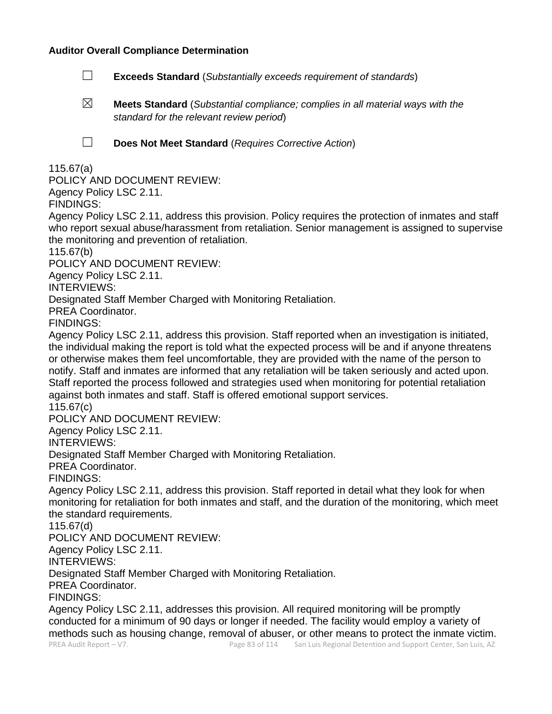### **Auditor Overall Compliance Determination**

- ☐ **Exceeds Standard** (*Substantially exceeds requirement of standards*)
- ☒ **Meets Standard** (*Substantial compliance; complies in all material ways with the standard for the relevant review period*)

☐ **Does Not Meet Standard** (*Requires Corrective Action*)

115.67(a)

POLICY AND DOCUMENT REVIEW:

Agency Policy LSC 2.11.

FINDINGS:

Agency Policy LSC 2.11, address this provision. Policy requires the protection of inmates and staff who report sexual abuse/harassment from retaliation. Senior management is assigned to supervise the monitoring and prevention of retaliation.

115.67(b)

POLICY AND DOCUMENT REVIEW:

Agency Policy LSC 2.11.

INTERVIEWS:

Designated Staff Member Charged with Monitoring Retaliation.

PREA Coordinator.

FINDINGS:

Agency Policy LSC 2.11, address this provision. Staff reported when an investigation is initiated, the individual making the report is told what the expected process will be and if anyone threatens or otherwise makes them feel uncomfortable, they are provided with the name of the person to notify. Staff and inmates are informed that any retaliation will be taken seriously and acted upon. Staff reported the process followed and strategies used when monitoring for potential retaliation against both inmates and staff. Staff is offered emotional support services.

115.67(c)

POLICY AND DOCUMENT REVIEW:

Agency Policy LSC 2.11.

INTERVIEWS:

Designated Staff Member Charged with Monitoring Retaliation.

PREA Coordinator.

FINDINGS:

Agency Policy LSC 2.11, address this provision. Staff reported in detail what they look for when monitoring for retaliation for both inmates and staff, and the duration of the monitoring, which meet the standard requirements.

115.67(d)

POLICY AND DOCUMENT REVIEW:

Agency Policy LSC 2.11.

INTERVIEWS:

Designated Staff Member Charged with Monitoring Retaliation.

PREA Coordinator.

FINDINGS:

Agency Policy LSC 2.11, addresses this provision. All required monitoring will be promptly conducted for a minimum of 90 days or longer if needed. The facility would employ a variety of methods such as housing change, removal of abuser, or other means to protect the inmate victim.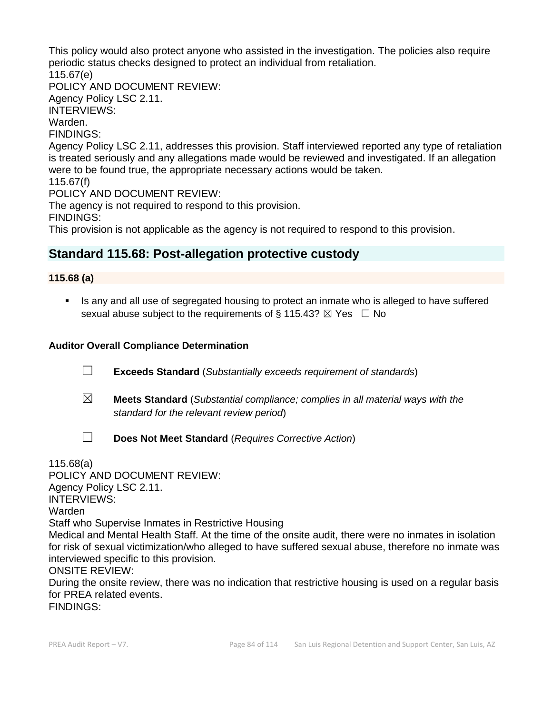This policy would also protect anyone who assisted in the investigation. The policies also require periodic status checks designed to protect an individual from retaliation. 115.67(e)

POLICY AND DOCUMENT REVIEW:

Agency Policy LSC 2.11. INTERVIEWS:

Warden.

FINDINGS:

Agency Policy LSC 2.11, addresses this provision. Staff interviewed reported any type of retaliation is treated seriously and any allegations made would be reviewed and investigated. If an allegation were to be found true, the appropriate necessary actions would be taken.

115.67(f)

POLICY AND DOCUMENT REVIEW:

The agency is not required to respond to this provision.

FINDINGS:

This provision is not applicable as the agency is not required to respond to this provision.

# **Standard 115.68: Post-allegation protective custody**

### **115.68 (a)**

**■** Is any and all use of segregated housing to protect an inmate who is alleged to have suffered sexual abuse subject to the requirements of § 115.43?  $\boxtimes$  Yes  $\Box$  No

# **Auditor Overall Compliance Determination**

☐ **Exceeds Standard** (*Substantially exceeds requirement of standards*)

☐ **Does Not Meet Standard** (*Requires Corrective Action*)

- ☒ **Meets Standard** (*Substantial compliance; complies in all material ways with the standard for the relevant review period*)
- 115.68(a)

POLICY AND DOCUMENT REVIEW: Agency Policy LSC 2.11. INTERVIEWS: Warden Staff who Supervise Inmates in Restrictive Housing Medical and Mental Health Staff. At the time of the onsite audit, there were no inmates in isolation for risk of sexual victimization/who alleged to have suffered sexual abuse, therefore no inmate was interviewed specific to this provision.

ONSITE REVIEW:

During the onsite review, there was no indication that restrictive housing is used on a regular basis for PREA related events.

FINDINGS: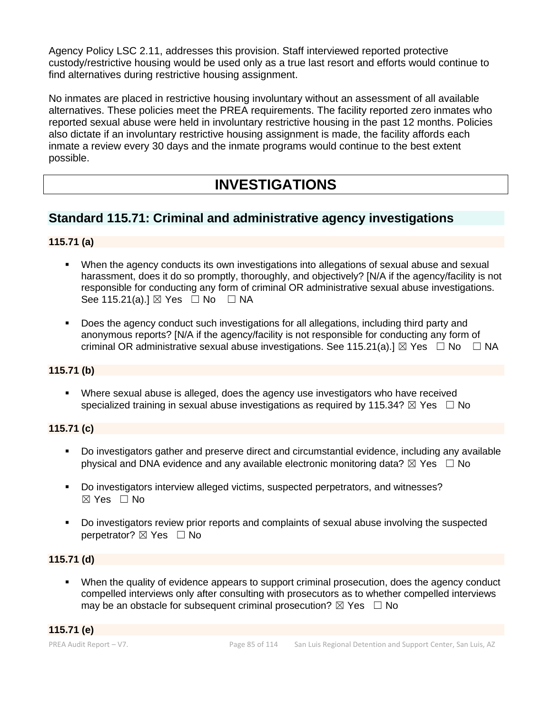Agency Policy LSC 2.11, addresses this provision. Staff interviewed reported protective custody/restrictive housing would be used only as a true last resort and efforts would continue to find alternatives during restrictive housing assignment.

No inmates are placed in restrictive housing involuntary without an assessment of all available alternatives. These policies meet the PREA requirements. The facility reported zero inmates who reported sexual abuse were held in involuntary restrictive housing in the past 12 months. Policies also dictate if an involuntary restrictive housing assignment is made, the facility affords each inmate a review every 30 days and the inmate programs would continue to the best extent possible.

# **INVESTIGATIONS**

# **Standard 115.71: Criminal and administrative agency investigations**

# **115.71 (a)**

- When the agency conducts its own investigations into allegations of sexual abuse and sexual harassment, does it do so promptly, thoroughly, and objectively? [N/A if the agency/facility is not responsible for conducting any form of criminal OR administrative sexual abuse investigations. See 115.21(a).] ⊠ Yes □ No □ NA
- Does the agency conduct such investigations for all allegations, including third party and anonymous reports? [N/A if the agency/facility is not responsible for conducting any form of criminal OR administrative sexual abuse investigations. See 115.21(a).]  $\boxtimes$  Yes  $\Box$  No  $\Box$  NA

### **115.71 (b)**

▪ Where sexual abuse is alleged, does the agency use investigators who have received specialized training in sexual abuse investigations as required by 115.34?  $\boxtimes$  Yes  $\Box$  No

### **115.71 (c)**

- Do investigators gather and preserve direct and circumstantial evidence, including any available physical and DNA evidence and any available electronic monitoring data?  $\boxtimes$  Yes  $\Box$  No
- Do investigators interview alleged victims, suspected perpetrators, and witnesses? ☒ Yes ☐ No
- Do investigators review prior reports and complaints of sexual abuse involving the suspected perpetrator? ⊠ Yes □ No

### **115.71 (d)**

When the quality of evidence appears to support criminal prosecution, does the agency conduct compelled interviews only after consulting with prosecutors as to whether compelled interviews may be an obstacle for subsequent criminal prosecution?  $\boxtimes$  Yes  $\Box$  No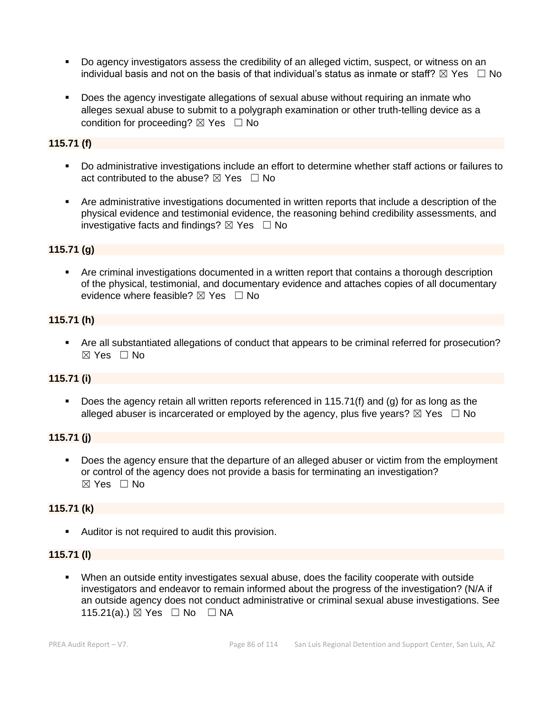- Do agency investigators assess the credibility of an alleged victim, suspect, or witness on an individual basis and not on the basis of that individual's status as inmate or staff?  $\boxtimes$  Yes  $\;\;\Box$  No
- Does the agency investigate allegations of sexual abuse without requiring an inmate who alleges sexual abuse to submit to a polygraph examination or other truth-telling device as a condition for proceeding?  $\boxtimes$  Yes  $\Box$  No

### **115.71 (f)**

- Do administrative investigations include an effort to determine whether staff actions or failures to act contributed to the abuse?  $\boxtimes$  Yes  $\Box$  No
- Are administrative investigations documented in written reports that include a description of the physical evidence and testimonial evidence, the reasoning behind credibility assessments, and investigative facts and findings?  $\boxtimes$  Yes  $\Box$  No

### **115.71 (g)**

■ Are criminal investigations documented in a written report that contains a thorough description of the physical, testimonial, and documentary evidence and attaches copies of all documentary evidence where feasible?  $\boxtimes$  Yes  $\Box$  No

### **115.71 (h)**

▪ Are all substantiated allegations of conduct that appears to be criminal referred for prosecution?  $\boxtimes$  Yes  $\Box$  No

#### **115.71 (i)**

■ Does the agency retain all written reports referenced in 115.71(f) and (g) for as long as the alleged abuser is incarcerated or employed by the agency, plus five years?  $\boxtimes$  Yes  $\Box$  No

### **115.71 (j)**

**• Does the agency ensure that the departure of an alleged abuser or victim from the employment** or control of the agency does not provide a basis for terminating an investigation? ☒ Yes ☐ No

### **115.71 (k)**

■ Auditor is not required to audit this provision.

### **115.71 (l)**

▪ When an outside entity investigates sexual abuse, does the facility cooperate with outside investigators and endeavor to remain informed about the progress of the investigation? (N/A if an outside agency does not conduct administrative or criminal sexual abuse investigations. See 115.21(a).) ⊠ Yes □ No □ NA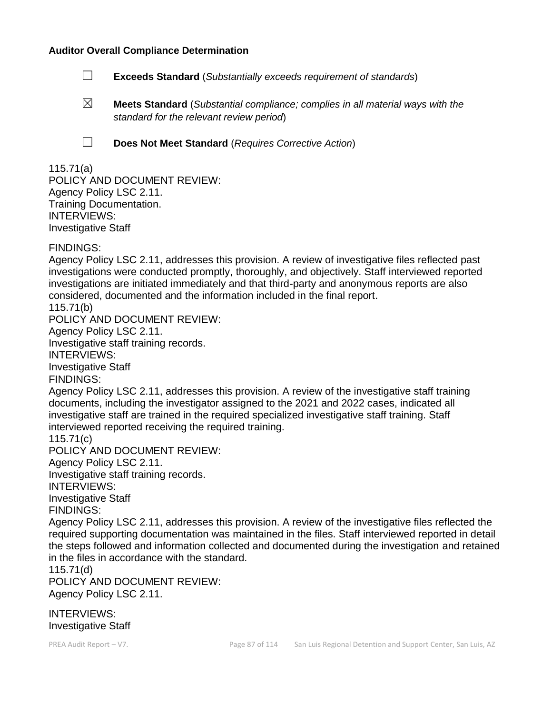#### **Auditor Overall Compliance Determination**

- ☐ **Exceeds Standard** (*Substantially exceeds requirement of standards*)
- ☒ **Meets Standard** (*Substantial compliance; complies in all material ways with the standard for the relevant review period*)
- 
- ☐ **Does Not Meet Standard** (*Requires Corrective Action*)

### 115.71(a)

POLICY AND DOCUMENT REVIEW: Agency Policy LSC 2.11. Training Documentation. INTERVIEWS: Investigative Staff

FINDINGS:

Agency Policy LSC 2.11, addresses this provision. A review of investigative files reflected past investigations were conducted promptly, thoroughly, and objectively. Staff interviewed reported investigations are initiated immediately and that third-party and anonymous reports are also considered, documented and the information included in the final report.

115.71(b)

POLICY AND DOCUMENT REVIEW:

Agency Policy LSC 2.11.

Investigative staff training records.

INTERVIEWS:

Investigative Staff

FINDINGS:

Agency Policy LSC 2.11, addresses this provision. A review of the investigative staff training documents, including the investigator assigned to the 2021 and 2022 cases, indicated all investigative staff are trained in the required specialized investigative staff training. Staff interviewed reported receiving the required training.

115.71(c)

POLICY AND DOCUMENT REVIEW:

Agency Policy LSC 2.11.

Investigative staff training records. INTERVIEWS: Investigative Staff FINDINGS:

Agency Policy LSC 2.11, addresses this provision. A review of the investigative files reflected the required supporting documentation was maintained in the files. Staff interviewed reported in detail the steps followed and information collected and documented during the investigation and retained in the files in accordance with the standard.

115.71(d)

POLICY AND DOCUMENT REVIEW: Agency Policy LSC 2.11.

INTERVIEWS: Investigative Staff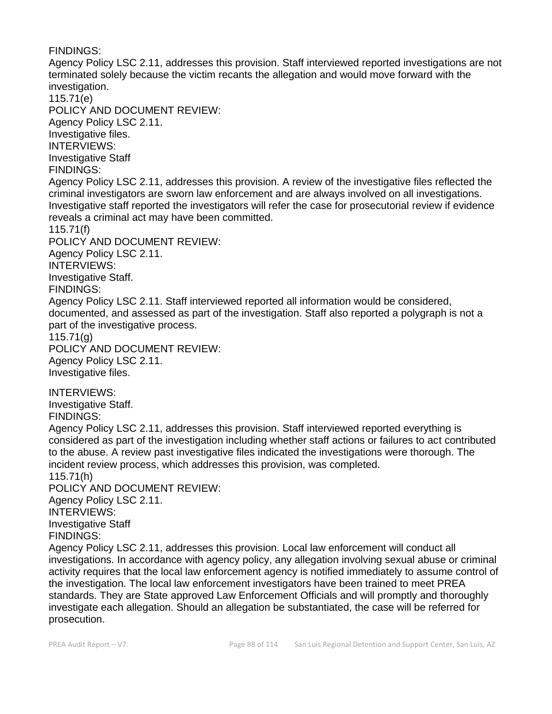FINDINGS: Agency Policy LSC 2.11, addresses this provision. Staff interviewed reported investigations are not terminated solely because the victim recants the allegation and would move forward with the investigation. 115.71(e) POLICY AND DOCUMENT REVIEW: Agency Policy LSC 2.11. Investigative files. INTERVIEWS: Investigative Staff FINDINGS: Agency Policy LSC 2.11, addresses this provision. A review of the investigative files reflected the criminal investigators are sworn law enforcement and are always involved on all investigations. Investigative staff reported the investigators will refer the case for prosecutorial review if evidence reveals a criminal act may have been committed. 115.71(f) POLICY AND DOCUMENT REVIEW: Agency Policy LSC 2.11. INTERVIEWS: Investigative Staff. FINDINGS: Agency Policy LSC 2.11. Staff interviewed reported all information would be considered, documented, and assessed as part of the investigation. Staff also reported a polygraph is not a part of the investigative process. 115.71(g) POLICY AND DOCUMENT REVIEW: Agency Policy LSC 2.11. Investigative files. INTERVIEWS: Investigative Staff. FINDINGS: Agency Policy LSC 2.11, addresses this provision. Staff interviewed reported everything is considered as part of the investigation including whether staff actions or failures to act contributed to the abuse. A review past investigative files indicated the investigations were thorough. The incident review process, which addresses this provision, was completed. 115.71(h) POLICY AND DOCUMENT REVIEW: Agency Policy LSC 2.11. INTERVIEWS: Investigative Staff FINDINGS: Agency Policy LSC 2.11, addresses this provision. Local law enforcement will conduct all investigations. In accordance with agency policy, any allegation involving sexual abuse or criminal activity requires that the local law enforcement agency is notified immediately to assume control of the investigation. The local law enforcement investigators have been trained to meet PREA standards. They are State approved Law Enforcement Officials and will promptly and thoroughly investigate each allegation. Should an allegation be substantiated, the case will be referred for

prosecution.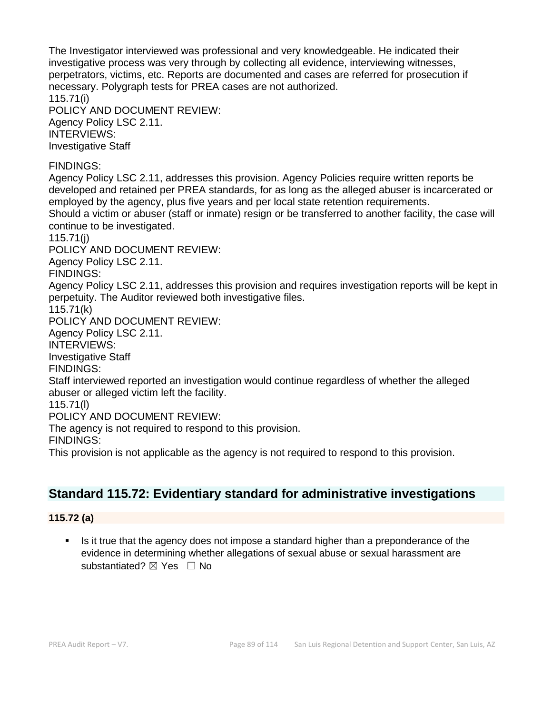The Investigator interviewed was professional and very knowledgeable. He indicated their investigative process was very through by collecting all evidence, interviewing witnesses, perpetrators, victims, etc. Reports are documented and cases are referred for prosecution if necessary. Polygraph tests for PREA cases are not authorized. 115.71(i) POLICY AND DOCUMENT REVIEW: Agency Policy LSC 2.11. INTERVIEWS: Investigative Staff FINDINGS: Agency Policy LSC 2.11, addresses this provision. Agency Policies require written reports be developed and retained per PREA standards, for as long as the alleged abuser is incarcerated or employed by the agency, plus five years and per local state retention requirements. Should a victim or abuser (staff or inmate) resign or be transferred to another facility, the case will continue to be investigated. 115.71(j) POLICY AND DOCUMENT REVIEW: Agency Policy LSC 2.11. FINDINGS: Agency Policy LSC 2.11, addresses this provision and requires investigation reports will be kept in perpetuity. The Auditor reviewed both investigative files. 115.71(k) POLICY AND DOCUMENT REVIEW: Agency Policy LSC 2.11. INTERVIEWS: Investigative Staff FINDINGS: Staff interviewed reported an investigation would continue regardless of whether the alleged abuser or alleged victim left the facility. 115.71(l) POLICY AND DOCUMENT REVIEW: The agency is not required to respond to this provision. FINDINGS: This provision is not applicable as the agency is not required to respond to this provision.

# **Standard 115.72: Evidentiary standard for administrative investigations**

# **115.72 (a)**

Is it true that the agency does not impose a standard higher than a preponderance of the evidence in determining whether allegations of sexual abuse or sexual harassment are substantiated? **⊠** Yes □ No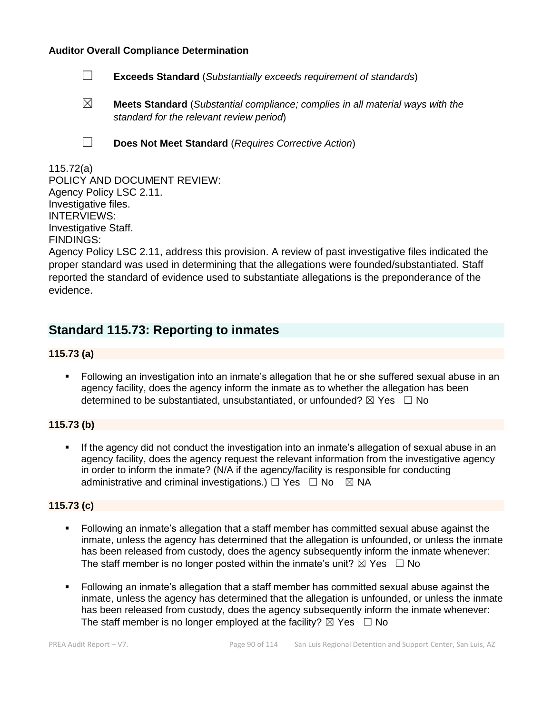#### **Auditor Overall Compliance Determination**

- ☐ **Exceeds Standard** (*Substantially exceeds requirement of standards*)
- ☒ **Meets Standard** (*Substantial compliance; complies in all material ways with the standard for the relevant review period*)
- 
- ☐ **Does Not Meet Standard** (*Requires Corrective Action*)

### 115.72(a)

POLICY AND DOCUMENT REVIEW: Agency Policy LSC 2.11. Investigative files. INTERVIEWS: Investigative Staff. FINDINGS:

Agency Policy LSC 2.11, address this provision. A review of past investigative files indicated the proper standard was used in determining that the allegations were founded/substantiated. Staff reported the standard of evidence used to substantiate allegations is the preponderance of the evidence.

# **Standard 115.73: Reporting to inmates**

### **115.73 (a)**

Following an investigation into an inmate's allegation that he or she suffered sexual abuse in an agency facility, does the agency inform the inmate as to whether the allegation has been determined to be substantiated, unsubstantiated, or unfounded?  $\boxtimes$  Yes  $\Box$  No

### **115.73 (b)**

If the agency did not conduct the investigation into an inmate's allegation of sexual abuse in an agency facility, does the agency request the relevant information from the investigative agency in order to inform the inmate? (N/A if the agency/facility is responsible for conducting administrative and criminal investigations.)  $\Box$  Yes  $\Box$  No  $\boxtimes$  NA

### **115.73 (c)**

- Following an inmate's allegation that a staff member has committed sexual abuse against the inmate, unless the agency has determined that the allegation is unfounded, or unless the inmate has been released from custody, does the agency subsequently inform the inmate whenever: The staff member is no longer posted within the inmate's unit?  $\boxtimes$  Yes  $\Box$  No
- Following an inmate's allegation that a staff member has committed sexual abuse against the inmate, unless the agency has determined that the allegation is unfounded, or unless the inmate has been released from custody, does the agency subsequently inform the inmate whenever: The staff member is no longer employed at the facility?  $\boxtimes$  Yes  $\Box$  No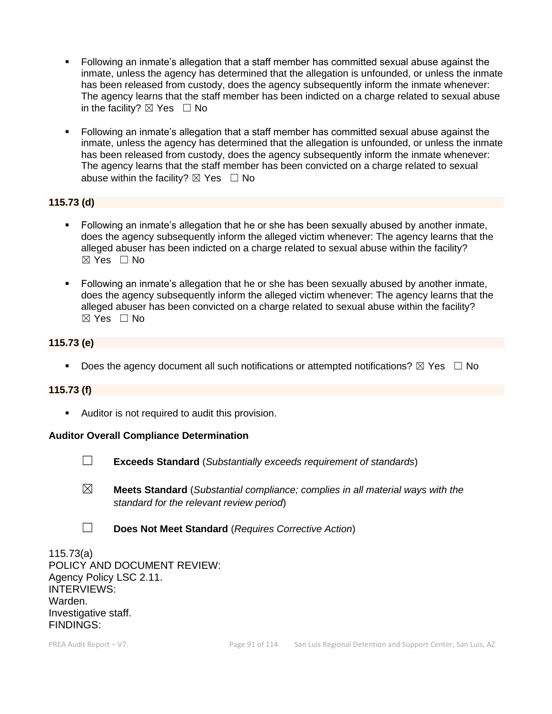- Following an inmate's allegation that a staff member has committed sexual abuse against the inmate, unless the agency has determined that the allegation is unfounded, or unless the inmate has been released from custody, does the agency subsequently inform the inmate whenever: The agency learns that the staff member has been indicted on a charge related to sexual abuse in the facility?  $\boxtimes$  Yes  $\Box$  No
- Following an inmate's allegation that a staff member has committed sexual abuse against the inmate, unless the agency has determined that the allegation is unfounded, or unless the inmate has been released from custody, does the agency subsequently inform the inmate whenever: The agency learns that the staff member has been convicted on a charge related to sexual abuse within the facility?  $\boxtimes$  Yes  $\Box$  No

### **115.73 (d)**

- Following an inmate's allegation that he or she has been sexually abused by another inmate, does the agency subsequently inform the alleged victim whenever: The agency learns that the alleged abuser has been indicted on a charge related to sexual abuse within the facility?  $\boxtimes$  Yes  $\Box$  No
- **•** Following an inmate's allegation that he or she has been sexually abused by another inmate, does the agency subsequently inform the alleged victim whenever: The agency learns that the alleged abuser has been convicted on a charge related to sexual abuse within the facility? ☒ Yes ☐ No

### **115.73 (e)**

**•** Does the agency document all such notifications or attempted notifications?  $\boxtimes$  Yes  $\Box$  No

#### **115.73 (f)**

■ Auditor is not required to audit this provision.

#### **Auditor Overall Compliance Determination**



☐ **Exceeds Standard** (*Substantially exceeds requirement of standards*)

- ☒ **Meets Standard** (*Substantial compliance; complies in all material ways with the standard for the relevant review period*)
- ☐ **Does Not Meet Standard** (*Requires Corrective Action*)

115.73(a) POLICY AND DOCUMENT REVIEW: Agency Policy LSC 2.11. INTERVIEWS: Warden. Investigative staff. FINDINGS: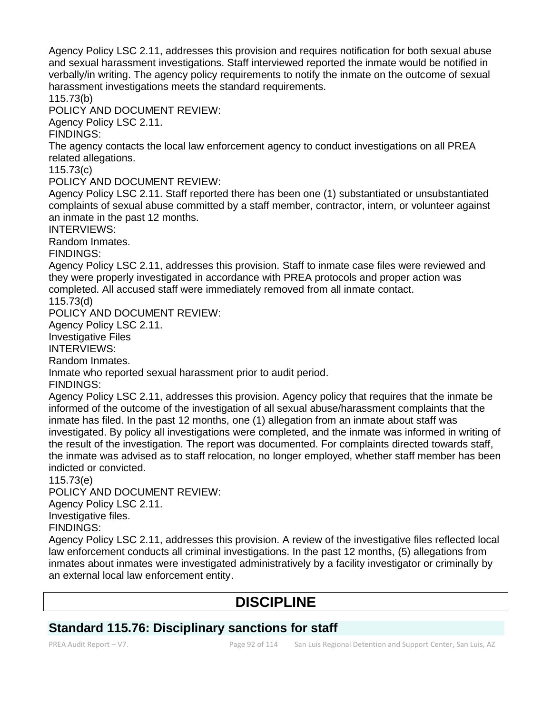Agency Policy LSC 2.11, addresses this provision and requires notification for both sexual abuse and sexual harassment investigations. Staff interviewed reported the inmate would be notified in verbally/in writing. The agency policy requirements to notify the inmate on the outcome of sexual harassment investigations meets the standard requirements.

115.73(b)

POLICY AND DOCUMENT REVIEW:

Agency Policy LSC 2.11.

FINDINGS:

The agency contacts the local law enforcement agency to conduct investigations on all PREA related allegations.

115.73(c)

POLICY AND DOCUMENT REVIEW:

Agency Policy LSC 2.11. Staff reported there has been one (1) substantiated or unsubstantiated complaints of sexual abuse committed by a staff member, contractor, intern, or volunteer against an inmate in the past 12 months.

INTERVIEWS:

Random Inmates.

FINDINGS:

Agency Policy LSC 2.11, addresses this provision. Staff to inmate case files were reviewed and they were properly investigated in accordance with PREA protocols and proper action was completed. All accused staff were immediately removed from all inmate contact.

115.73(d)

POLICY AND DOCUMENT REVIEW:

Agency Policy LSC 2.11.

Investigative Files

INTERVIEWS:

Random Inmates.

Inmate who reported sexual harassment prior to audit period.

FINDINGS:

Agency Policy LSC 2.11, addresses this provision. Agency policy that requires that the inmate be informed of the outcome of the investigation of all sexual abuse/harassment complaints that the inmate has filed. In the past 12 months, one (1) allegation from an inmate about staff was investigated. By policy all investigations were completed, and the inmate was informed in writing of the result of the investigation. The report was documented. For complaints directed towards staff, the inmate was advised as to staff relocation, no longer employed, whether staff member has been indicted or convicted.

115.73(e)

POLICY AND DOCUMENT REVIEW:

Agency Policy LSC 2.11.

Investigative files.

FINDINGS:

Agency Policy LSC 2.11, addresses this provision. A review of the investigative files reflected local law enforcement conducts all criminal investigations. In the past 12 months, (5) allegations from inmates about inmates were investigated administratively by a facility investigator or criminally by an external local law enforcement entity.

# **DISCIPLINE**

# **Standard 115.76: Disciplinary sanctions for staff**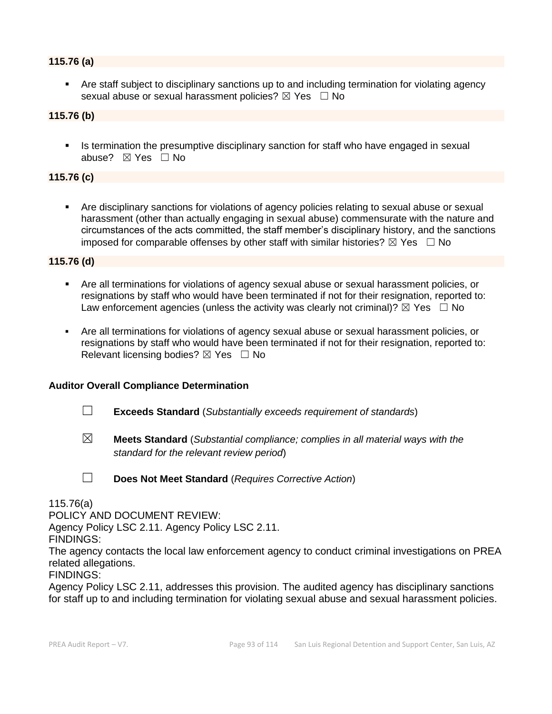### **115.76 (a)**

Are staff subject to disciplinary sanctions up to and including termination for violating agency sexual abuse or sexual harassment policies?  $\boxtimes$  Yes  $\Box$  No

### **115.76 (b)**

**■** Is termination the presumptive disciplinary sanction for staff who have engaged in sexual abuse? ☒ Yes ☐ No

### **115.76 (c)**

Are disciplinary sanctions for violations of agency policies relating to sexual abuse or sexual harassment (other than actually engaging in sexual abuse) commensurate with the nature and circumstances of the acts committed, the staff member's disciplinary history, and the sanctions imposed for comparable offenses by other staff with similar histories?  $\boxtimes$  Yes  $\Box$  No

#### **115.76 (d)**

- Are all terminations for violations of agency sexual abuse or sexual harassment policies, or resignations by staff who would have been terminated if not for their resignation, reported to: Law enforcement agencies (unless the activity was clearly not criminal)?  $\boxtimes$  Yes  $\Box$  No
- Are all terminations for violations of agency sexual abuse or sexual harassment policies, or resignations by staff who would have been terminated if not for their resignation, reported to: Relevant licensing bodies?  $\boxtimes$  Yes  $\Box$  No

#### **Auditor Overall Compliance Determination**

- ☐ **Exceeds Standard** (*Substantially exceeds requirement of standards*)
- ☒ **Meets Standard** (*Substantial compliance; complies in all material ways with the standard for the relevant review period*)

☐ **Does Not Meet Standard** (*Requires Corrective Action*)

### 115.76(a)

POLICY AND DOCUMENT REVIEW:

Agency Policy LSC 2.11. Agency Policy LSC 2.11.

FINDINGS:

The agency contacts the local law enforcement agency to conduct criminal investigations on PREA related allegations.

FINDINGS:

Agency Policy LSC 2.11, addresses this provision. The audited agency has disciplinary sanctions for staff up to and including termination for violating sexual abuse and sexual harassment policies.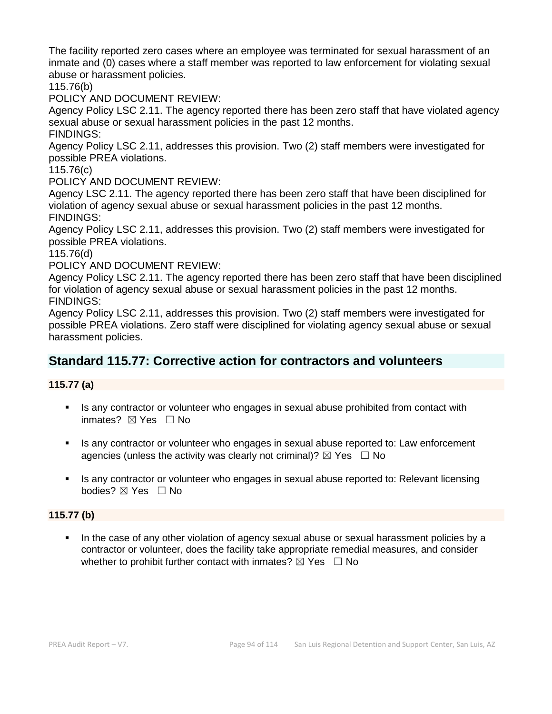The facility reported zero cases where an employee was terminated for sexual harassment of an inmate and (0) cases where a staff member was reported to law enforcement for violating sexual abuse or harassment policies.

115.76(b)

POLICY AND DOCUMENT REVIEW:

Agency Policy LSC 2.11. The agency reported there has been zero staff that have violated agency sexual abuse or sexual harassment policies in the past 12 months. FINDINGS:

Agency Policy LSC 2.11, addresses this provision. Two (2) staff members were investigated for possible PREA violations.

115.76(c)

POLICY AND DOCUMENT REVIEW:

Agency LSC 2.11. The agency reported there has been zero staff that have been disciplined for violation of agency sexual abuse or sexual harassment policies in the past 12 months. FINDINGS:

Agency Policy LSC 2.11, addresses this provision. Two (2) staff members were investigated for possible PREA violations.

115.76(d)

POLICY AND DOCUMENT REVIEW:

Agency Policy LSC 2.11. The agency reported there has been zero staff that have been disciplined for violation of agency sexual abuse or sexual harassment policies in the past 12 months. FINDINGS:

Agency Policy LSC 2.11, addresses this provision. Two (2) staff members were investigated for possible PREA violations. Zero staff were disciplined for violating agency sexual abuse or sexual harassment policies.

# **Standard 115.77: Corrective action for contractors and volunteers**

### **115.77 (a)**

- **.** Is any contractor or volunteer who engages in sexual abuse prohibited from contact with inmates? ☒ Yes ☐ No
- **■** Is any contractor or volunteer who engages in sexual abuse reported to: Law enforcement agencies (unless the activity was clearly not criminal)?  $\boxtimes$  Yes  $\Box$  No
- Is any contractor or volunteer who engages in sexual abuse reported to: Relevant licensing bodies? ⊠ Yes □ No

### **115.77 (b)**

■ In the case of any other violation of agency sexual abuse or sexual harassment policies by a contractor or volunteer, does the facility take appropriate remedial measures, and consider whether to prohibit further contact with inmates?  $\boxtimes$  Yes  $\Box$  No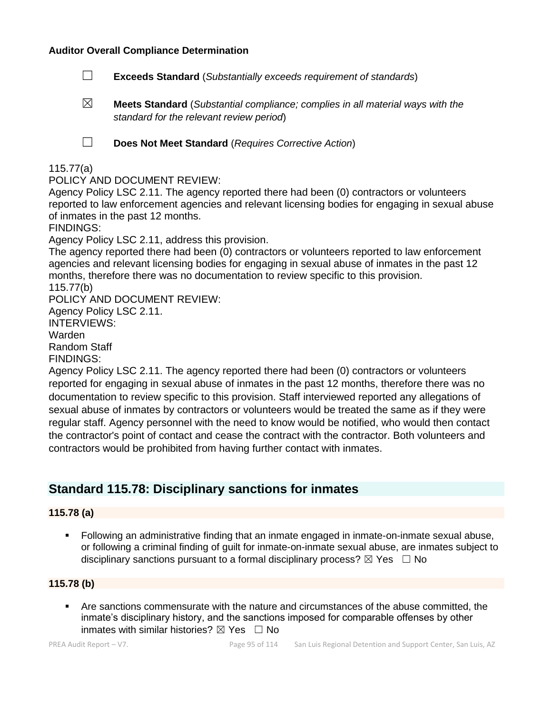### **Auditor Overall Compliance Determination**

- ☐ **Exceeds Standard** (*Substantially exceeds requirement of standards*)
- ☒ **Meets Standard** (*Substantial compliance; complies in all material ways with the standard for the relevant review period*)

☐ **Does Not Meet Standard** (*Requires Corrective Action*)

### 115.77(a)

#### POLICY AND DOCUMENT REVIEW:

Agency Policy LSC 2.11. The agency reported there had been (0) contractors or volunteers reported to law enforcement agencies and relevant licensing bodies for engaging in sexual abuse of inmates in the past 12 months.

FINDINGS:

Agency Policy LSC 2.11, address this provision.

The agency reported there had been (0) contractors or volunteers reported to law enforcement agencies and relevant licensing bodies for engaging in sexual abuse of inmates in the past 12 months, therefore there was no documentation to review specific to this provision. 115.77(b)

POLICY AND DOCUMENT REVIEW:

Agency Policy LSC 2.11.

INTERVIEWS:

Warden

Random Staff

FINDINGS:

Agency Policy LSC 2.11. The agency reported there had been (0) contractors or volunteers reported for engaging in sexual abuse of inmates in the past 12 months, therefore there was no documentation to review specific to this provision. Staff interviewed reported any allegations of sexual abuse of inmates by contractors or volunteers would be treated the same as if they were regular staff. Agency personnel with the need to know would be notified, who would then contact the contractor's point of contact and cease the contract with the contractor. Both volunteers and contractors would be prohibited from having further contact with inmates.

# **Standard 115.78: Disciplinary sanctions for inmates**

### **115.78 (a)**

▪ Following an administrative finding that an inmate engaged in inmate-on-inmate sexual abuse, or following a criminal finding of guilt for inmate-on-inmate sexual abuse, are inmates subject to disciplinary sanctions pursuant to a formal disciplinary process?  $\boxtimes$  Yes  $\Box$  No

### **115.78 (b)**

Are sanctions commensurate with the nature and circumstances of the abuse committed, the inmate's disciplinary history, and the sanctions imposed for comparable offenses by other inmates with similar histories?  $\boxtimes$  Yes  $\Box$  No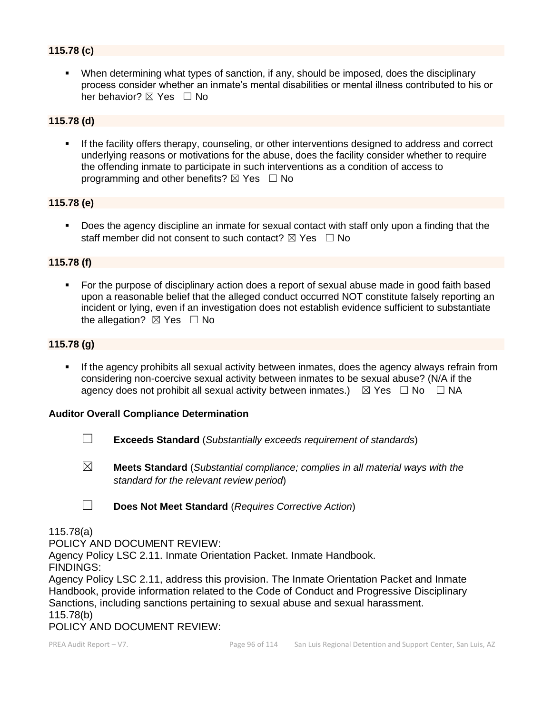### **115.78 (c)**

▪ When determining what types of sanction, if any, should be imposed, does the disciplinary process consider whether an inmate's mental disabilities or mental illness contributed to his or her behavior? ⊠ Yes □ No

### **115.78 (d)**

If the facility offers therapy, counseling, or other interventions designed to address and correct underlying reasons or motivations for the abuse, does the facility consider whether to require the offending inmate to participate in such interventions as a condition of access to programming and other benefits?  $\boxtimes$  Yes  $\Box$  No

### **115.78 (e)**

■ Does the agency discipline an inmate for sexual contact with staff only upon a finding that the staff member did not consent to such contact?  $\boxtimes$  Yes  $\Box$  No

### **115.78 (f)**

For the purpose of disciplinary action does a report of sexual abuse made in good faith based upon a reasonable belief that the alleged conduct occurred NOT constitute falsely reporting an incident or lying, even if an investigation does not establish evidence sufficient to substantiate the allegation?  $\boxtimes$  Yes  $\Box$  No

### **115.78 (g)**

**.** If the agency prohibits all sexual activity between inmates, does the agency always refrain from considering non-coercive sexual activity between inmates to be sexual abuse? (N/A if the agency does not prohibit all sexual activity between inmates.)  $\boxtimes$  Yes  $\Box$  No  $\Box$  NA

#### **Auditor Overall Compliance Determination**

- ☐ **Exceeds Standard** (*Substantially exceeds requirement of standards*)
- ☒ **Meets Standard** (*Substantial compliance; complies in all material ways with the standard for the relevant review period*)
- ☐ **Does Not Meet Standard** (*Requires Corrective Action*)

#### 115.78(a)

POLICY AND DOCUMENT REVIEW:

Agency Policy LSC 2.11. Inmate Orientation Packet. Inmate Handbook.

FINDINGS:

Agency Policy LSC 2.11, address this provision. The Inmate Orientation Packet and Inmate Handbook, provide information related to the Code of Conduct and Progressive Disciplinary Sanctions, including sanctions pertaining to sexual abuse and sexual harassment. 115.78(b)

POLICY AND DOCUMENT REVIEW: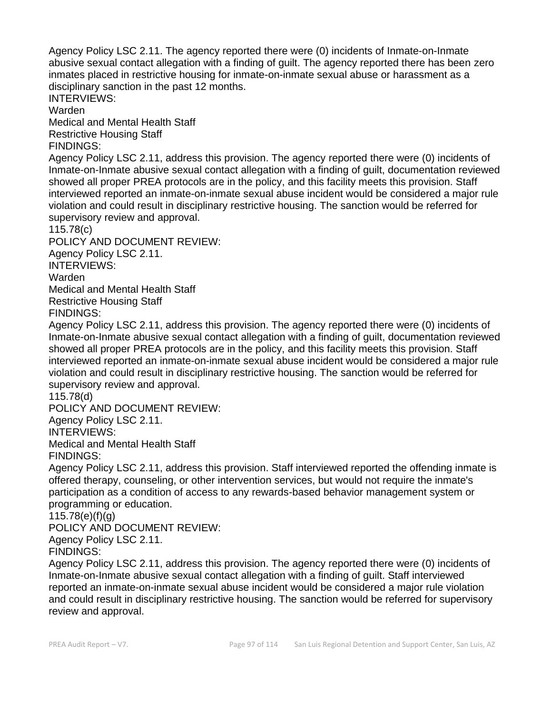Agency Policy LSC 2.11. The agency reported there were (0) incidents of Inmate-on-Inmate abusive sexual contact allegation with a finding of guilt. The agency reported there has been zero inmates placed in restrictive housing for inmate-on-inmate sexual abuse or harassment as a disciplinary sanction in the past 12 months.

INTERVIEWS:

Warden

Medical and Mental Health Staff Restrictive Housing Staff

FINDINGS:

Agency Policy LSC 2.11, address this provision. The agency reported there were (0) incidents of Inmate-on-Inmate abusive sexual contact allegation with a finding of guilt, documentation reviewed showed all proper PREA protocols are in the policy, and this facility meets this provision. Staff interviewed reported an inmate-on-inmate sexual abuse incident would be considered a major rule violation and could result in disciplinary restrictive housing. The sanction would be referred for supervisory review and approval.

115.78(c)

POLICY AND DOCUMENT REVIEW: Agency Policy LSC 2.11. INTERVIEWS: Warden Medical and Mental Health Staff Restrictive Housing Staff

FINDINGS:

Agency Policy LSC 2.11, address this provision. The agency reported there were (0) incidents of Inmate-on-Inmate abusive sexual contact allegation with a finding of guilt, documentation reviewed showed all proper PREA protocols are in the policy, and this facility meets this provision. Staff interviewed reported an inmate-on-inmate sexual abuse incident would be considered a major rule violation and could result in disciplinary restrictive housing. The sanction would be referred for supervisory review and approval.

115.78(d)

POLICY AND DOCUMENT REVIEW: Agency Policy LSC 2.11. INTERVIEWS: Medical and Mental Health Staff FINDINGS:

Agency Policy LSC 2.11, address this provision. Staff interviewed reported the offending inmate is offered therapy, counseling, or other intervention services, but would not require the inmate's participation as a condition of access to any rewards-based behavior management system or programming or education.

115.78(e)(f)(g)

POLICY AND DOCUMENT REVIEW:

Agency Policy LSC 2.11.

FINDINGS:

Agency Policy LSC 2.11, address this provision. The agency reported there were (0) incidents of Inmate-on-Inmate abusive sexual contact allegation with a finding of guilt. Staff interviewed reported an inmate-on-inmate sexual abuse incident would be considered a major rule violation and could result in disciplinary restrictive housing. The sanction would be referred for supervisory review and approval.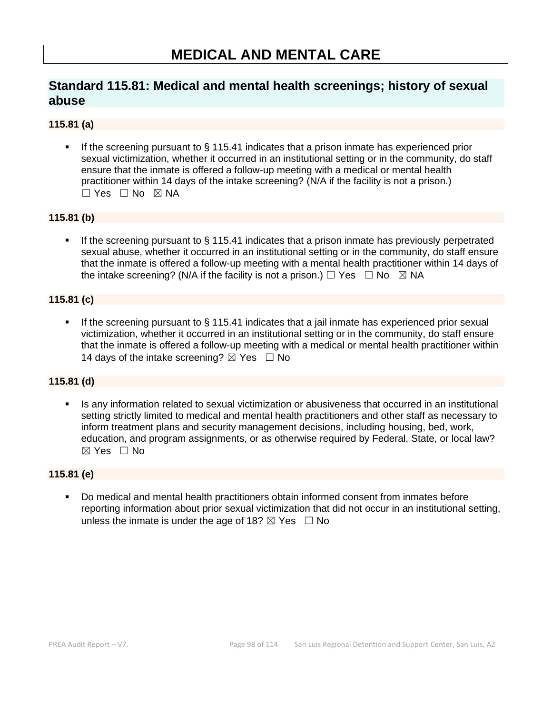# **MEDICAL AND MENTAL CARE**

# **Standard 115.81: Medical and mental health screenings; history of sexual abuse**

### **115.81 (a)**

If the screening pursuant to  $\S$  115.41 indicates that a prison inmate has experienced prior sexual victimization, whether it occurred in an institutional setting or in the community, do staff ensure that the inmate is offered a follow-up meeting with a medical or mental health practitioner within 14 days of the intake screening? (N/A if the facility is not a prison.)  $\Box$  Yes  $\Box$  No  $\boxtimes$  NA

### **115.81 (b)**

**■** If the screening pursuant to  $\S$  115.41 indicates that a prison inmate has previously perpetrated sexual abuse, whether it occurred in an institutional setting or in the community, do staff ensure that the inmate is offered a follow-up meeting with a mental health practitioner within 14 days of the intake screening? (N/A if the facility is not a prison.)  $\Box$  Yes  $\Box$  No  $\boxtimes$  NA

### **115.81 (c)**

If the screening pursuant to  $\S$  115.41 indicates that a jail inmate has experienced prior sexual victimization, whether it occurred in an institutional setting or in the community, do staff ensure that the inmate is offered a follow-up meeting with a medical or mental health practitioner within 14 days of the intake screening?  $\boxtimes$  Yes  $\Box$  No

### **115.81 (d)**

Is any information related to sexual victimization or abusiveness that occurred in an institutional setting strictly limited to medical and mental health practitioners and other staff as necessary to inform treatment plans and security management decisions, including housing, bed, work, education, and program assignments, or as otherwise required by Federal, State, or local law?  $\boxtimes$  Yes  $\Box$  No

### **115.81 (e)**

▪ Do medical and mental health practitioners obtain informed consent from inmates before reporting information about prior sexual victimization that did not occur in an institutional setting, unless the inmate is under the age of 18?  $\boxtimes$  Yes  $\Box$  No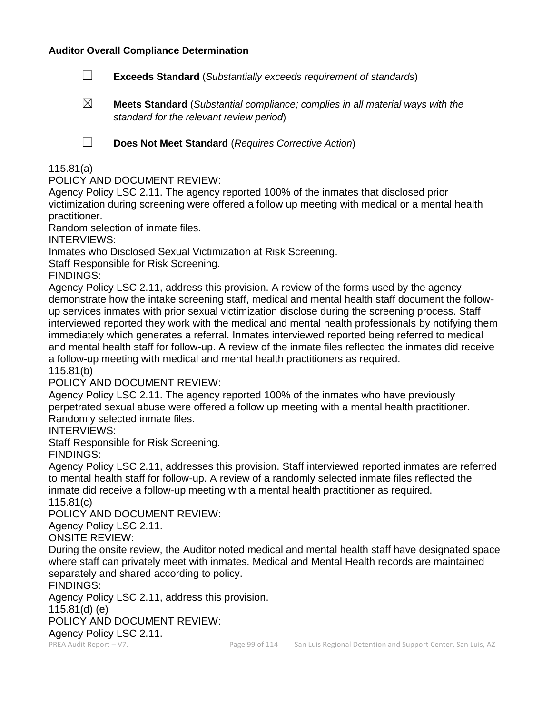### **Auditor Overall Compliance Determination**

- ☐ **Exceeds Standard** (*Substantially exceeds requirement of standards*)
- ☒ **Meets Standard** (*Substantial compliance; complies in all material ways with the standard for the relevant review period*)

☐ **Does Not Meet Standard** (*Requires Corrective Action*)

### 115.81(a)

POLICY AND DOCUMENT REVIEW:

Agency Policy LSC 2.11. The agency reported 100% of the inmates that disclosed prior victimization during screening were offered a follow up meeting with medical or a mental health practitioner.

Random selection of inmate files.

INTERVIEWS:

Inmates who Disclosed Sexual Victimization at Risk Screening.

Staff Responsible for Risk Screening.

FINDINGS:

Agency Policy LSC 2.11, address this provision. A review of the forms used by the agency demonstrate how the intake screening staff, medical and mental health staff document the followup services inmates with prior sexual victimization disclose during the screening process. Staff interviewed reported they work with the medical and mental health professionals by notifying them immediately which generates a referral. Inmates interviewed reported being referred to medical and mental health staff for follow-up. A review of the inmate files reflected the inmates did receive a follow-up meeting with medical and mental health practitioners as required.

115.81(b)

POLICY AND DOCUMENT REVIEW:

Agency Policy LSC 2.11. The agency reported 100% of the inmates who have previously perpetrated sexual abuse were offered a follow up meeting with a mental health practitioner. Randomly selected inmate files.

INTERVIEWS:

Staff Responsible for Risk Screening.

FINDINGS:

Agency Policy LSC 2.11, addresses this provision. Staff interviewed reported inmates are referred to mental health staff for follow-up. A review of a randomly selected inmate files reflected the inmate did receive a follow-up meeting with a mental health practitioner as required.

115.81(c)

POLICY AND DOCUMENT REVIEW:

Agency Policy LSC 2.11.

ONSITE REVIEW:

During the onsite review, the Auditor noted medical and mental health staff have designated space where staff can privately meet with inmates. Medical and Mental Health records are maintained separately and shared according to policy.

FINDINGS:

Agency Policy LSC 2.11, address this provision.

115.81(d) (e)

POLICY AND DOCUMENT REVIEW:

Agency Policy LSC 2.11.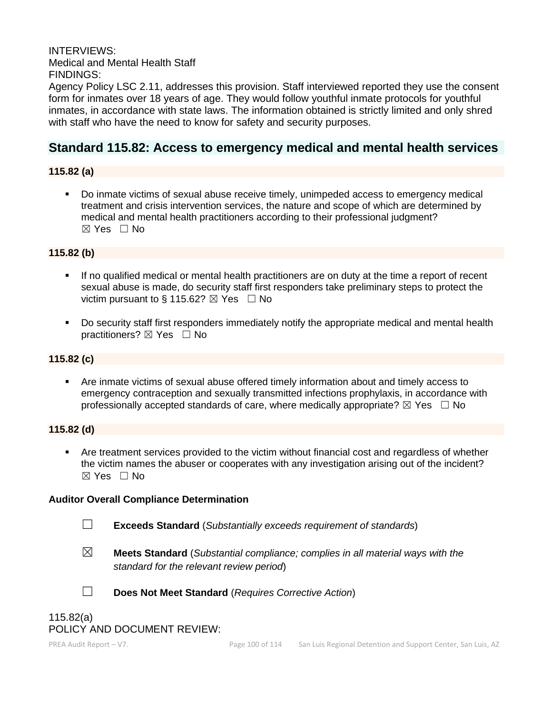INTERVIEWS: Medical and Mental Health Staff FINDINGS:

Agency Policy LSC 2.11, addresses this provision. Staff interviewed reported they use the consent form for inmates over 18 years of age. They would follow youthful inmate protocols for youthful inmates, in accordance with state laws. The information obtained is strictly limited and only shred with staff who have the need to know for safety and security purposes.

# **Standard 115.82: Access to emergency medical and mental health services**

### **115.82 (a)**

▪ Do inmate victims of sexual abuse receive timely, unimpeded access to emergency medical treatment and crisis intervention services, the nature and scope of which are determined by medical and mental health practitioners according to their professional judgment?  $\boxtimes$  Yes  $\Box$  No

### **115.82 (b)**

- If no qualified medical or mental health practitioners are on duty at the time a report of recent sexual abuse is made, do security staff first responders take preliminary steps to protect the victim pursuant to § 115.62?  $\boxtimes$  Yes  $\Box$  No
- Do security staff first responders immediately notify the appropriate medical and mental health practitioners? ⊠ Yes □ No

### **115.82 (c)**

■ Are inmate victims of sexual abuse offered timely information about and timely access to emergency contraception and sexually transmitted infections prophylaxis, in accordance with professionally accepted standards of care, where medically appropriate?  $\boxtimes$  Yes  $\Box$  No

### **115.82 (d)**

▪ Are treatment services provided to the victim without financial cost and regardless of whether the victim names the abuser or cooperates with any investigation arising out of the incident? ☒ Yes ☐ No

#### **Auditor Overall Compliance Determination**

☐ **Exceeds Standard** (*Substantially exceeds requirement of standards*)

☒ **Meets Standard** (*Substantial compliance; complies in all material ways with the standard for the relevant review period*)



☐ **Does Not Meet Standard** (*Requires Corrective Action*)

# 115.82(a) POLICY AND DOCUMENT REVIEW: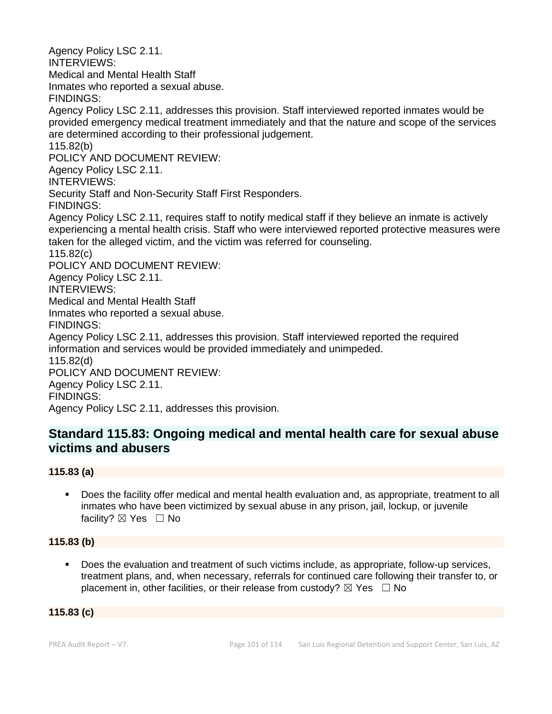Agency Policy LSC 2.11. INTERVIEWS: Medical and Mental Health Staff Inmates who reported a sexual abuse. FINDINGS: Agency Policy LSC 2.11, addresses this provision. Staff interviewed reported inmates would be provided emergency medical treatment immediately and that the nature and scope of the services are determined according to their professional judgement. 115.82(b) POLICY AND DOCUMENT REVIEW: Agency Policy LSC 2.11. INTERVIEWS: Security Staff and Non-Security Staff First Responders. FINDINGS: Agency Policy LSC 2.11, requires staff to notify medical staff if they believe an inmate is actively experiencing a mental health crisis. Staff who were interviewed reported protective measures were taken for the alleged victim, and the victim was referred for counseling. 115.82(c) POLICY AND DOCUMENT REVIEW: Agency Policy LSC 2.11. INTERVIEWS: Medical and Mental Health Staff Inmates who reported a sexual abuse. FINDINGS: Agency Policy LSC 2.11, addresses this provision. Staff interviewed reported the required information and services would be provided immediately and unimpeded. 115.82(d) POLICY AND DOCUMENT REVIEW: Agency Policy LSC 2.11. FINDINGS: Agency Policy LSC 2.11, addresses this provision.

# **Standard 115.83: Ongoing medical and mental health care for sexual abuse victims and abusers**

# **115.83 (a)**

▪ Does the facility offer medical and mental health evaluation and, as appropriate, treatment to all inmates who have been victimized by sexual abuse in any prison, jail, lockup, or juvenile facility?  $\boxtimes$  Yes  $\Box$  No

# **115.83 (b)**

Does the evaluation and treatment of such victims include, as appropriate, follow-up services, treatment plans, and, when necessary, referrals for continued care following their transfer to, or placement in, other facilities, or their release from custody?  $\boxtimes$  Yes  $\Box$  No

# **115.83 (c)**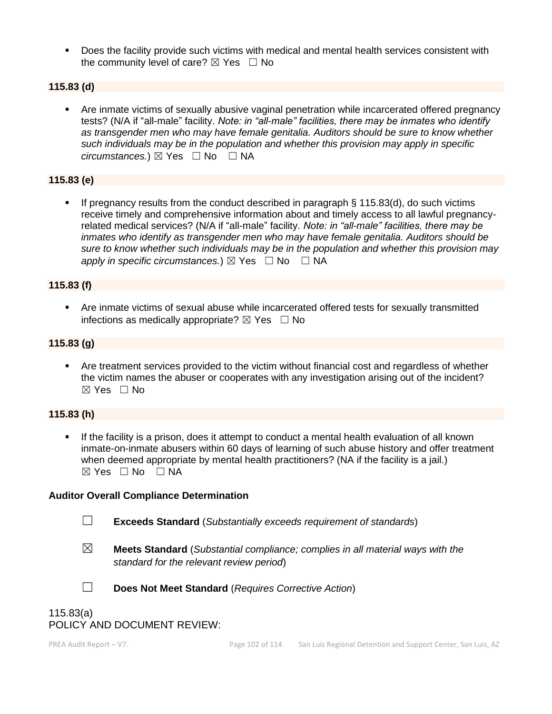▪ Does the facility provide such victims with medical and mental health services consistent with the community level of care?  $\boxtimes$  Yes  $\Box$  No

### **115.83 (d)**

Are inmate victims of sexually abusive vaginal penetration while incarcerated offered pregnancy tests? (N/A if "all-male" facility. *Note: in "all-male" facilities, there may be inmates who identify as transgender men who may have female genitalia. Auditors should be sure to know whether such individuals may be in the population and whether this provision may apply in specific circumstances.*) ⊠ Yes  $□$  No  $□$  NA

### **115.83 (e)**

If pregnancy results from the conduct described in paragraph  $\S$  115.83(d), do such victims receive timely and comprehensive information about and timely access to all lawful pregnancyrelated medical services? (N/A if "all-male" facility. *Note: in "all-male" facilities, there may be inmates who identify as transgender men who may have female genitalia. Auditors should be sure to know whether such individuals may be in the population and whether this provision may apply in specific circumstances.*)  $\boxtimes$  Yes  $\Box$  No  $\Box$  NA

### **115.83 (f)**

**EXTER 15 Are inmate victims of sexual abuse while incarcerated offered tests for sexually transmitted** infections as medically appropriate?  $\boxtimes$  Yes  $\Box$  No

### **115.83 (g)**

**•** Are treatment services provided to the victim without financial cost and regardless of whether the victim names the abuser or cooperates with any investigation arising out of the incident? ☒ Yes ☐ No

#### **115.83 (h)**

If the facility is a prison, does it attempt to conduct a mental health evaluation of all known inmate-on-inmate abusers within 60 days of learning of such abuse history and offer treatment when deemed appropriate by mental health practitioners? (NA if the facility is a jail.)  $\boxtimes$  Yes  $\Box$  No  $\Box$  NA

#### **Auditor Overall Compliance Determination**

☐ **Exceeds Standard** (*Substantially exceeds requirement of standards*)

- 
- ☒ **Meets Standard** (*Substantial compliance; complies in all material ways with the standard for the relevant review period*)



☐ **Does Not Meet Standard** (*Requires Corrective Action*)

# 115.83(a) POLICY AND DOCUMENT REVIEW: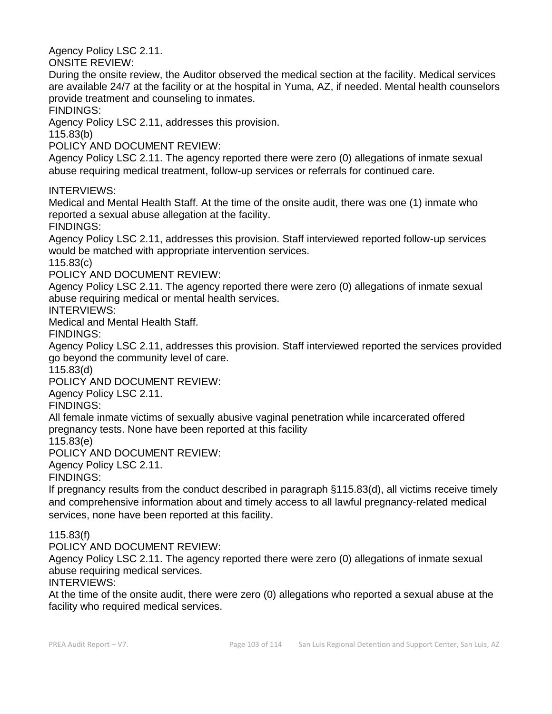Agency Policy LSC 2.11.

ONSITE REVIEW:

During the onsite review, the Auditor observed the medical section at the facility. Medical services are available 24/7 at the facility or at the hospital in Yuma, AZ, if needed. Mental health counselors provide treatment and counseling to inmates.

FINDINGS:

Agency Policy LSC 2.11, addresses this provision.

115.83(b)

POLICY AND DOCUMENT REVIEW:

Agency Policy LSC 2.11. The agency reported there were zero (0) allegations of inmate sexual abuse requiring medical treatment, follow-up services or referrals for continued care.

INTERVIEWS:

Medical and Mental Health Staff. At the time of the onsite audit, there was one (1) inmate who reported a sexual abuse allegation at the facility.

FINDINGS:

Agency Policy LSC 2.11, addresses this provision. Staff interviewed reported follow-up services would be matched with appropriate intervention services.

115.83(c)

POLICY AND DOCUMENT REVIEW:

Agency Policy LSC 2.11. The agency reported there were zero (0) allegations of inmate sexual abuse requiring medical or mental health services.

INTERVIEWS:

Medical and Mental Health Staff.

FINDINGS:

Agency Policy LSC 2.11, addresses this provision. Staff interviewed reported the services provided go beyond the community level of care.

115.83(d)

POLICY AND DOCUMENT REVIEW:

Agency Policy LSC 2.11.

FINDINGS:

All female inmate victims of sexually abusive vaginal penetration while incarcerated offered pregnancy tests. None have been reported at this facility

115.83(e)

POLICY AND DOCUMENT REVIEW:

Agency Policy LSC 2.11.

FINDINGS:

If pregnancy results from the conduct described in paragraph §115.83(d), all victims receive timely and comprehensive information about and timely access to all lawful pregnancy-related medical services, none have been reported at this facility.

### 115.83(f)

POLICY AND DOCUMENT REVIEW:

Agency Policy LSC 2.11. The agency reported there were zero (0) allegations of inmate sexual abuse requiring medical services.

INTERVIEWS:

At the time of the onsite audit, there were zero (0) allegations who reported a sexual abuse at the facility who required medical services.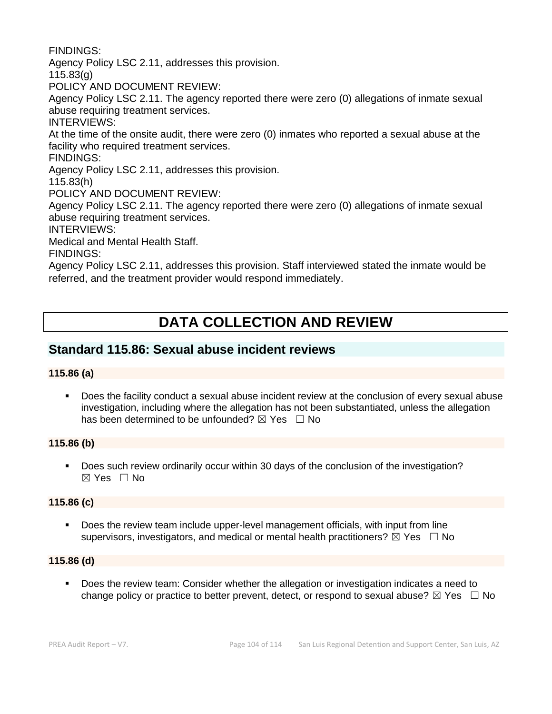FINDINGS:

Agency Policy LSC 2.11, addresses this provision.

115.83(g)

POLICY AND DOCUMENT REVIEW:

Agency Policy LSC 2.11. The agency reported there were zero (0) allegations of inmate sexual abuse requiring treatment services.

INTERVIEWS:

At the time of the onsite audit, there were zero (0) inmates who reported a sexual abuse at the facility who required treatment services.

FINDINGS:

Agency Policy LSC 2.11, addresses this provision.

115.83(h)

POLICY AND DOCUMENT REVIEW:

Agency Policy LSC 2.11. The agency reported there were zero (0) allegations of inmate sexual abuse requiring treatment services.

INTERVIEWS:

Medical and Mental Health Staff.

FINDINGS:

Agency Policy LSC 2.11, addresses this provision. Staff interviewed stated the inmate would be referred, and the treatment provider would respond immediately.

# **DATA COLLECTION AND REVIEW**

# **Standard 115.86: Sexual abuse incident reviews**

# **115.86 (a)**

▪ Does the facility conduct a sexual abuse incident review at the conclusion of every sexual abuse investigation, including where the allegation has not been substantiated, unless the allegation has been determined to be unfounded?  $\boxtimes$  Yes  $\Box$  No

### **115.86 (b)**

■ Does such review ordinarily occur within 30 days of the conclusion of the investigation?  $\boxtimes$  Yes  $\Box$  No

### **115.86 (c)**

Does the review team include upper-level management officials, with input from line supervisors, investigators, and medical or mental health practitioners?  $\boxtimes$  Yes  $\Box$  No

### **115.86 (d)**

Does the review team: Consider whether the allegation or investigation indicates a need to change policy or practice to better prevent, detect, or respond to sexual abuse?  $\boxtimes$  Yes  $\Box$  No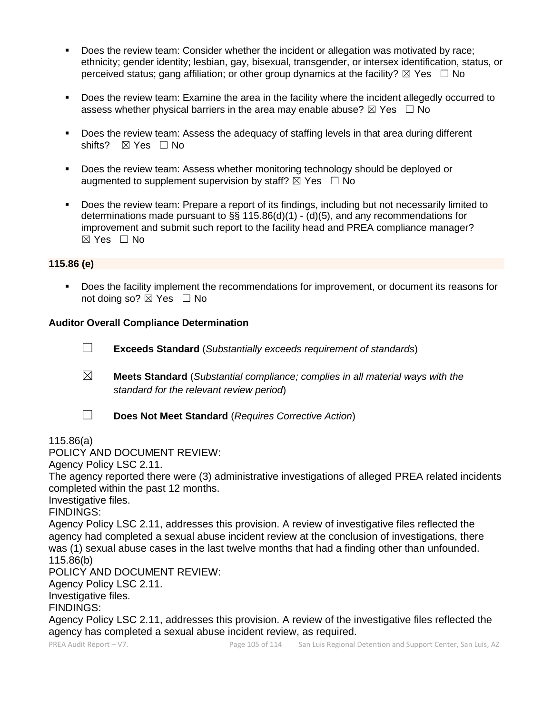- Does the review team: Consider whether the incident or allegation was motivated by race; ethnicity; gender identity; lesbian, gay, bisexual, transgender, or intersex identification, status, or perceived status; gang affiliation; or other group dynamics at the facility?  $\boxtimes$  Yes  $\Box$  No
- Does the review team: Examine the area in the facility where the incident allegedly occurred to assess whether physical barriers in the area may enable abuse?  $\boxtimes$  Yes  $\Box$  No
- Does the review team: Assess the adequacy of staffing levels in that area during different shifts? ⊠ Yes □ No
- Does the review team: Assess whether monitoring technology should be deployed or augmented to supplement supervision by staff?  $\boxtimes$  Yes  $\Box$  No
- Does the review team: Prepare a report of its findings, including but not necessarily limited to determinations made pursuant to §§ 115.86(d)(1) - (d)(5), and any recommendations for improvement and submit such report to the facility head and PREA compliance manager? ☒ Yes ☐ No

### **115.86 (e)**

▪ Does the facility implement the recommendations for improvement, or document its reasons for not doing so?  $\boxtimes$  Yes  $\Box$  No

### **Auditor Overall Compliance Determination**

- ☐ **Exceeds Standard** (*Substantially exceeds requirement of standards*)
- ☒ **Meets Standard** (*Substantial compliance; complies in all material ways with the standard for the relevant review period*)
- 
- ☐ **Does Not Meet Standard** (*Requires Corrective Action*)

#### 115.86(a)

POLICY AND DOCUMENT REVIEW:

Agency Policy LSC 2.11.

The agency reported there were (3) administrative investigations of alleged PREA related incidents completed within the past 12 months.

Investigative files.

FINDINGS:

Agency Policy LSC 2.11, addresses this provision. A review of investigative files reflected the agency had completed a sexual abuse incident review at the conclusion of investigations, there was (1) sexual abuse cases in the last twelve months that had a finding other than unfounded. 115.86(b)

POLICY AND DOCUMENT REVIEW:

Agency Policy LSC 2.11.

Investigative files.

FINDINGS:

Agency Policy LSC 2.11, addresses this provision. A review of the investigative files reflected the agency has completed a sexual abuse incident review, as required.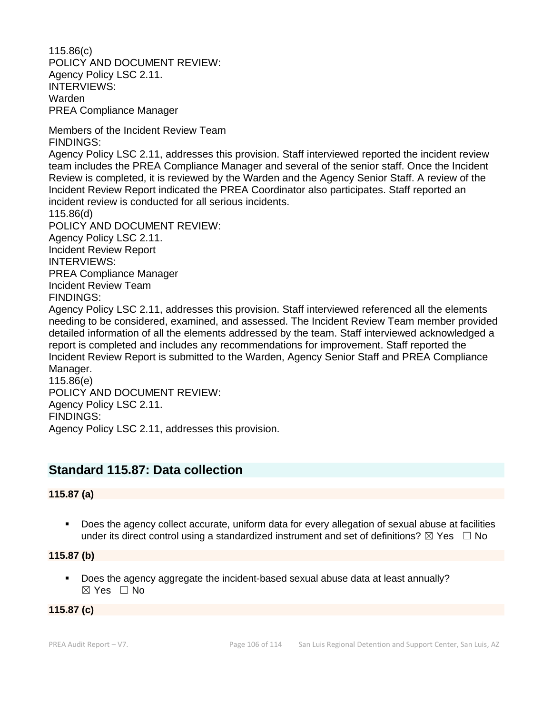115.86(c) POLICY AND DOCUMENT REVIEW: Agency Policy LSC 2.11. INTERVIEWS: Warden PREA Compliance Manager

Members of the Incident Review Team FINDINGS:

Agency Policy LSC 2.11, addresses this provision. Staff interviewed reported the incident review team includes the PREA Compliance Manager and several of the senior staff. Once the Incident Review is completed, it is reviewed by the Warden and the Agency Senior Staff. A review of the Incident Review Report indicated the PREA Coordinator also participates. Staff reported an incident review is conducted for all serious incidents.

115.86(d) POLICY AND DOCUMENT REVIEW: Agency Policy LSC 2.11. Incident Review Report INTERVIEWS: PREA Compliance Manager Incident Review Team FINDINGS:

Agency Policy LSC 2.11, addresses this provision. Staff interviewed referenced all the elements needing to be considered, examined, and assessed. The Incident Review Team member provided detailed information of all the elements addressed by the team. Staff interviewed acknowledged a report is completed and includes any recommendations for improvement. Staff reported the Incident Review Report is submitted to the Warden, Agency Senior Staff and PREA Compliance Manager.

115.86(e) POLICY AND DOCUMENT REVIEW: Agency Policy LSC 2.11. FINDINGS: Agency Policy LSC 2.11, addresses this provision.

# **Standard 115.87: Data collection**

# **115.87 (a)**

■ Does the agency collect accurate, uniform data for every allegation of sexual abuse at facilities under its direct control using a standardized instrument and set of definitions?  $\boxtimes$  Yes  $\Box$  No

**115.87 (b)**

▪ Does the agency aggregate the incident-based sexual abuse data at least annually? ☒ Yes ☐ No

# **115.87 (c)**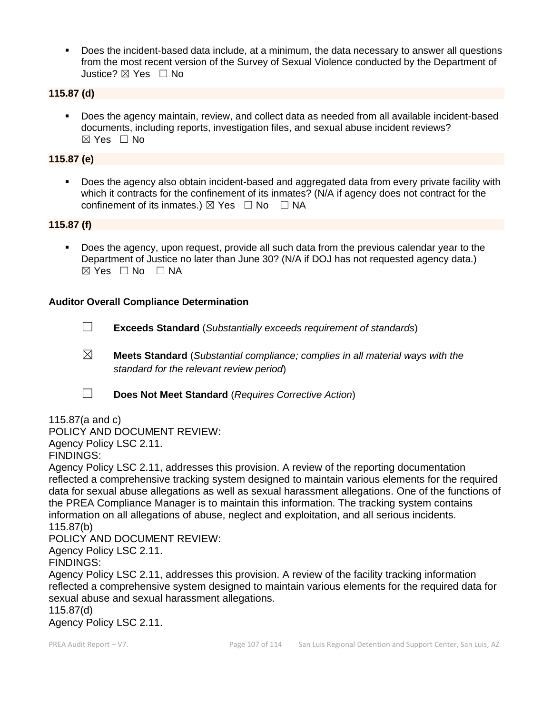▪ Does the incident-based data include, at a minimum, the data necessary to answer all questions from the most recent version of the Survey of Sexual Violence conducted by the Department of Justice? ☒ Yes ☐ No

### **115.87 (d)**

▪ Does the agency maintain, review, and collect data as needed from all available incident-based documents, including reports, investigation files, and sexual abuse incident reviews? ☒ Yes ☐ No

### **115.87 (e)**

Does the agency also obtain incident-based and aggregated data from every private facility with which it contracts for the confinement of its inmates? (N/A if agency does not contract for the confinement of its inmates.)  $\boxtimes$  Yes  $\Box$  No  $\Box$  NA

### **115.87 (f)**

Does the agency, upon request, provide all such data from the previous calendar year to the Department of Justice no later than June 30? (N/A if DOJ has not requested agency data.)  $⊠ Yes ⊡ No ⊡ NA$ 

### **Auditor Overall Compliance Determination**

- ☐ **Exceeds Standard** (*Substantially exceeds requirement of standards*)
- ☒ **Meets Standard** (*Substantial compliance; complies in all material ways with the standard for the relevant review period*)
- ☐ **Does Not Meet Standard** (*Requires Corrective Action*)

115.87(a and c) POLICY AND DOCUMENT REVIEW: Agency Policy LSC 2.11. FINDINGS:

Agency Policy LSC 2.11, addresses this provision. A review of the reporting documentation reflected a comprehensive tracking system designed to maintain various elements for the required data for sexual abuse allegations as well as sexual harassment allegations. One of the functions of the PREA Compliance Manager is to maintain this information. The tracking system contains information on all allegations of abuse, neglect and exploitation, and all serious incidents. 115.87(b)

POLICY AND DOCUMENT REVIEW:

Agency Policy LSC 2.11.

FINDINGS:

Agency Policy LSC 2.11, addresses this provision. A review of the facility tracking information reflected a comprehensive system designed to maintain various elements for the required data for sexual abuse and sexual harassment allegations.

115.87(d)

Agency Policy LSC 2.11.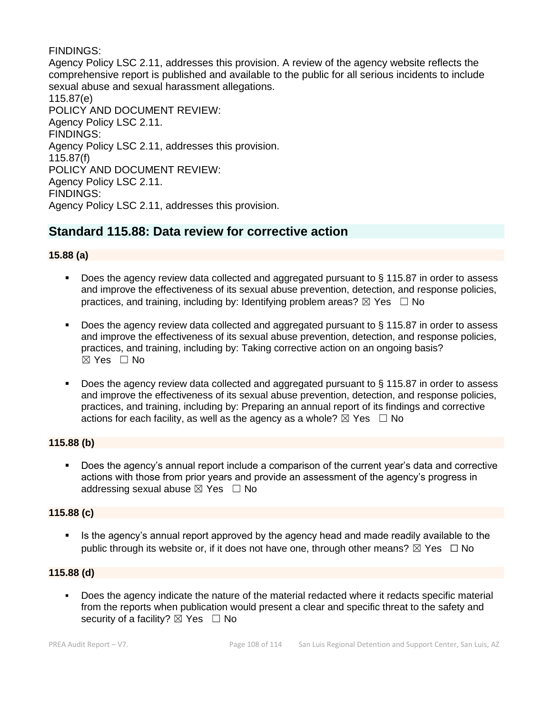### FINDINGS:

Agency Policy LSC 2.11, addresses this provision. A review of the agency website reflects the comprehensive report is published and available to the public for all serious incidents to include sexual abuse and sexual harassment allegations. 115.87(e) POLICY AND DOCUMENT REVIEW: Agency Policy LSC 2.11. FINDINGS: Agency Policy LSC 2.11, addresses this provision. 115.87(f) POLICY AND DOCUMENT REVIEW: Agency Policy LSC 2.11. FINDINGS: Agency Policy LSC 2.11, addresses this provision.

# **Standard 115.88: Data review for corrective action**

### **15.88 (a)**

- Does the agency review data collected and aggregated pursuant to  $\S$  115.87 in order to assess and improve the effectiveness of its sexual abuse prevention, detection, and response policies, practices, and training, including by: Identifying problem areas?  $\boxtimes$  Yes  $\Box$  No
- Does the agency review data collected and aggregated pursuant to  $\S$  115.87 in order to assess and improve the effectiveness of its sexual abuse prevention, detection, and response policies, practices, and training, including by: Taking corrective action on an ongoing basis?  $\boxtimes$  Yes  $\Box$  No
- Does the agency review data collected and aggregated pursuant to  $\S$  115.87 in order to assess and improve the effectiveness of its sexual abuse prevention, detection, and response policies, practices, and training, including by: Preparing an annual report of its findings and corrective actions for each facility, as well as the agency as a whole?  $\boxtimes$  Yes  $\Box$  No

### **115.88 (b)**

■ Does the agency's annual report include a comparison of the current year's data and corrective actions with those from prior years and provide an assessment of the agency's progress in addressing sexual abuse  $\boxtimes$  Yes  $\Box$  No

### **115.88 (c)**

**EXTE:** Is the agency's annual report approved by the agency head and made readily available to the public through its website or, if it does not have one, through other means?  $\boxtimes$  Yes  $\Box$  No

### **115.88 (d)**

▪ Does the agency indicate the nature of the material redacted where it redacts specific material from the reports when publication would present a clear and specific threat to the safety and security of a facility?  $\boxtimes$  Yes  $\Box$  No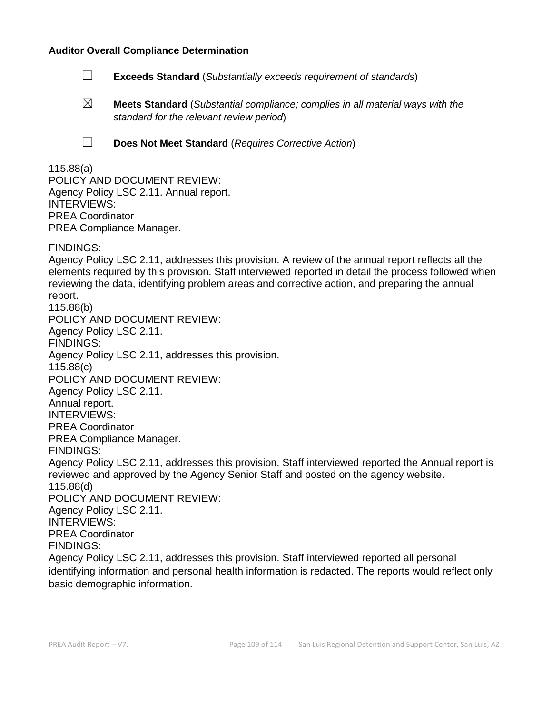#### **Auditor Overall Compliance Determination**

- ☐ **Exceeds Standard** (*Substantially exceeds requirement of standards*)
- ☒ **Meets Standard** (*Substantial compliance; complies in all material ways with the standard for the relevant review period*)
- 
- ☐ **Does Not Meet Standard** (*Requires Corrective Action*)

#### 115.88(a) POLICY AND DOCUMENT REVIEW: Agency Policy LSC 2.11. Annual report. INTERVIEWS: PREA Coordinator PREA Compliance Manager.

FINDINGS:

Agency Policy LSC 2.11, addresses this provision. A review of the annual report reflects all the elements required by this provision. Staff interviewed reported in detail the process followed when reviewing the data, identifying problem areas and corrective action, and preparing the annual report. 115.88(b) POLICY AND DOCUMENT REVIEW: Agency Policy LSC 2.11. FINDINGS: Agency Policy LSC 2.11, addresses this provision. 115.88(c) POLICY AND DOCUMENT REVIEW: Agency Policy LSC 2.11. Annual report. INTERVIEWS: PREA Coordinator PREA Compliance Manager. FINDINGS: Agency Policy LSC 2.11, addresses this provision. Staff interviewed reported the Annual report is reviewed and approved by the Agency Senior Staff and posted on the agency website. 115.88(d) POLICY AND DOCUMENT REVIEW: Agency Policy LSC 2.11. INTERVIEWS: PREA Coordinator FINDINGS: Agency Policy LSC 2.11, addresses this provision. Staff interviewed reported all personal identifying information and personal health information is redacted. The reports would reflect only basic demographic information.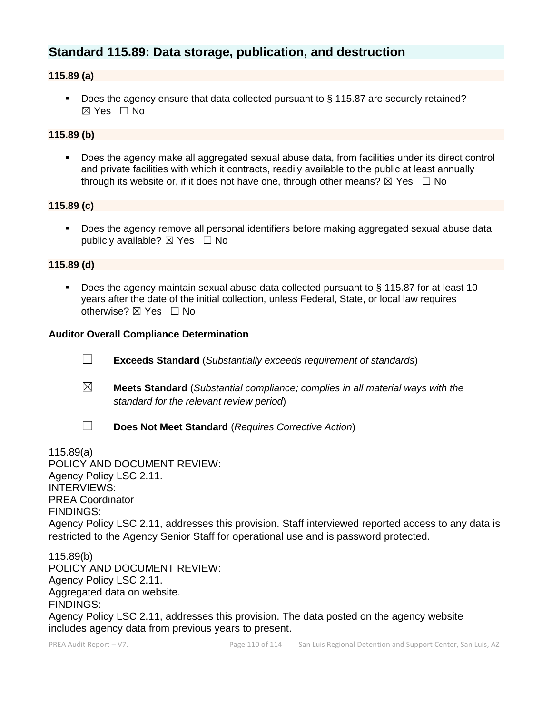# **Standard 115.89: Data storage, publication, and destruction**

## **115.89 (a)**

■ Does the agency ensure that data collected pursuant to § 115.87 are securely retained?  $\boxtimes$  Yes  $\Box$  No

# **115.89 (b)**

■ Does the agency make all aggregated sexual abuse data, from facilities under its direct control and private facilities with which it contracts, readily available to the public at least annually through its website or, if it does not have one, through other means?  $\boxtimes$  Yes  $\Box$  No

#### **115.89 (c)**

Does the agency remove all personal identifiers before making aggregated sexual abuse data publicly available?  $\boxtimes$  Yes  $\Box$  No

#### **115.89 (d)**

■ Does the agency maintain sexual abuse data collected pursuant to § 115.87 for at least 10 years after the date of the initial collection, unless Federal, State, or local law requires otherwise? ⊠ Yes □ No

#### **Auditor Overall Compliance Determination**

- ☐ **Exceeds Standard** (*Substantially exceeds requirement of standards*)
- ☒ **Meets Standard** (*Substantial compliance; complies in all material ways with the standard for the relevant review period*)
- 
- ☐ **Does Not Meet Standard** (*Requires Corrective Action*)

115.89(a) POLICY AND DOCUMENT REVIEW: Agency Policy LSC 2.11. INTERVIEWS: PREA Coordinator FINDINGS: Agency Policy LSC 2.11, addresses this provision. Staff interviewed reported access to any data is restricted to the Agency Senior Staff for operational use and is password protected.

115.89(b) POLICY AND DOCUMENT REVIEW: Agency Policy LSC 2.11. Aggregated data on website. FINDINGS: Agency Policy LSC 2.11, addresses this provision. The data posted on the agency website includes agency data from previous years to present.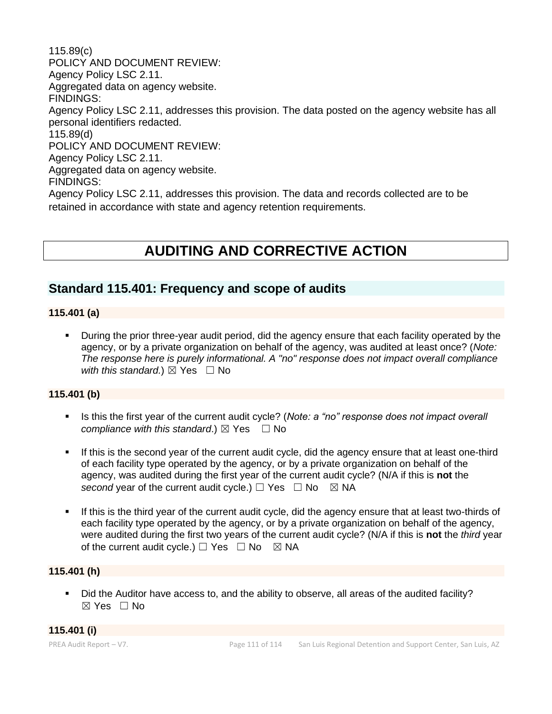115.89(c) POLICY AND DOCUMENT REVIEW: Agency Policy LSC 2.11. Aggregated data on agency website. FINDINGS: Agency Policy LSC 2.11, addresses this provision. The data posted on the agency website has all personal identifiers redacted. 115.89(d) POLICY AND DOCUMENT REVIEW: Agency Policy LSC 2.11. Aggregated data on agency website. FINDINGS: Agency Policy LSC 2.11, addresses this provision. The data and records collected are to be retained in accordance with state and agency retention requirements.

# **AUDITING AND CORRECTIVE ACTION**

# **Standard 115.401: Frequency and scope of audits**

#### **115.401 (a)**

▪ During the prior three-year audit period, did the agency ensure that each facility operated by the agency, or by a private organization on behalf of the agency, was audited at least once? (*Note: The response here is purely informational. A "no" response does not impact overall compliance with this standard.*)  $\boxtimes$  Yes  $\Box$  No

#### **115.401 (b)**

- **EXECT** Is this the first year of the current audit cycle? (*Note: a "no" response does not impact overall compliance with this standard.*)  $\boxtimes$  Yes  $\Box$  No
- **.** If this is the second year of the current audit cycle, did the agency ensure that at least one-third of each facility type operated by the agency, or by a private organization on behalf of the agency, was audited during the first year of the current audit cycle? (N/A if this is **not** the *second* year of the current audit cycle.)  $\Box$  Yes  $\Box$  No  $\boxtimes$  NA
- If this is the third year of the current audit cycle, did the agency ensure that at least two-thirds of each facility type operated by the agency, or by a private organization on behalf of the agency, were audited during the first two years of the current audit cycle? (N/A if this is **not** the *third* year of the current audit cycle.)  $\Box$  Yes  $\Box$  No  $\boxtimes$  NA

## **115.401 (h)**

▪ Did the Auditor have access to, and the ability to observe, all areas of the audited facility? ☒ Yes ☐ No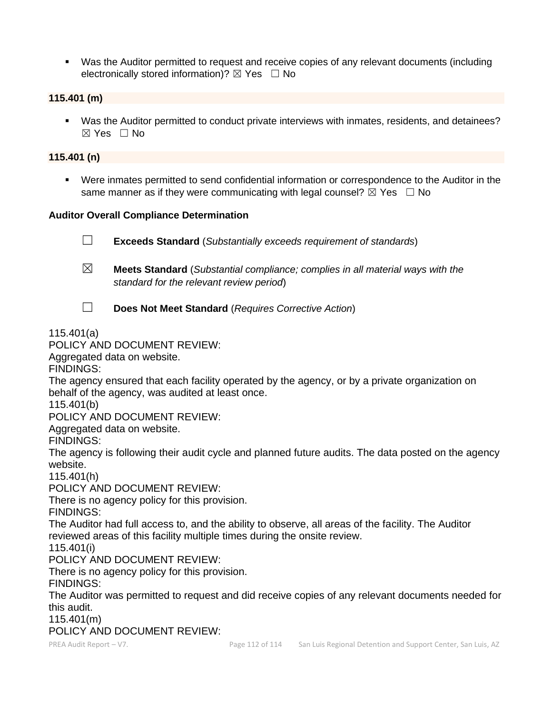■ Was the Auditor permitted to request and receive copies of any relevant documents (including electronically stored information)?  $\boxtimes$  Yes  $\Box$  No

#### **115.401 (m)**

■ Was the Auditor permitted to conduct private interviews with inmates, residents, and detainees? ☒ Yes ☐ No

#### **115.401 (n)**

Were inmates permitted to send confidential information or correspondence to the Auditor in the same manner as if they were communicating with legal counsel?  $\boxtimes$  Yes  $\Box$  No

#### **Auditor Overall Compliance Determination**

☐ **Exceeds Standard** (*Substantially exceeds requirement of standards*)

- ☒ **Meets Standard** (*Substantial compliance; complies in all material ways with the standard for the relevant review period*)
- ☐ **Does Not Meet Standard** (*Requires Corrective Action*)

## 115.401(a)

# POLICY AND DOCUMENT REVIEW:

Aggregated data on website.

FINDINGS:

The agency ensured that each facility operated by the agency, or by a private organization on behalf of the agency, was audited at least once.

115.401(b)

POLICY AND DOCUMENT REVIEW:

Aggregated data on website.

FINDINGS:

The agency is following their audit cycle and planned future audits. The data posted on the agency website.

115.401(h)

POLICY AND DOCUMENT REVIEW:

There is no agency policy for this provision.

FINDINGS:

The Auditor had full access to, and the ability to observe, all areas of the facility. The Auditor reviewed areas of this facility multiple times during the onsite review.

115.401(i)

POLICY AND DOCUMENT REVIEW:

There is no agency policy for this provision.

FINDINGS:

The Auditor was permitted to request and did receive copies of any relevant documents needed for this audit.

115.401(m)

POLICY AND DOCUMENT REVIEW: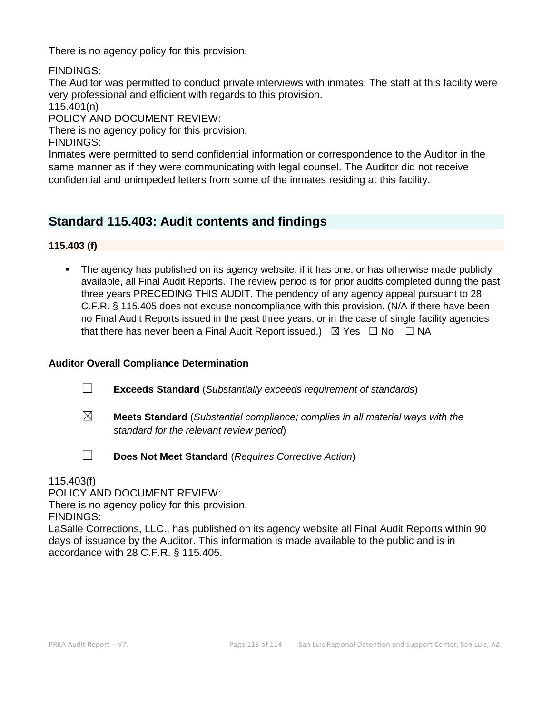There is no agency policy for this provision.

FINDINGS:

The Auditor was permitted to conduct private interviews with inmates. The staff at this facility were very professional and efficient with regards to this provision.

115.401(n)

POLICY AND DOCUMENT REVIEW:

There is no agency policy for this provision.

FINDINGS:

Inmates were permitted to send confidential information or correspondence to the Auditor in the same manner as if they were communicating with legal counsel. The Auditor did not receive confidential and unimpeded letters from some of the inmates residing at this facility.

# **Standard 115.403: Audit contents and findings**

**115.403 (f)**

**•** The agency has published on its agency website, if it has one, or has otherwise made publicly available, all Final Audit Reports. The review period is for prior audits completed during the past three years PRECEDING THIS AUDIT. The pendency of any agency appeal pursuant to 28 C.F.R. § 115.405 does not excuse noncompliance with this provision. (N/A if there have been no Final Audit Reports issued in the past three years, or in the case of single facility agencies that there has never been a Final Audit Report issued.)  $\boxtimes$  Yes  $\Box$  No  $\Box$  NA

## **Auditor Overall Compliance Determination**

- ☐ **Exceeds Standard** (*Substantially exceeds requirement of standards*)
- ☒ **Meets Standard** (*Substantial compliance; complies in all material ways with the standard for the relevant review period*)
- ☐ **Does Not Meet Standard** (*Requires Corrective Action*)

115.403(f)

POLICY AND DOCUMENT REVIEW:

There is no agency policy for this provision.

FINDINGS:

LaSalle Corrections, LLC., has published on its agency website all Final Audit Reports within 90 days of issuance by the Auditor. This information is made available to the public and is in accordance with 28 C.F.R. § 115.405.